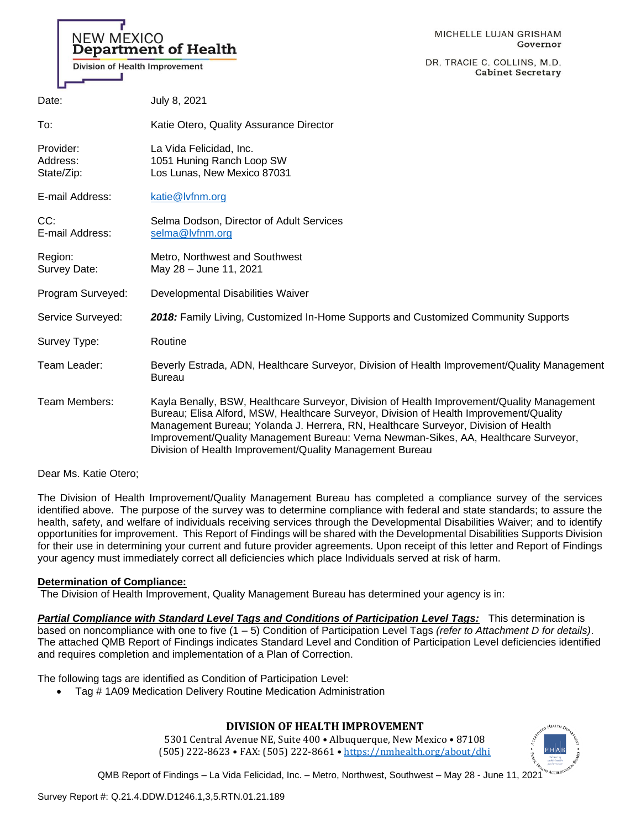# **NEW MEXICO Department of Health**

Division of Health Improvement

DR. TRACIE C. COLLINS, M.D. **Cabinet Secretary** 

| Date:                               | July 8, 2021                                                                                                                                                                                                                                                                                                                                                                                                                  |
|-------------------------------------|-------------------------------------------------------------------------------------------------------------------------------------------------------------------------------------------------------------------------------------------------------------------------------------------------------------------------------------------------------------------------------------------------------------------------------|
| To:                                 | Katie Otero, Quality Assurance Director                                                                                                                                                                                                                                                                                                                                                                                       |
| Provider:<br>Address:<br>State/Zip: | La Vida Felicidad, Inc.<br>1051 Huning Ranch Loop SW<br>Los Lunas, New Mexico 87031                                                                                                                                                                                                                                                                                                                                           |
| E-mail Address:                     | katie@lvfnm.org                                                                                                                                                                                                                                                                                                                                                                                                               |
| CC:<br>E-mail Address:              | Selma Dodson, Director of Adult Services<br>selma@lvfnm.org                                                                                                                                                                                                                                                                                                                                                                   |
| Region:<br>Survey Date:             | Metro, Northwest and Southwest<br>May 28 - June 11, 2021                                                                                                                                                                                                                                                                                                                                                                      |
| Program Surveyed:                   | Developmental Disabilities Waiver                                                                                                                                                                                                                                                                                                                                                                                             |
| Service Surveyed:                   | 2018: Family Living, Customized In-Home Supports and Customized Community Supports                                                                                                                                                                                                                                                                                                                                            |
| Survey Type:                        | Routine                                                                                                                                                                                                                                                                                                                                                                                                                       |
| Team Leader:                        | Beverly Estrada, ADN, Healthcare Surveyor, Division of Health Improvement/Quality Management<br><b>Bureau</b>                                                                                                                                                                                                                                                                                                                 |
| Team Members:                       | Kayla Benally, BSW, Healthcare Surveyor, Division of Health Improvement/Quality Management<br>Bureau; Elisa Alford, MSW, Healthcare Surveyor, Division of Health Improvement/Quality<br>Management Bureau; Yolanda J. Herrera, RN, Healthcare Surveyor, Division of Health<br>Improvement/Quality Management Bureau: Verna Newman-Sikes, AA, Healthcare Surveyor,<br>Division of Health Improvement/Quality Management Bureau |

## Dear Ms. Katie Otero;

The Division of Health Improvement/Quality Management Bureau has completed a compliance survey of the services identified above. The purpose of the survey was to determine compliance with federal and state standards; to assure the health, safety, and welfare of individuals receiving services through the Developmental Disabilities Waiver; and to identify opportunities for improvement. This Report of Findings will be shared with the Developmental Disabilities Supports Division for their use in determining your current and future provider agreements. Upon receipt of this letter and Report of Findings your agency must immediately correct all deficiencies which place Individuals served at risk of harm.

## **Determination of Compliance:**

The Division of Health Improvement, Quality Management Bureau has determined your agency is in:

*Partial Compliance with Standard Level Tags and Conditions of Participation Level Tags:* This determination is based on noncompliance with one to five (1 – 5) Condition of Participation Level Tags *(refer to Attachment D for details)*. The attached QMB Report of Findings indicates Standard Level and Condition of Participation Level deficiencies identified and requires completion and implementation of a Plan of Correction.

The following tags are identified as Condition of Participation Level:

• Tag # 1A09 Medication Delivery Routine Medication Administration

## **DIVISION OF HEALTH IMPROVEMENT**

5301 Central Avenue NE, Suite 400 • Albuquerque, New Mexico • 87108 (505) 222-8623 • FAX: (505) 222-8661 • <https://nmhealth.org/about/dhi>

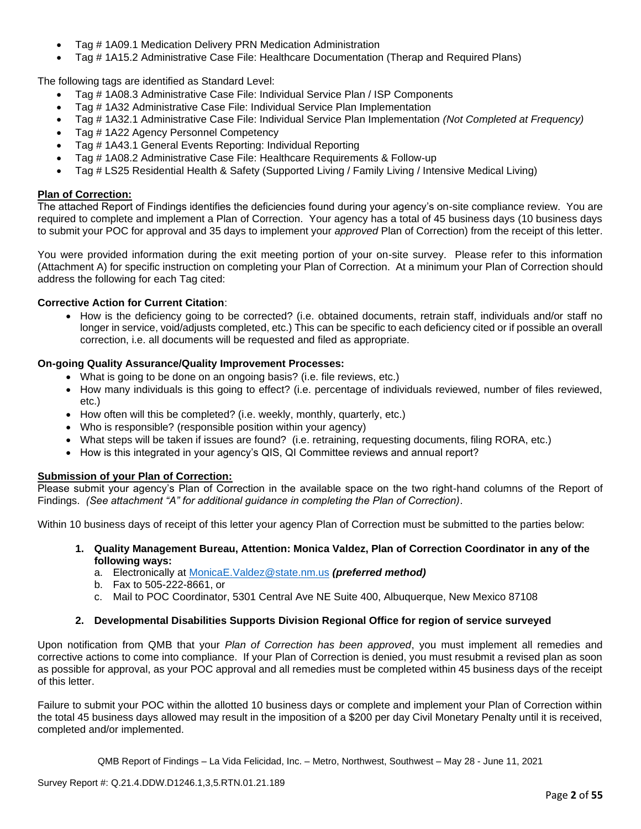- Tag # 1A09.1 Medication Delivery PRN Medication Administration
- Tag # 1A15.2 Administrative Case File: Healthcare Documentation (Therap and Required Plans)

The following tags are identified as Standard Level:

- Tag # 1A08.3 Administrative Case File: Individual Service Plan / ISP Components
- Tag # 1A32 Administrative Case File: Individual Service Plan Implementation
- Tag # 1A32.1 Administrative Case File: Individual Service Plan Implementation *(Not Completed at Frequency)*
- Tag # 1A22 Agency Personnel Competency
- Tag # 1A43.1 General Events Reporting: Individual Reporting
- Tag # 1A08.2 Administrative Case File: Healthcare Requirements & Follow-up
- Tag # LS25 Residential Health & Safety (Supported Living / Family Living / Intensive Medical Living)

## **Plan of Correction:**

The attached Report of Findings identifies the deficiencies found during your agency's on-site compliance review. You are required to complete and implement a Plan of Correction. Your agency has a total of 45 business days (10 business days to submit your POC for approval and 35 days to implement your *approved* Plan of Correction) from the receipt of this letter.

You were provided information during the exit meeting portion of your on-site survey. Please refer to this information (Attachment A) for specific instruction on completing your Plan of Correction. At a minimum your Plan of Correction should address the following for each Tag cited:

## **Corrective Action for Current Citation**:

• How is the deficiency going to be corrected? (i.e. obtained documents, retrain staff, individuals and/or staff no longer in service, void/adjusts completed, etc.) This can be specific to each deficiency cited or if possible an overall correction, i.e. all documents will be requested and filed as appropriate.

## **On-going Quality Assurance/Quality Improvement Processes:**

- What is going to be done on an ongoing basis? (i.e. file reviews, etc.)
- How many individuals is this going to effect? (i.e. percentage of individuals reviewed, number of files reviewed, etc.)
- How often will this be completed? (i.e. weekly, monthly, quarterly, etc.)
- Who is responsible? (responsible position within your agency)
- What steps will be taken if issues are found? (i.e. retraining, requesting documents, filing RORA, etc.)
- How is this integrated in your agency's QIS, QI Committee reviews and annual report?

## **Submission of your Plan of Correction:**

Please submit your agency's Plan of Correction in the available space on the two right-hand columns of the Report of Findings. *(See attachment "A" for additional guidance in completing the Plan of Correction)*.

Within 10 business days of receipt of this letter your agency Plan of Correction must be submitted to the parties below:

- **1. Quality Management Bureau, Attention: Monica Valdez, Plan of Correction Coordinator in any of the following ways:**
	- a. Electronically at [MonicaE.Valdez@state.nm.us](mailto:MonicaE.Valdez@state.nm.us) *(preferred method)*
	- b. Fax to 505-222-8661, or
	- c. Mail to POC Coordinator, 5301 Central Ave NE Suite 400, Albuquerque, New Mexico 87108

## **2. Developmental Disabilities Supports Division Regional Office for region of service surveyed**

Upon notification from QMB that your *Plan of Correction has been approved*, you must implement all remedies and corrective actions to come into compliance. If your Plan of Correction is denied, you must resubmit a revised plan as soon as possible for approval, as your POC approval and all remedies must be completed within 45 business days of the receipt of this letter.

Failure to submit your POC within the allotted 10 business days or complete and implement your Plan of Correction within the total 45 business days allowed may result in the imposition of a \$200 per day Civil Monetary Penalty until it is received, completed and/or implemented.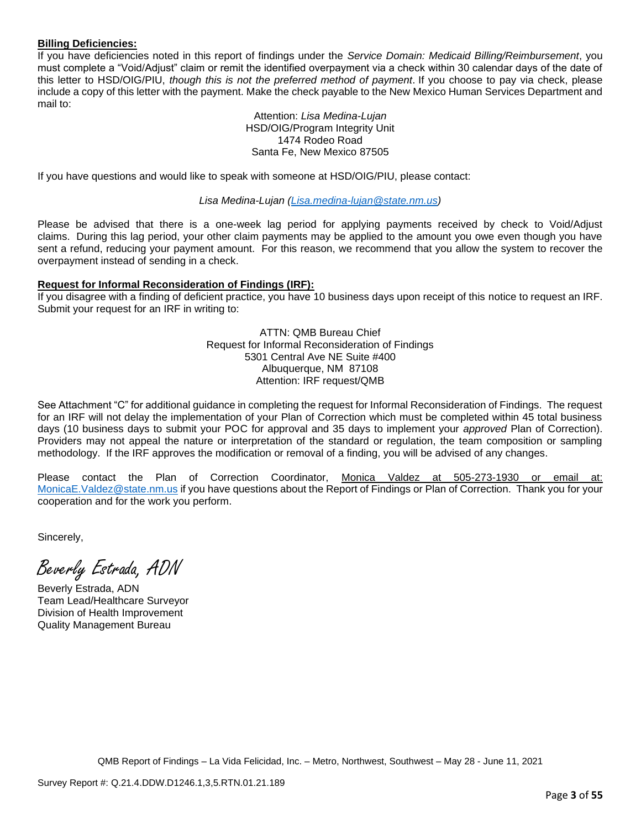## **Billing Deficiencies:**

If you have deficiencies noted in this report of findings under the *Service Domain: Medicaid Billing/Reimbursement*, you must complete a "Void/Adjust" claim or remit the identified overpayment via a check within 30 calendar days of the date of this letter to HSD/OIG/PIU, *though this is not the preferred method of payment*. If you choose to pay via check, please include a copy of this letter with the payment. Make the check payable to the New Mexico Human Services Department and mail to:

> Attention: *Lisa Medina-Lujan* HSD/OIG/Program Integrity Unit 1474 Rodeo Road Santa Fe, New Mexico 87505

If you have questions and would like to speak with someone at HSD/OIG/PIU, please contact:

*Lisa Medina-Lujan [\(Lisa.medina-lujan@state.nm.us\)](mailto:Lisa.medina-lujan@state.nm.us)*

Please be advised that there is a one-week lag period for applying payments received by check to Void/Adjust claims. During this lag period, your other claim payments may be applied to the amount you owe even though you have sent a refund, reducing your payment amount. For this reason, we recommend that you allow the system to recover the overpayment instead of sending in a check.

## **Request for Informal Reconsideration of Findings (IRF):**

If you disagree with a finding of deficient practice, you have 10 business days upon receipt of this notice to request an IRF. Submit your request for an IRF in writing to:

> ATTN: QMB Bureau Chief Request for Informal Reconsideration of Findings 5301 Central Ave NE Suite #400 Albuquerque, NM 87108 Attention: IRF request/QMB

See Attachment "C" for additional guidance in completing the request for Informal Reconsideration of Findings. The request for an IRF will not delay the implementation of your Plan of Correction which must be completed within 45 total business days (10 business days to submit your POC for approval and 35 days to implement your *approved* Plan of Correction). Providers may not appeal the nature or interpretation of the standard or regulation, the team composition or sampling methodology. If the IRF approves the modification or removal of a finding, you will be advised of any changes.

Please contact the Plan of Correction Coordinator, Monica Valdez at 505-273-1930 or email MonicaE. Valdez@state.nm.us if you have questions about the Report of Findings or Plan of Correction. Thank you for your cooperation and for the work you perform.

Sincerely,

Beverly Estrada, ADN

Beverly Estrada, ADN Team Lead/Healthcare Surveyor Division of Health Improvement Quality Management Bureau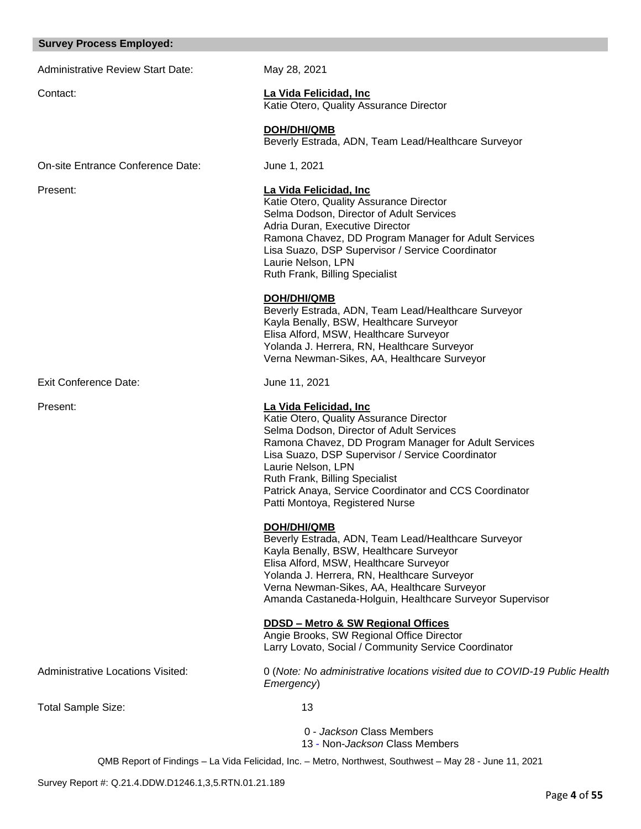#### **Survey Process Employed:**

Administrative Review Start Date: May 28, 2021

Contact: **La Vida Felicidad, Inc** Katie Otero, Quality Assurance Director

> **DOH/DHI/QMB** Beverly Estrada, ADN, Team Lead/Healthcare Surveyor

On-site Entrance Conference Date: June 1, 2021

Exit Conference Date: June 11, 2021

Present: **La Vida Felicidad, Inc**

Katie Otero, Quality Assurance Director Selma Dodson, Director of Adult Services Adria Duran, Executive Director Ramona Chavez, DD Program Manager for Adult Services Lisa Suazo, DSP Supervisor / Service Coordinator Laurie Nelson, LPN Ruth Frank, Billing Specialist

## **DOH/DHI/QMB**

Beverly Estrada, ADN, Team Lead/Healthcare Surveyor Kayla Benally, BSW, Healthcare Surveyor Elisa Alford, MSW, Healthcare Surveyor Yolanda J. Herrera, RN, Healthcare Surveyor Verna Newman-Sikes, AA, Healthcare Surveyor

## Present: **La Vida Felicidad, Inc**

Katie Otero, Quality Assurance Director Selma Dodson, Director of Adult Services Ramona Chavez, DD Program Manager for Adult Services Lisa Suazo, DSP Supervisor / Service Coordinator Laurie Nelson, LPN Ruth Frank, Billing Specialist Patrick Anaya, Service Coordinator and CCS Coordinator Patti Montoya, Registered Nurse

## **DOH/DHI/QMB**

Beverly Estrada, ADN, Team Lead/Healthcare Surveyor Kayla Benally, BSW, Healthcare Surveyor Elisa Alford, MSW, Healthcare Surveyor Yolanda J. Herrera, RN, Healthcare Surveyor Verna Newman-Sikes, AA, Healthcare Surveyor Amanda Castaneda-Holguin, Healthcare Surveyor Supervisor

## **DDSD – Metro & SW Regional Offices**

Angie Brooks, SW Regional Office Director Larry Lovato, Social / Community Service Coordinator

Administrative Locations Visited: 0 (*Note: No administrative locations visited due to COVID-19 Public Health* 

Total Sample Size: 13

*Emergency*)

0 - *Jackson* Class Members 13 - Non-*Jackson* Class Members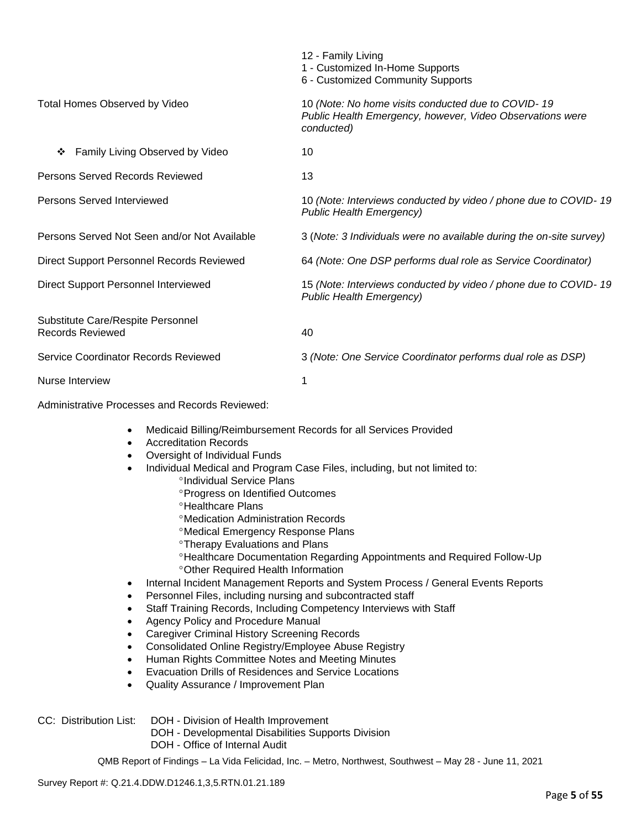|                                                              | 12 - Family Living<br>1 - Customized In-Home Supports<br>6 - Customized Community Supports                                    |
|--------------------------------------------------------------|-------------------------------------------------------------------------------------------------------------------------------|
| Total Homes Observed by Video                                | 10 (Note: No home visits conducted due to COVID-19<br>Public Health Emergency, however, Video Observations were<br>conducted) |
| Family Living Observed by Video<br>❖                         | 10                                                                                                                            |
| Persons Served Records Reviewed                              | 13                                                                                                                            |
| Persons Served Interviewed                                   | 10 (Note: Interviews conducted by video / phone due to COVID-19<br><b>Public Health Emergency)</b>                            |
| Persons Served Not Seen and/or Not Available                 | 3 (Note: 3 Individuals were no available during the on-site survey)                                                           |
| Direct Support Personnel Records Reviewed                    | 64 (Note: One DSP performs dual role as Service Coordinator)                                                                  |
| Direct Support Personnel Interviewed                         | 15 (Note: Interviews conducted by video / phone due to COVID-19<br><b>Public Health Emergency)</b>                            |
| Substitute Care/Respite Personnel<br><b>Records Reviewed</b> | 40                                                                                                                            |
| Service Coordinator Records Reviewed                         | 3 (Note: One Service Coordinator performs dual role as DSP)                                                                   |
| Nurse Interview                                              | 1                                                                                                                             |

Administrative Processes and Records Reviewed:

- Medicaid Billing/Reimbursement Records for all Services Provided
- Accreditation Records
- Oversight of Individual Funds
- Individual Medical and Program Case Files, including, but not limited to:
	- <sup>o</sup>Individual Service Plans
	- Progress on Identified Outcomes
	- **<sup>o</sup>Healthcare Plans**
	- Medication Administration Records
	- Medical Emergency Response Plans
	- **<sup>o</sup>Therapy Evaluations and Plans**
	- Healthcare Documentation Regarding Appointments and Required Follow-Up
	- Other Required Health Information
	- Internal Incident Management Reports and System Process / General Events Reports
- Personnel Files, including nursing and subcontracted staff
- Staff Training Records, Including Competency Interviews with Staff
- Agency Policy and Procedure Manual
- Caregiver Criminal History Screening Records
- Consolidated Online Registry/Employee Abuse Registry
- Human Rights Committee Notes and Meeting Minutes
- Evacuation Drills of Residences and Service Locations
- Quality Assurance / Improvement Plan
- CC: Distribution List: DOH Division of Health Improvement
	- DOH Developmental Disabilities Supports Division
	- DOH Office of Internal Audit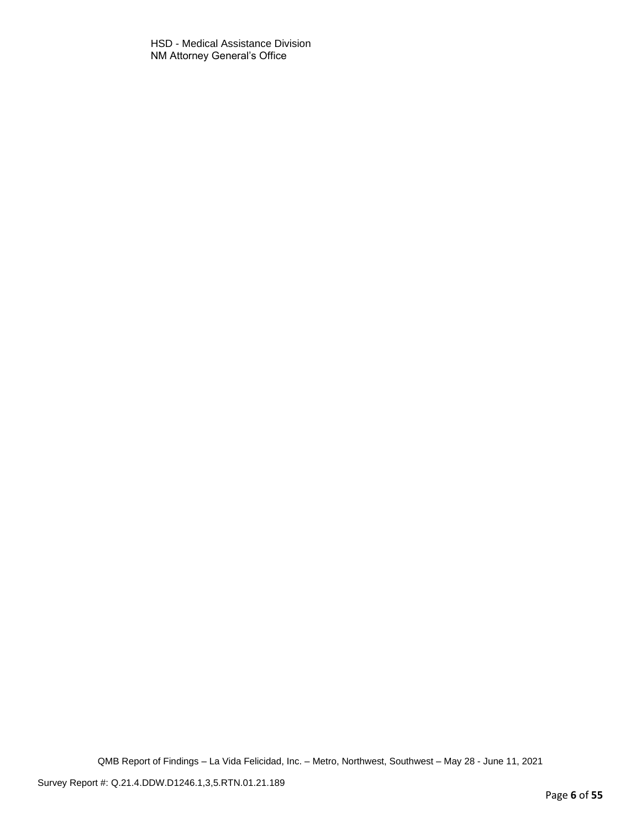HSD - Medical Assistance Division NM Attorney General's Office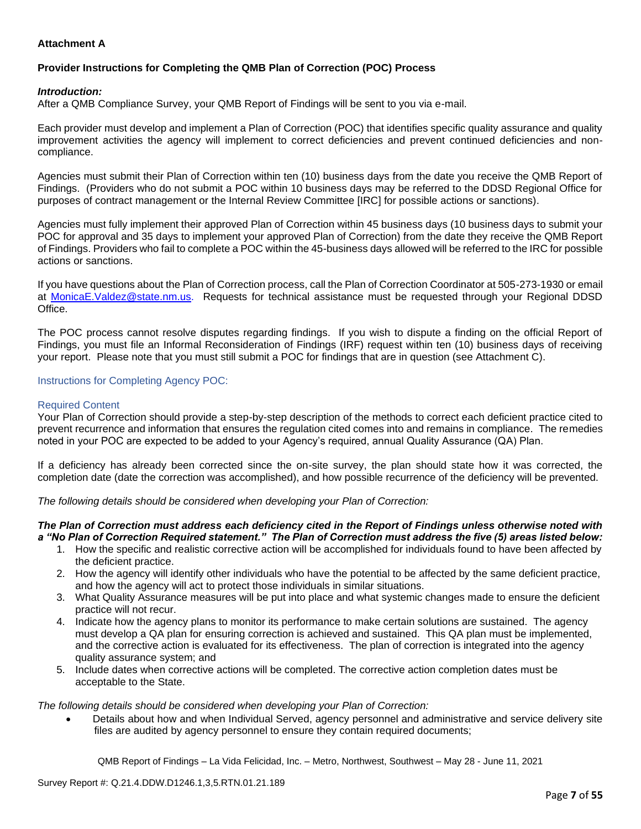## **Attachment A**

## **Provider Instructions for Completing the QMB Plan of Correction (POC) Process**

#### *Introduction:*

After a QMB Compliance Survey, your QMB Report of Findings will be sent to you via e-mail.

Each provider must develop and implement a Plan of Correction (POC) that identifies specific quality assurance and quality improvement activities the agency will implement to correct deficiencies and prevent continued deficiencies and noncompliance.

Agencies must submit their Plan of Correction within ten (10) business days from the date you receive the QMB Report of Findings. (Providers who do not submit a POC within 10 business days may be referred to the DDSD Regional Office for purposes of contract management or the Internal Review Committee [IRC] for possible actions or sanctions).

Agencies must fully implement their approved Plan of Correction within 45 business days (10 business days to submit your POC for approval and 35 days to implement your approved Plan of Correction) from the date they receive the QMB Report of Findings. Providers who fail to complete a POC within the 45-business days allowed will be referred to the IRC for possible actions or sanctions.

If you have questions about the Plan of Correction process, call the Plan of Correction Coordinator at 505-273-1930 or email at [MonicaE.Valdez@state.nm.us.](mailto:MonicaE.Valdez@state.nm.us) Requests for technical assistance must be requested through your Regional DDSD Office.

The POC process cannot resolve disputes regarding findings. If you wish to dispute a finding on the official Report of Findings, you must file an Informal Reconsideration of Findings (IRF) request within ten (10) business days of receiving your report. Please note that you must still submit a POC for findings that are in question (see Attachment C).

## Instructions for Completing Agency POC:

#### Required Content

Your Plan of Correction should provide a step-by-step description of the methods to correct each deficient practice cited to prevent recurrence and information that ensures the regulation cited comes into and remains in compliance. The remedies noted in your POC are expected to be added to your Agency's required, annual Quality Assurance (QA) Plan.

If a deficiency has already been corrected since the on-site survey, the plan should state how it was corrected, the completion date (date the correction was accomplished), and how possible recurrence of the deficiency will be prevented.

*The following details should be considered when developing your Plan of Correction:*

#### *The Plan of Correction must address each deficiency cited in the Report of Findings unless otherwise noted with a "No Plan of Correction Required statement." The Plan of Correction must address the five (5) areas listed below:*

- 1. How the specific and realistic corrective action will be accomplished for individuals found to have been affected by the deficient practice.
- 2. How the agency will identify other individuals who have the potential to be affected by the same deficient practice, and how the agency will act to protect those individuals in similar situations.
- 3. What Quality Assurance measures will be put into place and what systemic changes made to ensure the deficient practice will not recur.
- 4. Indicate how the agency plans to monitor its performance to make certain solutions are sustained. The agency must develop a QA plan for ensuring correction is achieved and sustained. This QA plan must be implemented, and the corrective action is evaluated for its effectiveness. The plan of correction is integrated into the agency quality assurance system; and
- 5. Include dates when corrective actions will be completed. The corrective action completion dates must be acceptable to the State.

*The following details should be considered when developing your Plan of Correction:*

• Details about how and when Individual Served, agency personnel and administrative and service delivery site files are audited by agency personnel to ensure they contain required documents;

QMB Report of Findings – La Vida Felicidad, Inc. – Metro, Northwest, Southwest – May 28 - June 11, 2021

Survey Report #: Q.21.4.DDW.D1246.1,3,5.RTN.01.21.189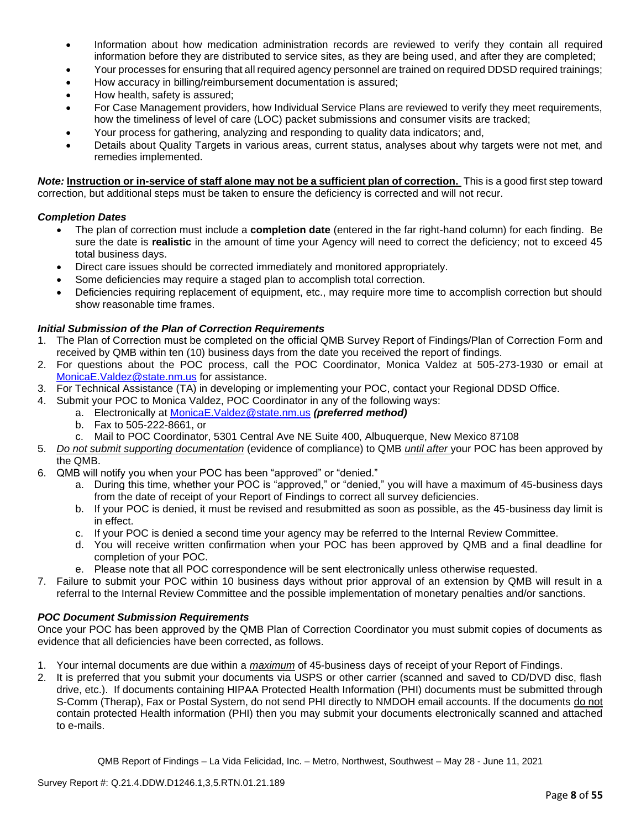- Information about how medication administration records are reviewed to verify they contain all required information before they are distributed to service sites, as they are being used, and after they are completed;
- Your processes for ensuring that all required agency personnel are trained on required DDSD required trainings;
- How accuracy in billing/reimbursement documentation is assured;
- How health, safety is assured;
- For Case Management providers, how Individual Service Plans are reviewed to verify they meet requirements, how the timeliness of level of care (LOC) packet submissions and consumer visits are tracked;
- Your process for gathering, analyzing and responding to quality data indicators; and,
- Details about Quality Targets in various areas, current status, analyses about why targets were not met, and remedies implemented.

*Note:* **Instruction or in-service of staff alone may not be a sufficient plan of correction.** This is a good first step toward correction, but additional steps must be taken to ensure the deficiency is corrected and will not recur.

## *Completion Dates*

- The plan of correction must include a **completion date** (entered in the far right-hand column) for each finding. Be sure the date is **realistic** in the amount of time your Agency will need to correct the deficiency; not to exceed 45 total business days.
- Direct care issues should be corrected immediately and monitored appropriately.
- Some deficiencies may require a staged plan to accomplish total correction.
- Deficiencies requiring replacement of equipment, etc., may require more time to accomplish correction but should show reasonable time frames.

## *Initial Submission of the Plan of Correction Requirements*

- 1. The Plan of Correction must be completed on the official QMB Survey Report of Findings/Plan of Correction Form and received by QMB within ten (10) business days from the date you received the report of findings.
- 2. For questions about the POC process, call the POC Coordinator, Monica Valdez at 505-273-1930 or email at [MonicaE.Valdez@state.nm.us](mailto:MonicaE.Valdez@state.nm.us) for assistance.
- 3. For Technical Assistance (TA) in developing or implementing your POC, contact your Regional DDSD Office.
- 4. Submit your POC to Monica Valdez, POC Coordinator in any of the following ways:
	- a. Electronically at [MonicaE.Valdez@state.nm.us](mailto:MonicaE.Valdez@state.nm.us) *(preferred method)*
	- b. Fax to 505-222-8661, or
	- c. Mail to POC Coordinator, 5301 Central Ave NE Suite 400, Albuquerque, New Mexico 87108
- 5. *Do not submit supporting documentation* (evidence of compliance) to QMB *until after* your POC has been approved by the QMB.
- 6. QMB will notify you when your POC has been "approved" or "denied."
	- a. During this time, whether your POC is "approved," or "denied," you will have a maximum of 45-business days from the date of receipt of your Report of Findings to correct all survey deficiencies.
	- b. If your POC is denied, it must be revised and resubmitted as soon as possible, as the 45-business day limit is in effect.
	- c. If your POC is denied a second time your agency may be referred to the Internal Review Committee.
	- d. You will receive written confirmation when your POC has been approved by QMB and a final deadline for completion of your POC.
	- e. Please note that all POC correspondence will be sent electronically unless otherwise requested.
- 7. Failure to submit your POC within 10 business days without prior approval of an extension by QMB will result in a referral to the Internal Review Committee and the possible implementation of monetary penalties and/or sanctions.

## *POC Document Submission Requirements*

Once your POC has been approved by the QMB Plan of Correction Coordinator you must submit copies of documents as evidence that all deficiencies have been corrected, as follows.

- 1. Your internal documents are due within a *maximum* of 45-business days of receipt of your Report of Findings.
- 2. It is preferred that you submit your documents via USPS or other carrier (scanned and saved to CD/DVD disc, flash drive, etc.). If documents containing HIPAA Protected Health Information (PHI) documents must be submitted through S-Comm (Therap), Fax or Postal System, do not send PHI directly to NMDOH email accounts. If the documents do not contain protected Health information (PHI) then you may submit your documents electronically scanned and attached to e-mails.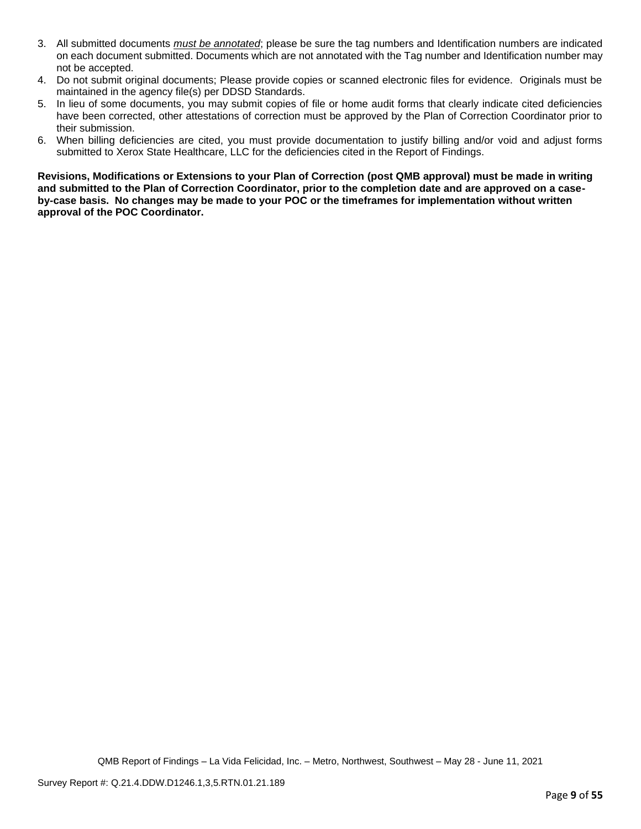- 3. All submitted documents *must be annotated*; please be sure the tag numbers and Identification numbers are indicated on each document submitted. Documents which are not annotated with the Tag number and Identification number may not be accepted.
- 4. Do not submit original documents; Please provide copies or scanned electronic files for evidence. Originals must be maintained in the agency file(s) per DDSD Standards.
- 5. In lieu of some documents, you may submit copies of file or home audit forms that clearly indicate cited deficiencies have been corrected, other attestations of correction must be approved by the Plan of Correction Coordinator prior to their submission.
- 6. When billing deficiencies are cited, you must provide documentation to justify billing and/or void and adjust forms submitted to Xerox State Healthcare, LLC for the deficiencies cited in the Report of Findings.

**Revisions, Modifications or Extensions to your Plan of Correction (post QMB approval) must be made in writing and submitted to the Plan of Correction Coordinator, prior to the completion date and are approved on a caseby-case basis. No changes may be made to your POC or the timeframes for implementation without written approval of the POC Coordinator.**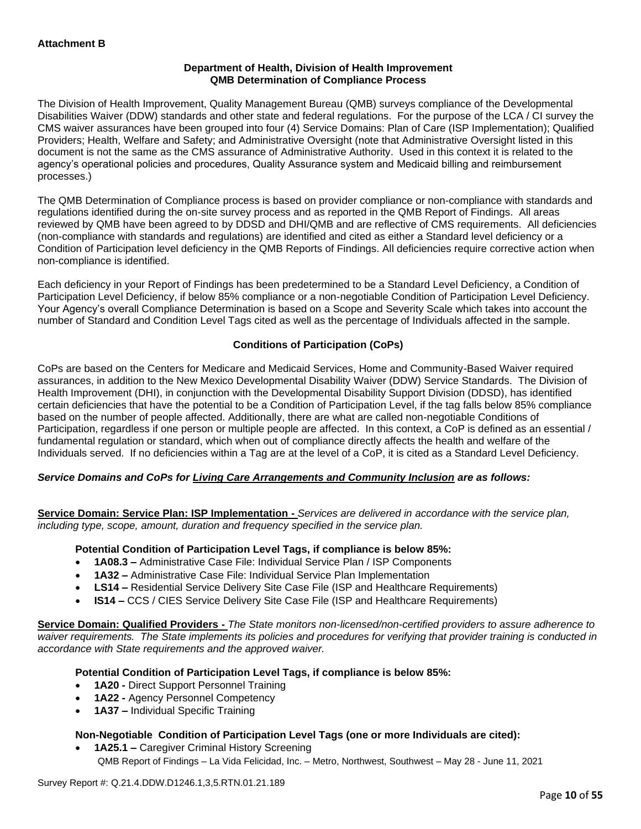## **Department of Health, Division of Health Improvement QMB Determination of Compliance Process**

The Division of Health Improvement, Quality Management Bureau (QMB) surveys compliance of the Developmental Disabilities Waiver (DDW) standards and other state and federal regulations. For the purpose of the LCA / CI survey the CMS waiver assurances have been grouped into four (4) Service Domains: Plan of Care (ISP Implementation); Qualified Providers; Health, Welfare and Safety; and Administrative Oversight (note that Administrative Oversight listed in this document is not the same as the CMS assurance of Administrative Authority. Used in this context it is related to the agency's operational policies and procedures, Quality Assurance system and Medicaid billing and reimbursement processes.)

The QMB Determination of Compliance process is based on provider compliance or non-compliance with standards and regulations identified during the on-site survey process and as reported in the QMB Report of Findings. All areas reviewed by QMB have been agreed to by DDSD and DHI/QMB and are reflective of CMS requirements. All deficiencies (non-compliance with standards and regulations) are identified and cited as either a Standard level deficiency or a Condition of Participation level deficiency in the QMB Reports of Findings. All deficiencies require corrective action when non-compliance is identified.

Each deficiency in your Report of Findings has been predetermined to be a Standard Level Deficiency, a Condition of Participation Level Deficiency, if below 85% compliance or a non-negotiable Condition of Participation Level Deficiency. Your Agency's overall Compliance Determination is based on a Scope and Severity Scale which takes into account the number of Standard and Condition Level Tags cited as well as the percentage of Individuals affected in the sample.

## **Conditions of Participation (CoPs)**

CoPs are based on the Centers for Medicare and Medicaid Services, Home and Community-Based Waiver required assurances, in addition to the New Mexico Developmental Disability Waiver (DDW) Service Standards. The Division of Health Improvement (DHI), in conjunction with the Developmental Disability Support Division (DDSD), has identified certain deficiencies that have the potential to be a Condition of Participation Level, if the tag falls below 85% compliance based on the number of people affected. Additionally, there are what are called non-negotiable Conditions of Participation, regardless if one person or multiple people are affected. In this context, a CoP is defined as an essential / fundamental regulation or standard, which when out of compliance directly affects the health and welfare of the Individuals served. If no deficiencies within a Tag are at the level of a CoP, it is cited as a Standard Level Deficiency.

## *Service Domains and CoPs for Living Care Arrangements and Community Inclusion are as follows:*

**Service Domain: Service Plan: ISP Implementation -** *Services are delivered in accordance with the service plan, including type, scope, amount, duration and frequency specified in the service plan.*

## **Potential Condition of Participation Level Tags, if compliance is below 85%:**

- **1A08.3 –** Administrative Case File: Individual Service Plan / ISP Components
- **1A32 –** Administrative Case File: Individual Service Plan Implementation
- **LS14 –** Residential Service Delivery Site Case File (ISP and Healthcare Requirements)
- **IS14 –** CCS / CIES Service Delivery Site Case File (ISP and Healthcare Requirements)

**Service Domain: Qualified Providers -** *The State monitors non-licensed/non-certified providers to assure adherence to waiver requirements. The State implements its policies and procedures for verifying that provider training is conducted in accordance with State requirements and the approved waiver.*

## **Potential Condition of Participation Level Tags, if compliance is below 85%:**

- **1A20 -** Direct Support Personnel Training
- **1A22 -** Agency Personnel Competency
- **1A37 –** Individual Specific Training

## **Non-Negotiable Condition of Participation Level Tags (one or more Individuals are cited):**

• **1A25.1 –** Caregiver Criminal History Screening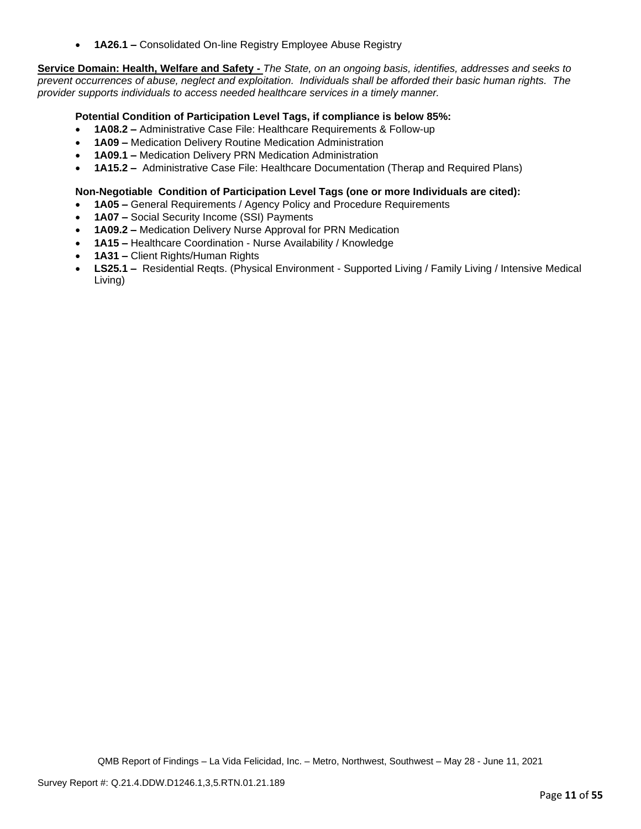• **1A26.1 –** Consolidated On-line Registry Employee Abuse Registry

**Service Domain: Health, Welfare and Safety -** *The State, on an ongoing basis, identifies, addresses and seeks to prevent occurrences of abuse, neglect and exploitation. Individuals shall be afforded their basic human rights. The provider supports individuals to access needed healthcare services in a timely manner.*

## **Potential Condition of Participation Level Tags, if compliance is below 85%:**

- **1A08.2 –** Administrative Case File: Healthcare Requirements & Follow-up
- **1A09 –** Medication Delivery Routine Medication Administration
- **1A09.1 –** Medication Delivery PRN Medication Administration
- **1A15.2 –** Administrative Case File: Healthcare Documentation (Therap and Required Plans)

#### **Non-Negotiable Condition of Participation Level Tags (one or more Individuals are cited):**

- **1A05 –** General Requirements / Agency Policy and Procedure Requirements
- **1A07 –** Social Security Income (SSI) Payments
- **1A09.2 –** Medication Delivery Nurse Approval for PRN Medication
- **1A15 –** Healthcare Coordination Nurse Availability / Knowledge
- **1A31 –** Client Rights/Human Rights
- **LS25.1 –** Residential Reqts. (Physical Environment Supported Living / Family Living / Intensive Medical Living)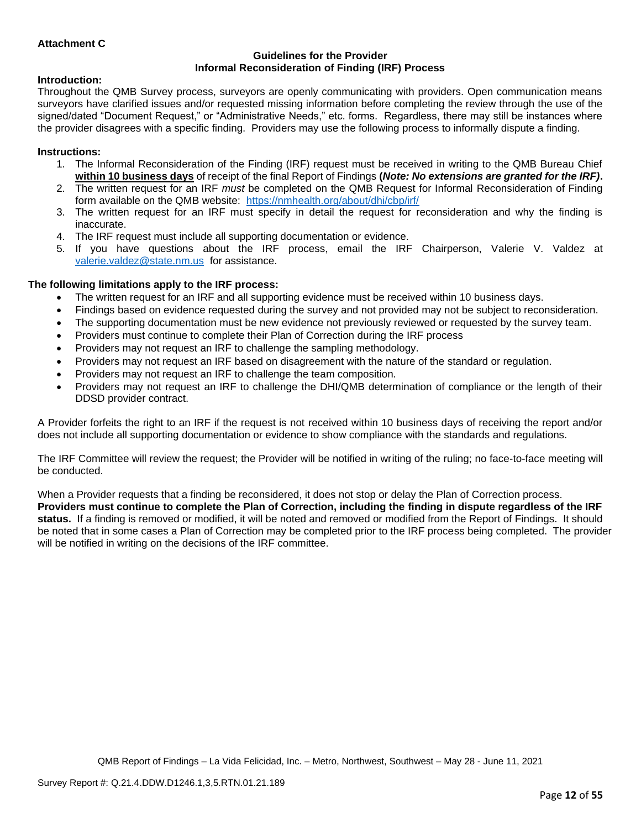## **Attachment C**

#### **Guidelines for the Provider Informal Reconsideration of Finding (IRF) Process**

## **Introduction:**

Throughout the QMB Survey process, surveyors are openly communicating with providers. Open communication means surveyors have clarified issues and/or requested missing information before completing the review through the use of the signed/dated "Document Request," or "Administrative Needs," etc. forms. Regardless, there may still be instances where the provider disagrees with a specific finding. Providers may use the following process to informally dispute a finding.

#### **Instructions:**

- 1. The Informal Reconsideration of the Finding (IRF) request must be received in writing to the QMB Bureau Chief **within 10 business days** of receipt of the final Report of Findings **(***Note: No extensions are granted for the IRF)***.**
- 2. The written request for an IRF *must* be completed on the QMB Request for Informal Reconsideration of Finding form available on the QMB website: <https://nmhealth.org/about/dhi/cbp/irf/>
- 3. The written request for an IRF must specify in detail the request for reconsideration and why the finding is inaccurate.
- 4. The IRF request must include all supporting documentation or evidence.
- 5. If you have questions about the IRF process, email the IRF Chairperson, Valerie V. Valdez at [valerie.valdez@state.nm.us](mailto:valerie.valdez@state.nm.us) for assistance.

## **The following limitations apply to the IRF process:**

- The written request for an IRF and all supporting evidence must be received within 10 business days.
- Findings based on evidence requested during the survey and not provided may not be subject to reconsideration.
- The supporting documentation must be new evidence not previously reviewed or requested by the survey team.
- Providers must continue to complete their Plan of Correction during the IRF process
- Providers may not request an IRF to challenge the sampling methodology.
- Providers may not request an IRF based on disagreement with the nature of the standard or regulation.
- Providers may not request an IRF to challenge the team composition.
- Providers may not request an IRF to challenge the DHI/QMB determination of compliance or the length of their DDSD provider contract.

A Provider forfeits the right to an IRF if the request is not received within 10 business days of receiving the report and/or does not include all supporting documentation or evidence to show compliance with the standards and regulations.

The IRF Committee will review the request; the Provider will be notified in writing of the ruling; no face-to-face meeting will be conducted.

When a Provider requests that a finding be reconsidered, it does not stop or delay the Plan of Correction process. **Providers must continue to complete the Plan of Correction, including the finding in dispute regardless of the IRF status.** If a finding is removed or modified, it will be noted and removed or modified from the Report of Findings. It should be noted that in some cases a Plan of Correction may be completed prior to the IRF process being completed. The provider will be notified in writing on the decisions of the IRF committee.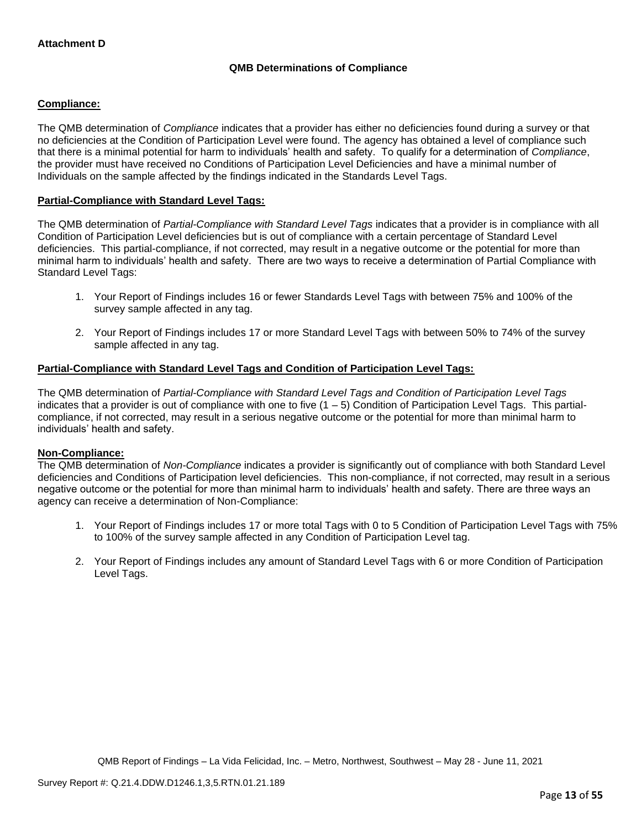## **QMB Determinations of Compliance**

## **Compliance:**

The QMB determination of *Compliance* indicates that a provider has either no deficiencies found during a survey or that no deficiencies at the Condition of Participation Level were found. The agency has obtained a level of compliance such that there is a minimal potential for harm to individuals' health and safety. To qualify for a determination of *Compliance*, the provider must have received no Conditions of Participation Level Deficiencies and have a minimal number of Individuals on the sample affected by the findings indicated in the Standards Level Tags.

## **Partial-Compliance with Standard Level Tags:**

The QMB determination of *Partial-Compliance with Standard Level Tags* indicates that a provider is in compliance with all Condition of Participation Level deficiencies but is out of compliance with a certain percentage of Standard Level deficiencies. This partial-compliance, if not corrected, may result in a negative outcome or the potential for more than minimal harm to individuals' health and safety. There are two ways to receive a determination of Partial Compliance with Standard Level Tags:

- 1. Your Report of Findings includes 16 or fewer Standards Level Tags with between 75% and 100% of the survey sample affected in any tag.
- 2. Your Report of Findings includes 17 or more Standard Level Tags with between 50% to 74% of the survey sample affected in any tag.

## **Partial-Compliance with Standard Level Tags and Condition of Participation Level Tags:**

The QMB determination of *Partial-Compliance with Standard Level Tags and Condition of Participation Level Tags*  indicates that a provider is out of compliance with one to five  $(1 - 5)$  Condition of Participation Level Tags. This partialcompliance, if not corrected, may result in a serious negative outcome or the potential for more than minimal harm to individuals' health and safety.

## **Non-Compliance:**

The QMB determination of *Non-Compliance* indicates a provider is significantly out of compliance with both Standard Level deficiencies and Conditions of Participation level deficiencies. This non-compliance, if not corrected, may result in a serious negative outcome or the potential for more than minimal harm to individuals' health and safety. There are three ways an agency can receive a determination of Non-Compliance:

- 1. Your Report of Findings includes 17 or more total Tags with 0 to 5 Condition of Participation Level Tags with 75% to 100% of the survey sample affected in any Condition of Participation Level tag.
- 2. Your Report of Findings includes any amount of Standard Level Tags with 6 or more Condition of Participation Level Tags.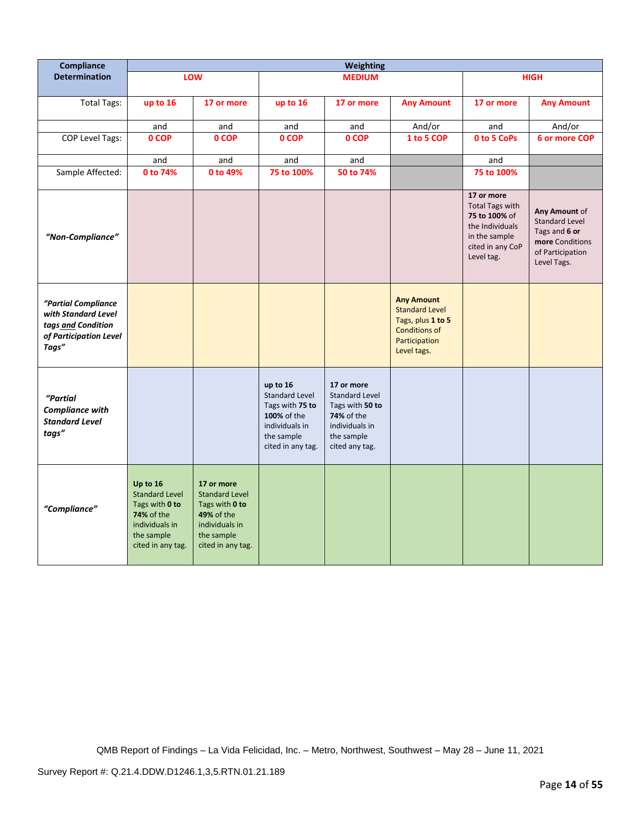| <b>Compliance</b>                                                                                   |                                                                                                                        |                                                                                                                                 |                                                                                                                          | Weighting                                                                                                              |                                                                                                                         |                                                                                                                             |                                                                                                               |
|-----------------------------------------------------------------------------------------------------|------------------------------------------------------------------------------------------------------------------------|---------------------------------------------------------------------------------------------------------------------------------|--------------------------------------------------------------------------------------------------------------------------|------------------------------------------------------------------------------------------------------------------------|-------------------------------------------------------------------------------------------------------------------------|-----------------------------------------------------------------------------------------------------------------------------|---------------------------------------------------------------------------------------------------------------|
| <b>Determination</b>                                                                                |                                                                                                                        | LOW                                                                                                                             |                                                                                                                          | <b>MEDIUM</b>                                                                                                          |                                                                                                                         |                                                                                                                             | <b>HIGH</b>                                                                                                   |
| <b>Total Tags:</b>                                                                                  | up to 16                                                                                                               | 17 or more                                                                                                                      | up to 16                                                                                                                 | 17 or more                                                                                                             | <b>Any Amount</b>                                                                                                       | 17 or more                                                                                                                  | <b>Any Amount</b>                                                                                             |
|                                                                                                     | and                                                                                                                    | and                                                                                                                             | and                                                                                                                      | and                                                                                                                    | And/or                                                                                                                  | and                                                                                                                         | And/or                                                                                                        |
| COP Level Tags:                                                                                     | 0 COP                                                                                                                  | 0 COP                                                                                                                           | 0 COP                                                                                                                    | 0 COP                                                                                                                  | 1 to 5 COP                                                                                                              | <b>0 to 5 CoPs</b>                                                                                                          | 6 or more COP                                                                                                 |
|                                                                                                     | and                                                                                                                    | and                                                                                                                             | and                                                                                                                      | and                                                                                                                    |                                                                                                                         | and                                                                                                                         |                                                                                                               |
| Sample Affected:                                                                                    | 0 to 74%                                                                                                               | 0 to 49%                                                                                                                        | 75 to 100%                                                                                                               | 50 to 74%                                                                                                              |                                                                                                                         | 75 to 100%                                                                                                                  |                                                                                                               |
| "Non-Compliance"                                                                                    |                                                                                                                        |                                                                                                                                 |                                                                                                                          |                                                                                                                        |                                                                                                                         | 17 or more<br><b>Total Tags with</b><br>75 to 100% of<br>the Individuals<br>in the sample<br>cited in any CoP<br>Level tag. | Any Amount of<br><b>Standard Level</b><br>Tags and 6 or<br>more Conditions<br>of Participation<br>Level Tags. |
| "Partial Compliance<br>with Standard Level<br>tags and Condition<br>of Participation Level<br>Tags" |                                                                                                                        |                                                                                                                                 |                                                                                                                          |                                                                                                                        | <b>Any Amount</b><br><b>Standard Level</b><br>Tags, plus 1 to 5<br><b>Conditions of</b><br>Participation<br>Level tags. |                                                                                                                             |                                                                                                               |
| "Partial<br>Compliance with<br><b>Standard Level</b><br>tags"                                       |                                                                                                                        |                                                                                                                                 | up to 16<br><b>Standard Level</b><br>Tags with 75 to<br>100% of the<br>individuals in<br>the sample<br>cited in any tag. | 17 or more<br>Standard Level<br>Tags with 50 to<br><b>74%</b> of the<br>individuals in<br>the sample<br>cited any tag. |                                                                                                                         |                                                                                                                             |                                                                                                               |
| "Compliance"                                                                                        | Up to 16<br><b>Standard Level</b><br>Tags with 0 to<br>74% of the<br>individuals in<br>the sample<br>cited in any tag. | 17 or more<br><b>Standard Level</b><br>Tags with 0 to<br><b>49% of the</b><br>individuals in<br>the sample<br>cited in any tag. |                                                                                                                          |                                                                                                                        |                                                                                                                         |                                                                                                                             |                                                                                                               |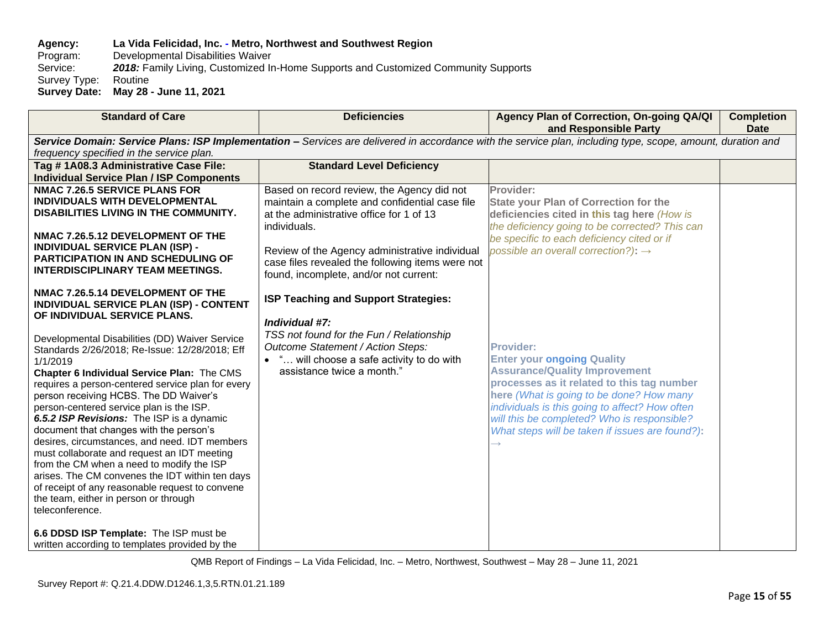## **Agency: La Vida Felicidad, Inc. - Metro, Northwest and Southwest Region** Program: Developmental Disabilities Waiver<br>Service: 2018: Family Living, Customized In 2018: Family Living, Customized In-Home Supports and Customized Community Supports<br>Routine Survey Type: **Survey Date: May 28 - June 11, 2021**

| <b>Standard of Care</b>                                                                                                                                                                                                                                                                                                                                                                                                                                                                                                                                                                                                                                                                                                                                                                                                             | <b>Deficiencies</b>                                                                                                                                                                                                                                                                                      | Agency Plan of Correction, On-going QA/QI<br>and Responsible Party                                                                                                                                                                                                                                                                          | <b>Completion</b><br><b>Date</b> |
|-------------------------------------------------------------------------------------------------------------------------------------------------------------------------------------------------------------------------------------------------------------------------------------------------------------------------------------------------------------------------------------------------------------------------------------------------------------------------------------------------------------------------------------------------------------------------------------------------------------------------------------------------------------------------------------------------------------------------------------------------------------------------------------------------------------------------------------|----------------------------------------------------------------------------------------------------------------------------------------------------------------------------------------------------------------------------------------------------------------------------------------------------------|---------------------------------------------------------------------------------------------------------------------------------------------------------------------------------------------------------------------------------------------------------------------------------------------------------------------------------------------|----------------------------------|
|                                                                                                                                                                                                                                                                                                                                                                                                                                                                                                                                                                                                                                                                                                                                                                                                                                     |                                                                                                                                                                                                                                                                                                          | Service Domain: Service Plans: ISP Implementation - Services are delivered in accordance with the service plan, including type, scope, amount, duration and                                                                                                                                                                                 |                                  |
| frequency specified in the service plan.                                                                                                                                                                                                                                                                                                                                                                                                                                                                                                                                                                                                                                                                                                                                                                                            |                                                                                                                                                                                                                                                                                                          |                                                                                                                                                                                                                                                                                                                                             |                                  |
| Tag #1A08.3 Administrative Case File:<br><b>Individual Service Plan / ISP Components</b>                                                                                                                                                                                                                                                                                                                                                                                                                                                                                                                                                                                                                                                                                                                                            | <b>Standard Level Deficiency</b>                                                                                                                                                                                                                                                                         |                                                                                                                                                                                                                                                                                                                                             |                                  |
| <b>NMAC 7.26.5 SERVICE PLANS FOR</b><br>INDIVIDUALS WITH DEVELOPMENTAL<br>DISABILITIES LIVING IN THE COMMUNITY.<br>NMAC 7.26.5.12 DEVELOPMENT OF THE<br><b>INDIVIDUAL SERVICE PLAN (ISP) -</b><br><b>PARTICIPATION IN AND SCHEDULING OF</b><br><b>INTERDISCIPLINARY TEAM MEETINGS.</b>                                                                                                                                                                                                                                                                                                                                                                                                                                                                                                                                              | Based on record review, the Agency did not<br>maintain a complete and confidential case file<br>at the administrative office for 1 of 13<br>individuals.<br>Review of the Agency administrative individual<br>case files revealed the following items were not<br>found, incomplete, and/or not current: | Provider:<br><b>State your Plan of Correction for the</b><br>deficiencies cited in this tag here (How is<br>the deficiency going to be corrected? This can<br>be specific to each deficiency cited or if<br>possible an overall correction?): $\rightarrow$                                                                                 |                                  |
| NMAC 7.26.5.14 DEVELOPMENT OF THE<br><b>INDIVIDUAL SERVICE PLAN (ISP) - CONTENT</b><br>OF INDIVIDUAL SERVICE PLANS.<br>Developmental Disabilities (DD) Waiver Service<br>Standards 2/26/2018; Re-Issue: 12/28/2018; Eff<br>1/1/2019<br>Chapter 6 Individual Service Plan: The CMS<br>requires a person-centered service plan for every<br>person receiving HCBS. The DD Waiver's<br>person-centered service plan is the ISP.<br>6.5.2 ISP Revisions: The ISP is a dynamic<br>document that changes with the person's<br>desires, circumstances, and need. IDT members<br>must collaborate and request an IDT meeting<br>from the CM when a need to modify the ISP<br>arises. The CM convenes the IDT within ten days<br>of receipt of any reasonable request to convene<br>the team, either in person or through<br>teleconference. | ISP Teaching and Support Strategies:<br>Individual #7:<br>TSS not found for the Fun / Relationship<br>Outcome Statement / Action Steps:<br>• " will choose a safe activity to do with<br>assistance twice a month."                                                                                      | <b>Provider:</b><br><b>Enter your ongoing Quality</b><br><b>Assurance/Quality Improvement</b><br>processes as it related to this tag number<br>here (What is going to be done? How many<br>individuals is this going to affect? How often<br>will this be completed? Who is responsible?<br>What steps will be taken if issues are found?): |                                  |
| 6.6 DDSD ISP Template: The ISP must be<br>written according to templates provided by the                                                                                                                                                                                                                                                                                                                                                                                                                                                                                                                                                                                                                                                                                                                                            |                                                                                                                                                                                                                                                                                                          |                                                                                                                                                                                                                                                                                                                                             |                                  |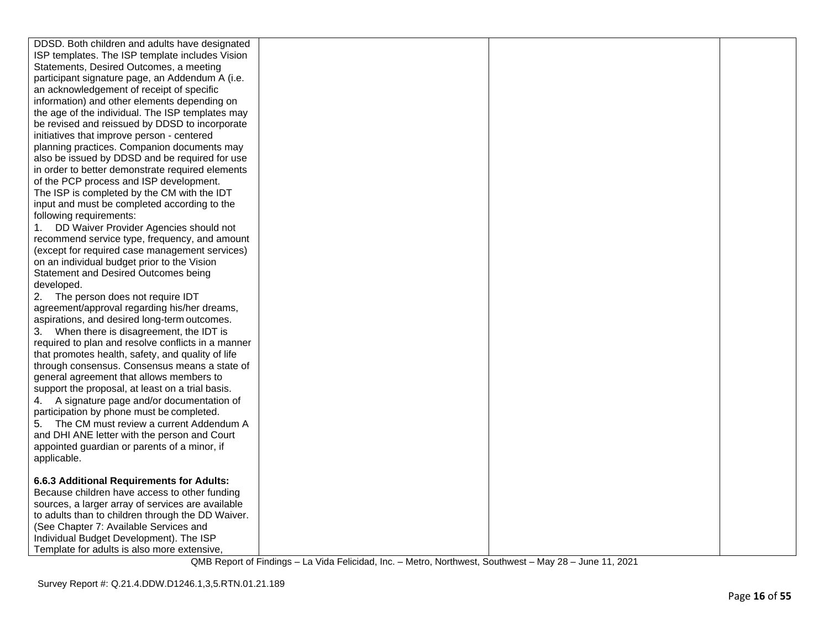| DDSD. Both children and adults have designated     |  |  |
|----------------------------------------------------|--|--|
| ISP templates. The ISP template includes Vision    |  |  |
| Statements, Desired Outcomes, a meeting            |  |  |
| participant signature page, an Addendum A (i.e.    |  |  |
| an acknowledgement of receipt of specific          |  |  |
| information) and other elements depending on       |  |  |
| the age of the individual. The ISP templates may   |  |  |
| be revised and reissued by DDSD to incorporate     |  |  |
| initiatives that improve person - centered         |  |  |
| planning practices. Companion documents may        |  |  |
| also be issued by DDSD and be required for use     |  |  |
| in order to better demonstrate required elements   |  |  |
| of the PCP process and ISP development.            |  |  |
| The ISP is completed by the CM with the IDT        |  |  |
| input and must be completed according to the       |  |  |
| following requirements:                            |  |  |
| DD Waiver Provider Agencies should not<br>1.       |  |  |
| recommend service type, frequency, and amount      |  |  |
| (except for required case management services)     |  |  |
| on an individual budget prior to the Vision        |  |  |
| Statement and Desired Outcomes being               |  |  |
| developed.                                         |  |  |
| 2. The person does not require IDT                 |  |  |
| agreement/approval regarding his/her dreams,       |  |  |
| aspirations, and desired long-term outcomes.       |  |  |
| 3. When there is disagreement, the IDT is          |  |  |
| required to plan and resolve conflicts in a manner |  |  |
| that promotes health, safety, and quality of life  |  |  |
| through consensus. Consensus means a state of      |  |  |
| general agreement that allows members to           |  |  |
| support the proposal, at least on a trial basis.   |  |  |
| 4. A signature page and/or documentation of        |  |  |
| participation by phone must be completed.          |  |  |
| The CM must review a current Addendum A<br>5.      |  |  |
| and DHI ANE letter with the person and Court       |  |  |
| appointed guardian or parents of a minor, if       |  |  |
| applicable.                                        |  |  |
|                                                    |  |  |
| 6.6.3 Additional Requirements for Adults:          |  |  |
| Because children have access to other funding      |  |  |
| sources, a larger array of services are available  |  |  |
| to adults than to children through the DD Waiver.  |  |  |
| (See Chapter 7: Available Services and             |  |  |
| Individual Budget Development). The ISP            |  |  |
| Template for adults is also more extensive,        |  |  |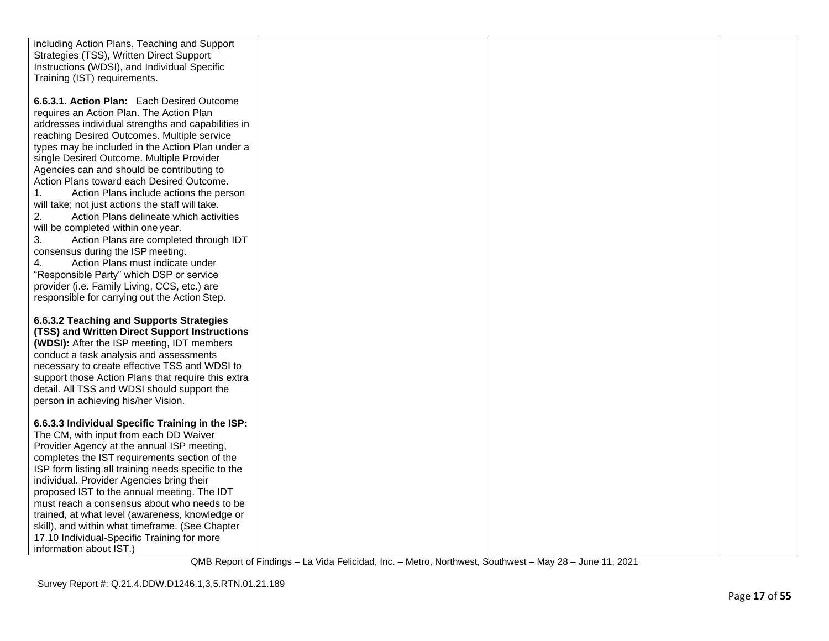| including Action Plans, Teaching and Support              |  |  |
|-----------------------------------------------------------|--|--|
| Strategies (TSS), Written Direct Support                  |  |  |
| Instructions (WDSI), and Individual Specific              |  |  |
| Training (IST) requirements.                              |  |  |
|                                                           |  |  |
| 6.6.3.1. Action Plan: Each Desired Outcome                |  |  |
| requires an Action Plan. The Action Plan                  |  |  |
| addresses individual strengths and capabilities in        |  |  |
|                                                           |  |  |
| reaching Desired Outcomes. Multiple service               |  |  |
| types may be included in the Action Plan under a          |  |  |
| single Desired Outcome. Multiple Provider                 |  |  |
| Agencies can and should be contributing to                |  |  |
| Action Plans toward each Desired Outcome.                 |  |  |
| $\mathbf{1}$ .<br>Action Plans include actions the person |  |  |
| will take; not just actions the staff will take.          |  |  |
| Action Plans delineate which activities<br>2.             |  |  |
| will be completed within one year.                        |  |  |
| 3.<br>Action Plans are completed through IDT              |  |  |
| consensus during the ISP meeting.                         |  |  |
| 4.<br>Action Plans must indicate under                    |  |  |
| "Responsible Party" which DSP or service                  |  |  |
| provider (i.e. Family Living, CCS, etc.) are              |  |  |
| responsible for carrying out the Action Step.             |  |  |
|                                                           |  |  |
|                                                           |  |  |
| 6.6.3.2 Teaching and Supports Strategies                  |  |  |
| (TSS) and Written Direct Support Instructions             |  |  |
| (WDSI): After the ISP meeting, IDT members                |  |  |
| conduct a task analysis and assessments                   |  |  |
| necessary to create effective TSS and WDSI to             |  |  |
| support those Action Plans that require this extra        |  |  |
| detail. All TSS and WDSI should support the               |  |  |
| person in achieving his/her Vision.                       |  |  |
|                                                           |  |  |
| 6.6.3.3 Individual Specific Training in the ISP:          |  |  |
| The CM, with input from each DD Waiver                    |  |  |
| Provider Agency at the annual ISP meeting,                |  |  |
| completes the IST requirements section of the             |  |  |
| ISP form listing all training needs specific to the       |  |  |
| individual. Provider Agencies bring their                 |  |  |
| proposed IST to the annual meeting. The IDT               |  |  |
| must reach a consensus about who needs to be              |  |  |
| trained, at what level (awareness, knowledge or           |  |  |
| skill), and within what timeframe. (See Chapter           |  |  |
| 17.10 Individual-Specific Training for more               |  |  |
|                                                           |  |  |
| information about IST.)                                   |  |  |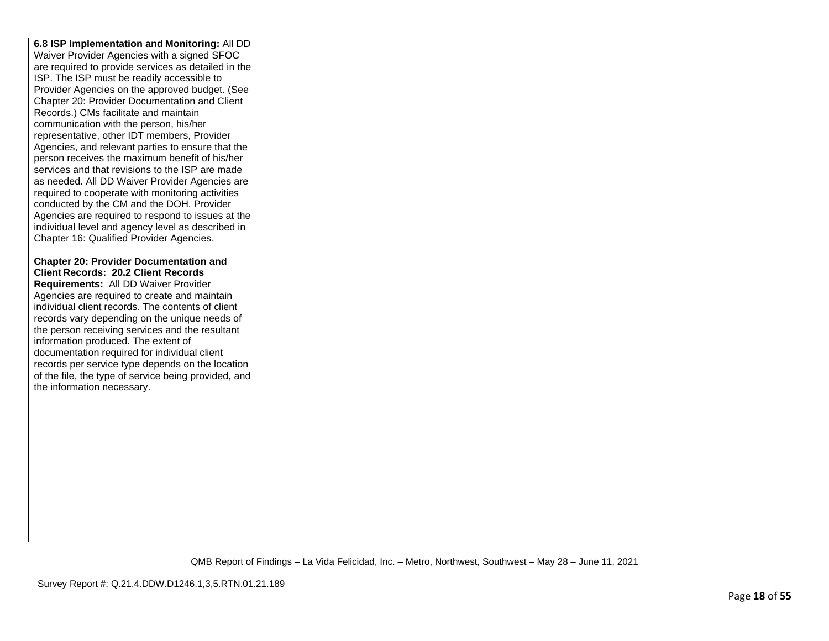| 6.8 ISP Implementation and Monitoring: All DD        |  |  |
|------------------------------------------------------|--|--|
| Waiver Provider Agencies with a signed SFOC          |  |  |
| are required to provide services as detailed in the  |  |  |
| ISP. The ISP must be readily accessible to           |  |  |
| Provider Agencies on the approved budget. (See       |  |  |
| Chapter 20: Provider Documentation and Client        |  |  |
| Records.) CMs facilitate and maintain                |  |  |
| communication with the person, his/her               |  |  |
| representative, other IDT members, Provider          |  |  |
| Agencies, and relevant parties to ensure that the    |  |  |
| person receives the maximum benefit of his/her       |  |  |
| services and that revisions to the ISP are made      |  |  |
| as needed. All DD Waiver Provider Agencies are       |  |  |
| required to cooperate with monitoring activities     |  |  |
| conducted by the CM and the DOH. Provider            |  |  |
| Agencies are required to respond to issues at the    |  |  |
| individual level and agency level as described in    |  |  |
| Chapter 16: Qualified Provider Agencies.             |  |  |
|                                                      |  |  |
| <b>Chapter 20: Provider Documentation and</b>        |  |  |
| <b>Client Records: 20.2 Client Records</b>           |  |  |
| Requirements: All DD Waiver Provider                 |  |  |
| Agencies are required to create and maintain         |  |  |
| individual client records. The contents of client    |  |  |
| records vary depending on the unique needs of        |  |  |
| the person receiving services and the resultant      |  |  |
| information produced. The extent of                  |  |  |
| documentation required for individual client         |  |  |
| records per service type depends on the location     |  |  |
| of the file, the type of service being provided, and |  |  |
| the information necessary.                           |  |  |
|                                                      |  |  |
|                                                      |  |  |
|                                                      |  |  |
|                                                      |  |  |
|                                                      |  |  |
|                                                      |  |  |
|                                                      |  |  |
|                                                      |  |  |
|                                                      |  |  |
|                                                      |  |  |
|                                                      |  |  |
|                                                      |  |  |
|                                                      |  |  |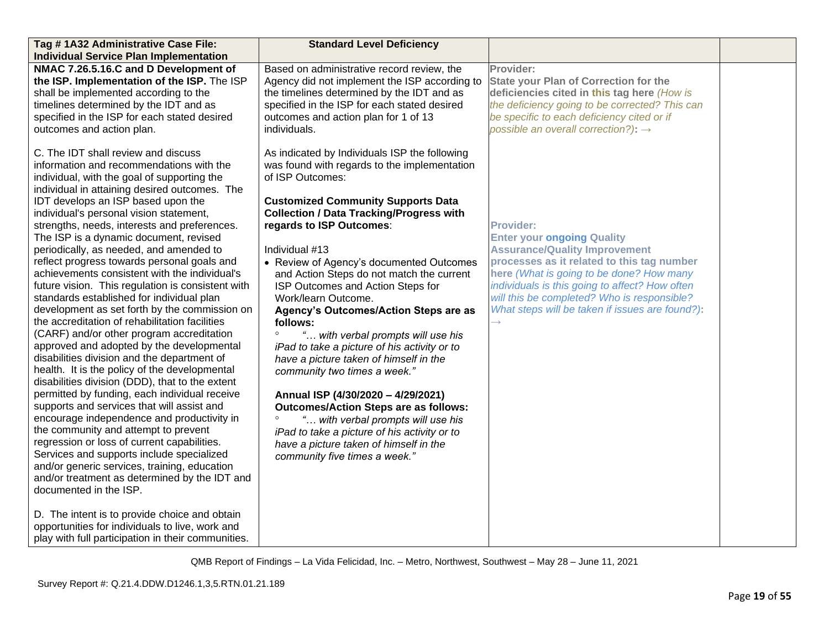| Tag # 1A32 Administrative Case File:                                                                                                                                                                                                                                                                                                                                                                                                                                                                                                                                                                                                                                                                                                                                                                                                                                                                                                                                                                                                                                                                                                                                                                                                                                                                                                                                                                                                                                                                                          | <b>Standard Level Deficiency</b>                                                                                                                                                                                                                                                                                                                                                                                                                                                                                                                                                                                                                                                                                                                                                                                                                                                                            |                                                                                                                                                                                                                                                                                                                                                              |  |
|-------------------------------------------------------------------------------------------------------------------------------------------------------------------------------------------------------------------------------------------------------------------------------------------------------------------------------------------------------------------------------------------------------------------------------------------------------------------------------------------------------------------------------------------------------------------------------------------------------------------------------------------------------------------------------------------------------------------------------------------------------------------------------------------------------------------------------------------------------------------------------------------------------------------------------------------------------------------------------------------------------------------------------------------------------------------------------------------------------------------------------------------------------------------------------------------------------------------------------------------------------------------------------------------------------------------------------------------------------------------------------------------------------------------------------------------------------------------------------------------------------------------------------|-------------------------------------------------------------------------------------------------------------------------------------------------------------------------------------------------------------------------------------------------------------------------------------------------------------------------------------------------------------------------------------------------------------------------------------------------------------------------------------------------------------------------------------------------------------------------------------------------------------------------------------------------------------------------------------------------------------------------------------------------------------------------------------------------------------------------------------------------------------------------------------------------------------|--------------------------------------------------------------------------------------------------------------------------------------------------------------------------------------------------------------------------------------------------------------------------------------------------------------------------------------------------------------|--|
| <b>Individual Service Plan Implementation</b>                                                                                                                                                                                                                                                                                                                                                                                                                                                                                                                                                                                                                                                                                                                                                                                                                                                                                                                                                                                                                                                                                                                                                                                                                                                                                                                                                                                                                                                                                 |                                                                                                                                                                                                                                                                                                                                                                                                                                                                                                                                                                                                                                                                                                                                                                                                                                                                                                             |                                                                                                                                                                                                                                                                                                                                                              |  |
| NMAC 7.26.5.16.C and D Development of<br>the ISP. Implementation of the ISP. The ISP<br>shall be implemented according to the<br>timelines determined by the IDT and as<br>specified in the ISP for each stated desired<br>outcomes and action plan.                                                                                                                                                                                                                                                                                                                                                                                                                                                                                                                                                                                                                                                                                                                                                                                                                                                                                                                                                                                                                                                                                                                                                                                                                                                                          | Based on administrative record review, the<br>Agency did not implement the ISP according to<br>the timelines determined by the IDT and as<br>specified in the ISP for each stated desired<br>outcomes and action plan for 1 of 13<br>individuals.                                                                                                                                                                                                                                                                                                                                                                                                                                                                                                                                                                                                                                                           | Provider:<br><b>State your Plan of Correction for the</b><br>deficiencies cited in this tag here (How is<br>the deficiency going to be corrected? This can<br>be specific to each deficiency cited or if<br>possible an overall correction?): $\rightarrow$                                                                                                  |  |
| C. The IDT shall review and discuss<br>information and recommendations with the<br>individual, with the goal of supporting the<br>individual in attaining desired outcomes. The<br>IDT develops an ISP based upon the<br>individual's personal vision statement,<br>strengths, needs, interests and preferences.<br>The ISP is a dynamic document, revised<br>periodically, as needed, and amended to<br>reflect progress towards personal goals and<br>achievements consistent with the individual's<br>future vision. This regulation is consistent with<br>standards established for individual plan<br>development as set forth by the commission on<br>the accreditation of rehabilitation facilities<br>(CARF) and/or other program accreditation<br>approved and adopted by the developmental<br>disabilities division and the department of<br>health. It is the policy of the developmental<br>disabilities division (DDD), that to the extent<br>permitted by funding, each individual receive<br>supports and services that will assist and<br>encourage independence and productivity in<br>the community and attempt to prevent<br>regression or loss of current capabilities.<br>Services and supports include specialized<br>and/or generic services, training, education<br>and/or treatment as determined by the IDT and<br>documented in the ISP.<br>D. The intent is to provide choice and obtain<br>opportunities for individuals to live, work and<br>play with full participation in their communities. | As indicated by Individuals ISP the following<br>was found with regards to the implementation<br>of ISP Outcomes:<br><b>Customized Community Supports Data</b><br><b>Collection / Data Tracking/Progress with</b><br>regards to ISP Outcomes:<br>Individual #13<br>• Review of Agency's documented Outcomes<br>and Action Steps do not match the current<br>ISP Outcomes and Action Steps for<br>Work/learn Outcome.<br>Agency's Outcomes/Action Steps are as<br>follows:<br>" with verbal prompts will use his<br>iPad to take a picture of his activity or to<br>have a picture taken of himself in the<br>community two times a week."<br>Annual ISP (4/30/2020 - 4/29/2021)<br><b>Outcomes/Action Steps are as follows:</b><br>$\circ$<br>" with verbal prompts will use his<br>iPad to take a picture of his activity or to<br>have a picture taken of himself in the<br>community five times a week." | <b>Provider:</b><br><b>Enter your ongoing Quality</b><br><b>Assurance/Quality Improvement</b><br>processes as it related to this tag number<br>here (What is going to be done? How many<br>individuals is this going to affect? How often<br>will this be completed? Who is responsible?<br>What steps will be taken if issues are found?):<br>$\rightarrow$ |  |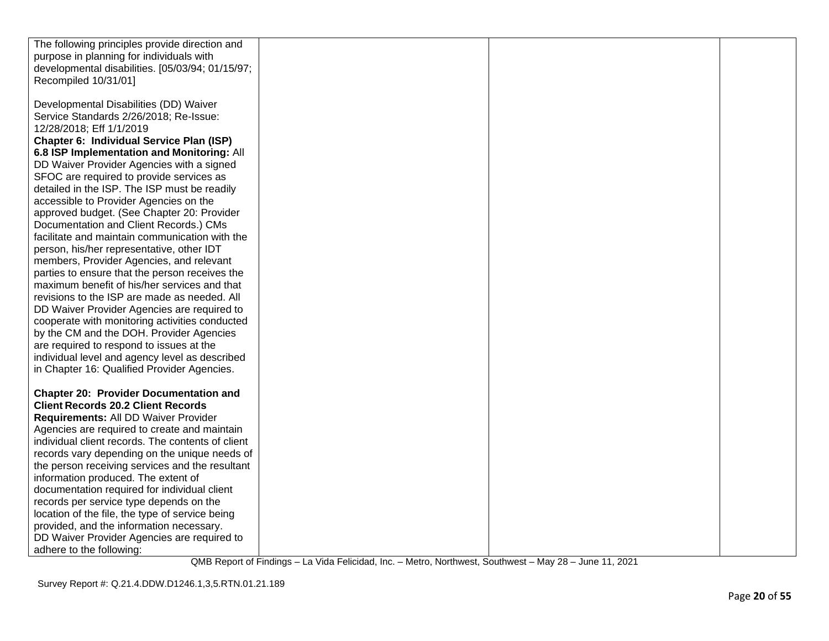| The following principles provide direction and    |  |  |
|---------------------------------------------------|--|--|
| purpose in planning for individuals with          |  |  |
| developmental disabilities. [05/03/94; 01/15/97;  |  |  |
| Recompiled 10/31/01]                              |  |  |
|                                                   |  |  |
|                                                   |  |  |
| Developmental Disabilities (DD) Waiver            |  |  |
| Service Standards 2/26/2018; Re-Issue:            |  |  |
| 12/28/2018; Eff 1/1/2019                          |  |  |
| Chapter 6: Individual Service Plan (ISP)          |  |  |
| 6.8 ISP Implementation and Monitoring: All        |  |  |
| DD Waiver Provider Agencies with a signed         |  |  |
| SFOC are required to provide services as          |  |  |
| detailed in the ISP. The ISP must be readily      |  |  |
| accessible to Provider Agencies on the            |  |  |
| approved budget. (See Chapter 20: Provider        |  |  |
| Documentation and Client Records.) CMs            |  |  |
| facilitate and maintain communication with the    |  |  |
| person, his/her representative, other IDT         |  |  |
| members, Provider Agencies, and relevant          |  |  |
| parties to ensure that the person receives the    |  |  |
| maximum benefit of his/her services and that      |  |  |
| revisions to the ISP are made as needed. All      |  |  |
| DD Waiver Provider Agencies are required to       |  |  |
| cooperate with monitoring activities conducted    |  |  |
| by the CM and the DOH. Provider Agencies          |  |  |
|                                                   |  |  |
| are required to respond to issues at the          |  |  |
| individual level and agency level as described    |  |  |
| in Chapter 16: Qualified Provider Agencies.       |  |  |
|                                                   |  |  |
| <b>Chapter 20: Provider Documentation and</b>     |  |  |
| <b>Client Records 20.2 Client Records</b>         |  |  |
| Requirements: All DD Waiver Provider              |  |  |
| Agencies are required to create and maintain      |  |  |
| individual client records. The contents of client |  |  |
| records vary depending on the unique needs of     |  |  |
| the person receiving services and the resultant   |  |  |
| information produced. The extent of               |  |  |
| documentation required for individual client      |  |  |
| records per service type depends on the           |  |  |
| location of the file, the type of service being   |  |  |
| provided, and the information necessary.          |  |  |
| DD Waiver Provider Agencies are required to       |  |  |
| adhere to the following:                          |  |  |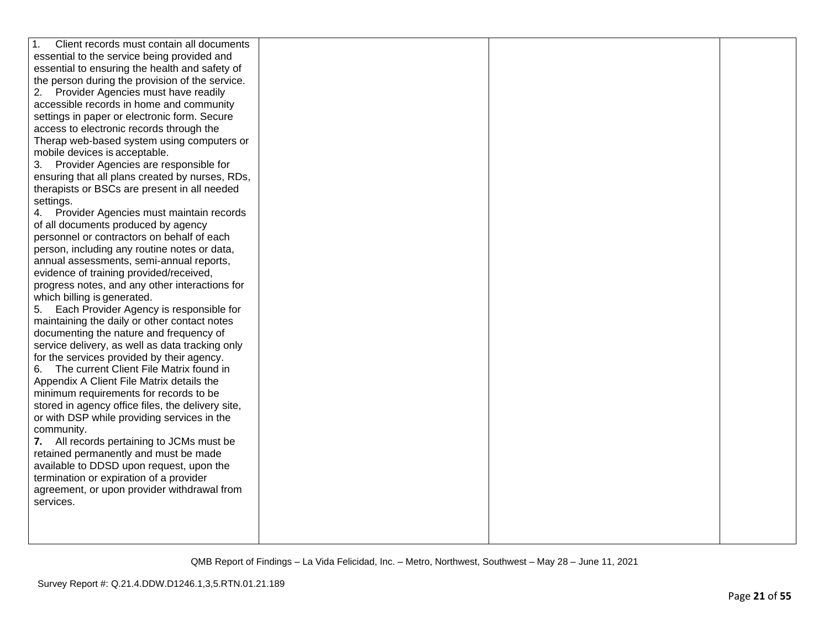| Client records must contain all documents<br>1.   |  |  |
|---------------------------------------------------|--|--|
| essential to the service being provided and       |  |  |
| essential to ensuring the health and safety of    |  |  |
| the person during the provision of the service.   |  |  |
| Provider Agencies must have readily<br>2.         |  |  |
| accessible records in home and community          |  |  |
| settings in paper or electronic form. Secure      |  |  |
| access to electronic records through the          |  |  |
| Therap web-based system using computers or        |  |  |
| mobile devices is acceptable.                     |  |  |
| 3. Provider Agencies are responsible for          |  |  |
| ensuring that all plans created by nurses, RDs,   |  |  |
| therapists or BSCs are present in all needed      |  |  |
| settings.                                         |  |  |
| 4. Provider Agencies must maintain records        |  |  |
| of all documents produced by agency               |  |  |
| personnel or contractors on behalf of each        |  |  |
| person, including any routine notes or data,      |  |  |
| annual assessments, semi-annual reports,          |  |  |
| evidence of training provided/received,           |  |  |
| progress notes, and any other interactions for    |  |  |
| which billing is generated.                       |  |  |
| Each Provider Agency is responsible for<br>5.     |  |  |
| maintaining the daily or other contact notes      |  |  |
| documenting the nature and frequency of           |  |  |
| service delivery, as well as data tracking only   |  |  |
| for the services provided by their agency.        |  |  |
| The current Client File Matrix found in<br>6.     |  |  |
| Appendix A Client File Matrix details the         |  |  |
| minimum requirements for records to be            |  |  |
| stored in agency office files, the delivery site, |  |  |
| or with DSP while providing services in the       |  |  |
| community.                                        |  |  |
| 7. All records pertaining to JCMs must be         |  |  |
| retained permanently and must be made             |  |  |
| available to DDSD upon request, upon the          |  |  |
| termination or expiration of a provider           |  |  |
| agreement, or upon provider withdrawal from       |  |  |
| services.                                         |  |  |
|                                                   |  |  |
|                                                   |  |  |
|                                                   |  |  |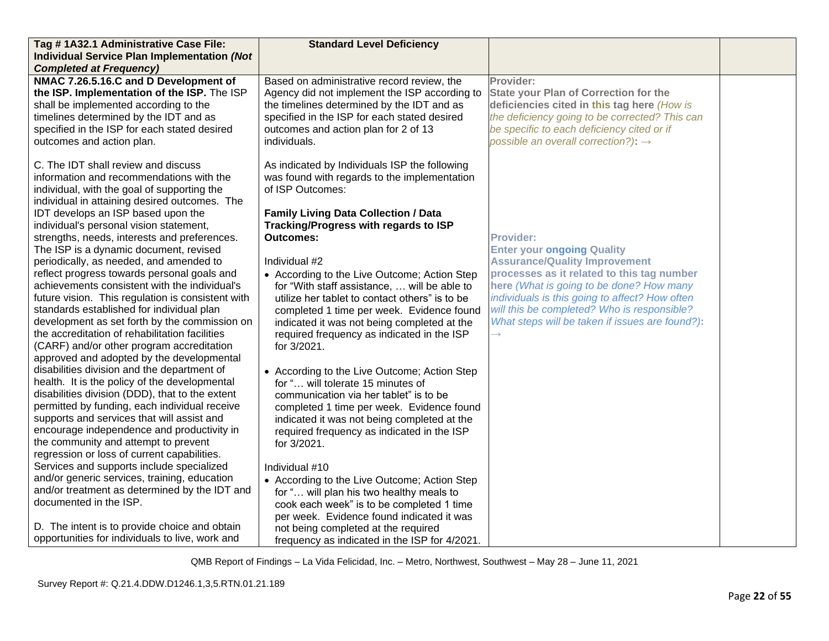| Tag #1A32.1 Administrative Case File:                                                                                                                                                                                                                                                                                                                                                                                                  | <b>Standard Level Deficiency</b>                                                                                                                                                                                                                                                                                         |                                                                                                                                                                                                                                                                                    |  |
|----------------------------------------------------------------------------------------------------------------------------------------------------------------------------------------------------------------------------------------------------------------------------------------------------------------------------------------------------------------------------------------------------------------------------------------|--------------------------------------------------------------------------------------------------------------------------------------------------------------------------------------------------------------------------------------------------------------------------------------------------------------------------|------------------------------------------------------------------------------------------------------------------------------------------------------------------------------------------------------------------------------------------------------------------------------------|--|
| <b>Individual Service Plan Implementation (Not</b>                                                                                                                                                                                                                                                                                                                                                                                     |                                                                                                                                                                                                                                                                                                                          |                                                                                                                                                                                                                                                                                    |  |
| <b>Completed at Frequency)</b>                                                                                                                                                                                                                                                                                                                                                                                                         |                                                                                                                                                                                                                                                                                                                          |                                                                                                                                                                                                                                                                                    |  |
| NMAC 7.26.5.16.C and D Development of<br>the ISP. Implementation of the ISP. The ISP<br>shall be implemented according to the<br>timelines determined by the IDT and as<br>specified in the ISP for each stated desired<br>outcomes and action plan.                                                                                                                                                                                   | Based on administrative record review, the<br>Agency did not implement the ISP according to<br>the timelines determined by the IDT and as<br>specified in the ISP for each stated desired<br>outcomes and action plan for 2 of 13<br>individuals.                                                                        | Provider:<br><b>State your Plan of Correction for the</b><br>deficiencies cited in this tag here (How is<br>the deficiency going to be corrected? This can<br>be specific to each deficiency cited or if<br>possible an overall correction?): $\rightarrow$                        |  |
| C. The IDT shall review and discuss<br>information and recommendations with the<br>individual, with the goal of supporting the<br>individual in attaining desired outcomes. The                                                                                                                                                                                                                                                        | As indicated by Individuals ISP the following<br>was found with regards to the implementation<br>of ISP Outcomes:                                                                                                                                                                                                        |                                                                                                                                                                                                                                                                                    |  |
| IDT develops an ISP based upon the<br>individual's personal vision statement,<br>strengths, needs, interests and preferences.<br>The ISP is a dynamic document, revised                                                                                                                                                                                                                                                                | <b>Family Living Data Collection / Data</b><br>Tracking/Progress with regards to ISP<br>Outcomes:                                                                                                                                                                                                                        | <b>Provider:</b><br><b>Enter your ongoing Quality</b>                                                                                                                                                                                                                              |  |
| periodically, as needed, and amended to<br>reflect progress towards personal goals and<br>achievements consistent with the individual's<br>future vision. This regulation is consistent with<br>standards established for individual plan<br>development as set forth by the commission on<br>the accreditation of rehabilitation facilities<br>(CARF) and/or other program accreditation<br>approved and adopted by the developmental | Individual #2<br>• According to the Live Outcome; Action Step<br>for "With staff assistance,  will be able to<br>utilize her tablet to contact others" is to be<br>completed 1 time per week. Evidence found<br>indicated it was not being completed at the<br>required frequency as indicated in the ISP<br>for 3/2021. | <b>Assurance/Quality Improvement</b><br>processes as it related to this tag number<br>here (What is going to be done? How many<br>individuals is this going to affect? How often<br>will this be completed? Who is responsible?<br>What steps will be taken if issues are found?): |  |
| disabilities division and the department of<br>health. It is the policy of the developmental<br>disabilities division (DDD), that to the extent<br>permitted by funding, each individual receive<br>supports and services that will assist and<br>encourage independence and productivity in<br>the community and attempt to prevent<br>regression or loss of current capabilities.                                                    | • According to the Live Outcome; Action Step<br>for " will tolerate 15 minutes of<br>communication via her tablet" is to be<br>completed 1 time per week. Evidence found<br>indicated it was not being completed at the<br>required frequency as indicated in the ISP<br>for 3/2021.                                     |                                                                                                                                                                                                                                                                                    |  |
| Services and supports include specialized<br>and/or generic services, training, education<br>and/or treatment as determined by the IDT and<br>documented in the ISP.<br>D. The intent is to provide choice and obtain<br>opportunities for individuals to live, work and                                                                                                                                                               | Individual #10<br>• According to the Live Outcome; Action Step<br>for " will plan his two healthy meals to<br>cook each week" is to be completed 1 time<br>per week. Evidence found indicated it was<br>not being completed at the required<br>frequency as indicated in the ISP for 4/2021.                             |                                                                                                                                                                                                                                                                                    |  |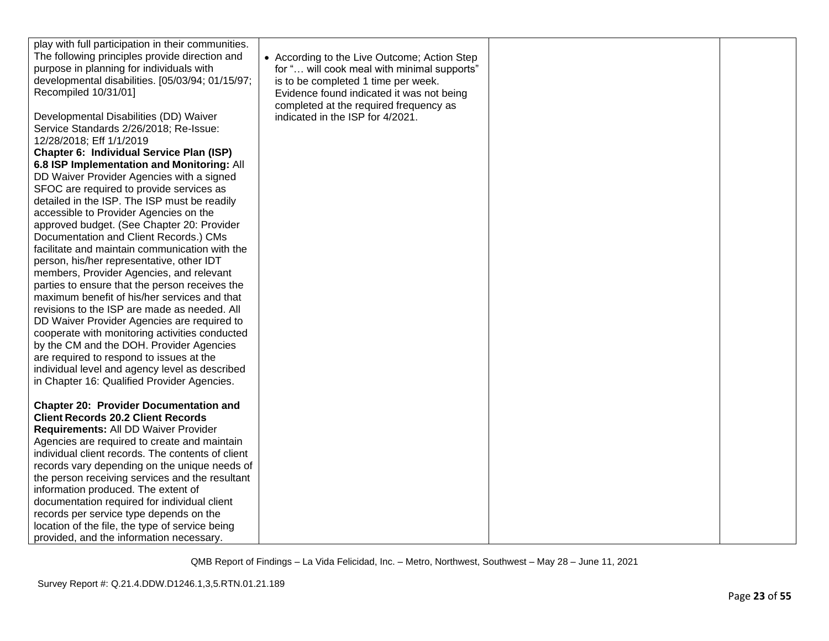| play with full participation in their communities.<br>The following principles provide direction and<br>purpose in planning for individuals with<br>developmental disabilities. [05/03/94; 01/15/97;<br>Recompiled 10/31/01]                                                                                                                                                                                                                                                                                                                                                 | • According to the Live Outcome; Action Step<br>for " will cook meal with minimal supports"<br>is to be completed 1 time per week.<br>Evidence found indicated it was not being |  |
|------------------------------------------------------------------------------------------------------------------------------------------------------------------------------------------------------------------------------------------------------------------------------------------------------------------------------------------------------------------------------------------------------------------------------------------------------------------------------------------------------------------------------------------------------------------------------|---------------------------------------------------------------------------------------------------------------------------------------------------------------------------------|--|
| Developmental Disabilities (DD) Waiver<br>Service Standards 2/26/2018; Re-Issue:<br>12/28/2018; Eff 1/1/2019<br>Chapter 6: Individual Service Plan (ISP)<br>6.8 ISP Implementation and Monitoring: All<br>DD Waiver Provider Agencies with a signed<br>SFOC are required to provide services as<br>detailed in the ISP. The ISP must be readily<br>accessible to Provider Agencies on the<br>approved budget. (See Chapter 20: Provider<br>Documentation and Client Records.) CMs<br>facilitate and maintain communication with the                                          | completed at the required frequency as<br>indicated in the ISP for 4/2021.                                                                                                      |  |
| person, his/her representative, other IDT<br>members, Provider Agencies, and relevant<br>parties to ensure that the person receives the<br>maximum benefit of his/her services and that<br>revisions to the ISP are made as needed. All<br>DD Waiver Provider Agencies are required to<br>cooperate with monitoring activities conducted<br>by the CM and the DOH. Provider Agencies<br>are required to respond to issues at the<br>individual level and agency level as described<br>in Chapter 16: Qualified Provider Agencies.                                            |                                                                                                                                                                                 |  |
| <b>Chapter 20: Provider Documentation and</b><br><b>Client Records 20.2 Client Records</b><br>Requirements: All DD Waiver Provider<br>Agencies are required to create and maintain<br>individual client records. The contents of client<br>records vary depending on the unique needs of<br>the person receiving services and the resultant<br>information produced. The extent of<br>documentation required for individual client<br>records per service type depends on the<br>location of the file, the type of service being<br>provided, and the information necessary. |                                                                                                                                                                                 |  |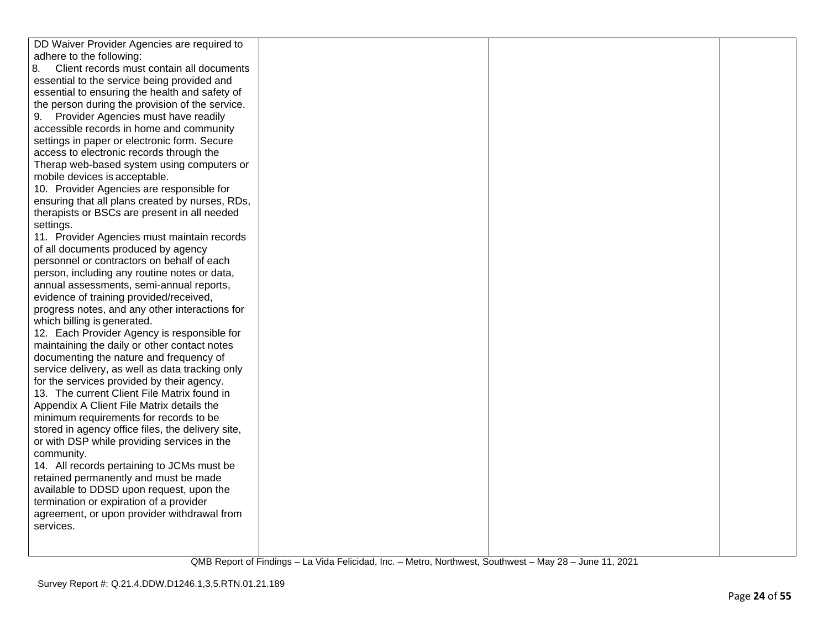| DD Waiver Provider Agencies are required to       |  |  |
|---------------------------------------------------|--|--|
| adhere to the following:                          |  |  |
| 8.<br>Client records must contain all documents   |  |  |
| essential to the service being provided and       |  |  |
| essential to ensuring the health and safety of    |  |  |
| the person during the provision of the service.   |  |  |
| 9. Provider Agencies must have readily            |  |  |
| accessible records in home and community          |  |  |
| settings in paper or electronic form. Secure      |  |  |
| access to electronic records through the          |  |  |
| Therap web-based system using computers or        |  |  |
| mobile devices is acceptable.                     |  |  |
| 10. Provider Agencies are responsible for         |  |  |
| ensuring that all plans created by nurses, RDs,   |  |  |
| therapists or BSCs are present in all needed      |  |  |
| settings.                                         |  |  |
| 11. Provider Agencies must maintain records       |  |  |
| of all documents produced by agency               |  |  |
| personnel or contractors on behalf of each        |  |  |
| person, including any routine notes or data,      |  |  |
| annual assessments, semi-annual reports,          |  |  |
| evidence of training provided/received,           |  |  |
| progress notes, and any other interactions for    |  |  |
| which billing is generated.                       |  |  |
| 12. Each Provider Agency is responsible for       |  |  |
| maintaining the daily or other contact notes      |  |  |
| documenting the nature and frequency of           |  |  |
| service delivery, as well as data tracking only   |  |  |
| for the services provided by their agency.        |  |  |
| 13. The current Client File Matrix found in       |  |  |
| Appendix A Client File Matrix details the         |  |  |
| minimum requirements for records to be            |  |  |
| stored in agency office files, the delivery site, |  |  |
| or with DSP while providing services in the       |  |  |
| community.                                        |  |  |
| 14. All records pertaining to JCMs must be        |  |  |
| retained permanently and must be made             |  |  |
| available to DDSD upon request, upon the          |  |  |
| termination or expiration of a provider           |  |  |
| agreement, or upon provider withdrawal from       |  |  |
| services.                                         |  |  |
|                                                   |  |  |
|                                                   |  |  |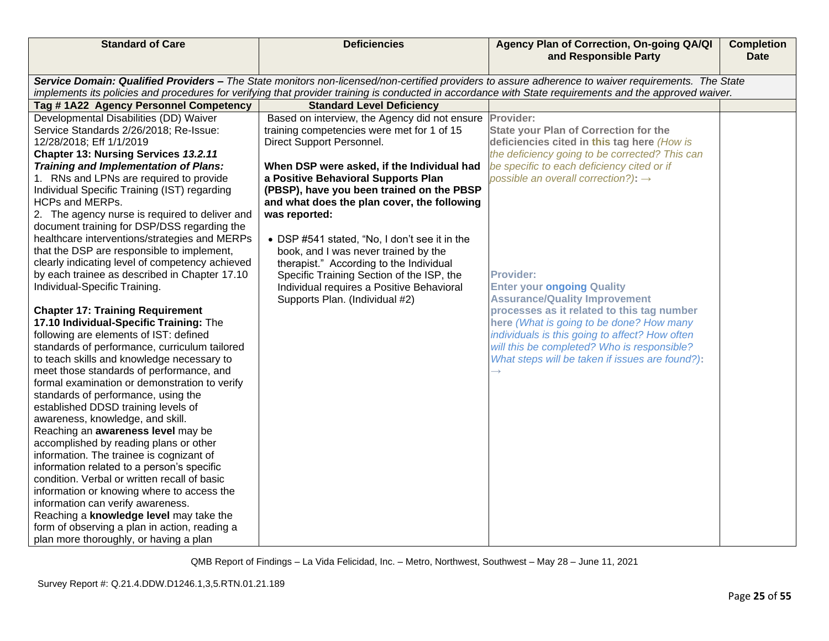| <b>Standard of Care</b>                         | <b>Deficiencies</b>                           | Agency Plan of Correction, On-going QA/QI<br>and Responsible Party                                                                                      | <b>Completion</b><br><b>Date</b> |
|-------------------------------------------------|-----------------------------------------------|---------------------------------------------------------------------------------------------------------------------------------------------------------|----------------------------------|
|                                                 |                                               |                                                                                                                                                         |                                  |
|                                                 |                                               | Service Domain: Qualified Providers - The State monitors non-licensed/non-certified providers to assure adherence to waiver requirements. The State     |                                  |
| Tag #1A22 Agency Personnel Competency           | <b>Standard Level Deficiency</b>              | implements its policies and procedures for verifying that provider training is conducted in accordance with State requirements and the approved waiver. |                                  |
| Developmental Disabilities (DD) Waiver          | Based on interview, the Agency did not ensure | Provider:                                                                                                                                               |                                  |
| Service Standards 2/26/2018; Re-Issue:          | training competencies were met for 1 of 15    | <b>State your Plan of Correction for the</b>                                                                                                            |                                  |
| 12/28/2018; Eff 1/1/2019                        | Direct Support Personnel.                     | deficiencies cited in this tag here (How is                                                                                                             |                                  |
| Chapter 13: Nursing Services 13.2.11            |                                               | the deficiency going to be corrected? This can                                                                                                          |                                  |
| <b>Training and Implementation of Plans:</b>    | When DSP were asked, if the Individual had    | be specific to each deficiency cited or if                                                                                                              |                                  |
| 1. RNs and LPNs are required to provide         | a Positive Behavioral Supports Plan           | possible an overall correction?): $\rightarrow$                                                                                                         |                                  |
| Individual Specific Training (IST) regarding    | (PBSP), have you been trained on the PBSP     |                                                                                                                                                         |                                  |
| <b>HCPs and MERPs.</b>                          | and what does the plan cover, the following   |                                                                                                                                                         |                                  |
| 2. The agency nurse is required to deliver and  | was reported:                                 |                                                                                                                                                         |                                  |
| document training for DSP/DSS regarding the     |                                               |                                                                                                                                                         |                                  |
| healthcare interventions/strategies and MERPs   | • DSP #541 stated, "No, I don't see it in the |                                                                                                                                                         |                                  |
| that the DSP are responsible to implement,      | book, and I was never trained by the          |                                                                                                                                                         |                                  |
| clearly indicating level of competency achieved | therapist." According to the Individual       |                                                                                                                                                         |                                  |
| by each trainee as described in Chapter 17.10   | Specific Training Section of the ISP, the     | <b>Provider:</b>                                                                                                                                        |                                  |
| Individual-Specific Training.                   | Individual requires a Positive Behavioral     | <b>Enter your ongoing Quality</b>                                                                                                                       |                                  |
|                                                 | Supports Plan. (Individual #2)                | <b>Assurance/Quality Improvement</b>                                                                                                                    |                                  |
| <b>Chapter 17: Training Requirement</b>         |                                               | processes as it related to this tag number                                                                                                              |                                  |
| 17.10 Individual-Specific Training: The         |                                               | here (What is going to be done? How many                                                                                                                |                                  |
| following are elements of IST: defined          |                                               | individuals is this going to affect? How often                                                                                                          |                                  |
| standards of performance, curriculum tailored   |                                               | will this be completed? Who is responsible?                                                                                                             |                                  |
| to teach skills and knowledge necessary to      |                                               | What steps will be taken if issues are found?):                                                                                                         |                                  |
| meet those standards of performance, and        |                                               |                                                                                                                                                         |                                  |
| formal examination or demonstration to verify   |                                               |                                                                                                                                                         |                                  |
| standards of performance, using the             |                                               |                                                                                                                                                         |                                  |
| established DDSD training levels of             |                                               |                                                                                                                                                         |                                  |
| awareness, knowledge, and skill.                |                                               |                                                                                                                                                         |                                  |
| Reaching an awareness level may be              |                                               |                                                                                                                                                         |                                  |
| accomplished by reading plans or other          |                                               |                                                                                                                                                         |                                  |
| information. The trainee is cognizant of        |                                               |                                                                                                                                                         |                                  |
| information related to a person's specific      |                                               |                                                                                                                                                         |                                  |
| condition. Verbal or written recall of basic    |                                               |                                                                                                                                                         |                                  |
| information or knowing where to access the      |                                               |                                                                                                                                                         |                                  |
| information can verify awareness.               |                                               |                                                                                                                                                         |                                  |
| Reaching a knowledge level may take the         |                                               |                                                                                                                                                         |                                  |
| form of observing a plan in action, reading a   |                                               |                                                                                                                                                         |                                  |
| plan more thoroughly, or having a plan          |                                               |                                                                                                                                                         |                                  |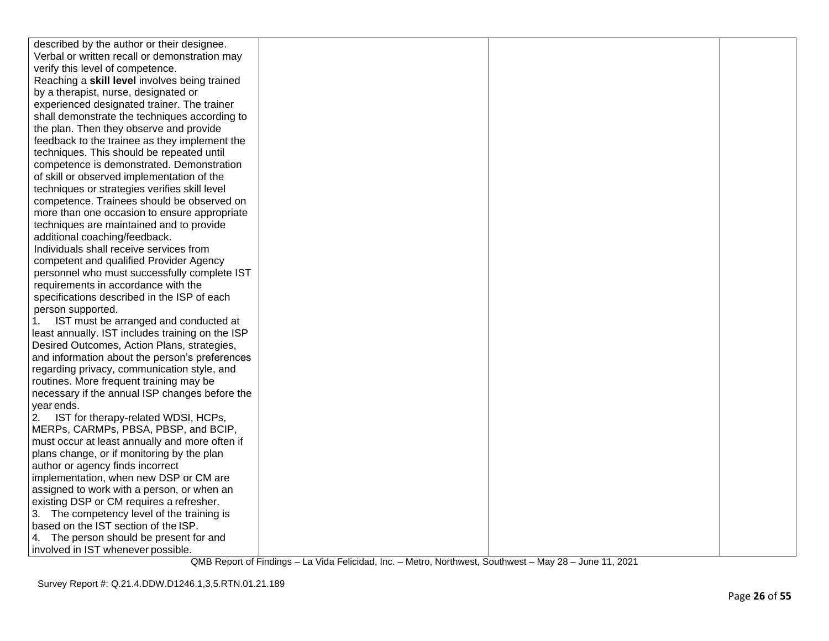| described by the author or their designee.                                           |  |  |
|--------------------------------------------------------------------------------------|--|--|
| Verbal or written recall or demonstration may                                        |  |  |
| verify this level of competence.                                                     |  |  |
| Reaching a skill level involves being trained                                        |  |  |
| by a therapist, nurse, designated or                                                 |  |  |
| experienced designated trainer. The trainer                                          |  |  |
| shall demonstrate the techniques according to                                        |  |  |
| the plan. Then they observe and provide                                              |  |  |
| feedback to the trainee as they implement the                                        |  |  |
| techniques. This should be repeated until                                            |  |  |
| competence is demonstrated. Demonstration                                            |  |  |
| of skill or observed implementation of the                                           |  |  |
| techniques or strategies verifies skill level                                        |  |  |
| competence. Trainees should be observed on                                           |  |  |
| more than one occasion to ensure appropriate                                         |  |  |
| techniques are maintained and to provide                                             |  |  |
| additional coaching/feedback.                                                        |  |  |
| Individuals shall receive services from                                              |  |  |
| competent and qualified Provider Agency                                              |  |  |
| personnel who must successfully complete IST                                         |  |  |
| requirements in accordance with the                                                  |  |  |
| specifications described in the ISP of each                                          |  |  |
| person supported.                                                                    |  |  |
| IST must be arranged and conducted at<br>1.                                          |  |  |
| least annually. IST includes training on the ISP                                     |  |  |
| Desired Outcomes, Action Plans, strategies,                                          |  |  |
| and information about the person's preferences                                       |  |  |
| regarding privacy, communication style, and                                          |  |  |
| routines. More frequent training may be                                              |  |  |
| necessary if the annual ISP changes before the                                       |  |  |
| year ends.                                                                           |  |  |
| IST for therapy-related WDSI, HCPs,<br>2.                                            |  |  |
| MERPs, CARMPs, PBSA, PBSP, and BCIP,                                                 |  |  |
| must occur at least annually and more often if                                       |  |  |
| plans change, or if monitoring by the plan                                           |  |  |
| author or agency finds incorrect                                                     |  |  |
| implementation, when new DSP or CM are<br>assigned to work with a person, or when an |  |  |
| existing DSP or CM requires a refresher.                                             |  |  |
| 3. The competency level of the training is                                           |  |  |
| based on the IST section of the ISP.                                                 |  |  |
| 4. The person should be present for and                                              |  |  |
| involved in IST whenever possible.                                                   |  |  |
|                                                                                      |  |  |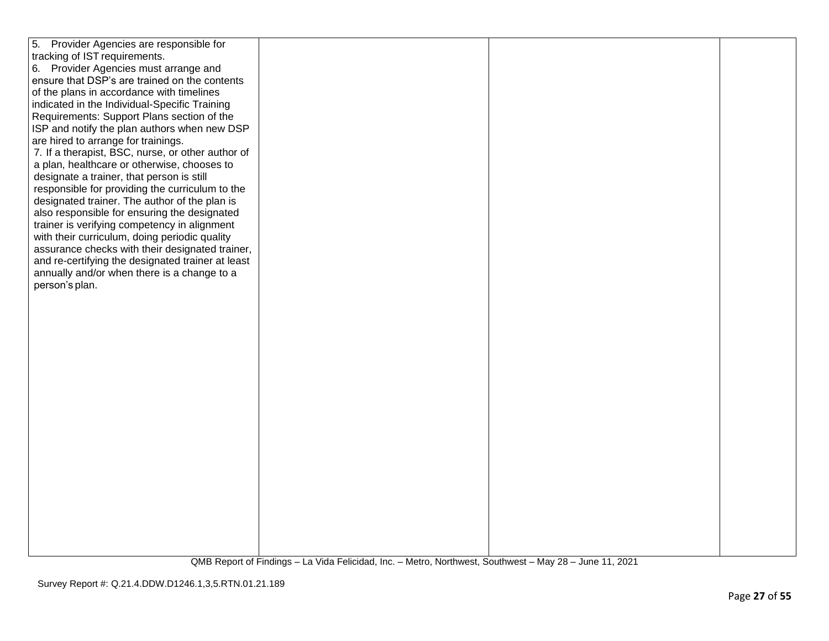| 5. Provider Agencies are responsible for          |  |  |
|---------------------------------------------------|--|--|
| tracking of IST requirements.                     |  |  |
| 6. Provider Agencies must arrange and             |  |  |
| ensure that DSP's are trained on the contents     |  |  |
|                                                   |  |  |
| of the plans in accordance with timelines         |  |  |
| indicated in the Individual-Specific Training     |  |  |
| Requirements: Support Plans section of the        |  |  |
| ISP and notify the plan authors when new DSP      |  |  |
| are hired to arrange for trainings.               |  |  |
| 7. If a therapist, BSC, nurse, or other author of |  |  |
|                                                   |  |  |
| a plan, healthcare or otherwise, chooses to       |  |  |
| designate a trainer, that person is still         |  |  |
| responsible for providing the curriculum to the   |  |  |
| designated trainer. The author of the plan is     |  |  |
| also responsible for ensuring the designated      |  |  |
| trainer is verifying competency in alignment      |  |  |
| with their curriculum, doing periodic quality     |  |  |
|                                                   |  |  |
| assurance checks with their designated trainer,   |  |  |
| and re-certifying the designated trainer at least |  |  |
| annually and/or when there is a change to a       |  |  |
| person's plan.                                    |  |  |
|                                                   |  |  |
|                                                   |  |  |
|                                                   |  |  |
|                                                   |  |  |
|                                                   |  |  |
|                                                   |  |  |
|                                                   |  |  |
|                                                   |  |  |
|                                                   |  |  |
|                                                   |  |  |
|                                                   |  |  |
|                                                   |  |  |
|                                                   |  |  |
|                                                   |  |  |
|                                                   |  |  |
|                                                   |  |  |
|                                                   |  |  |
|                                                   |  |  |
|                                                   |  |  |
|                                                   |  |  |
|                                                   |  |  |
|                                                   |  |  |
|                                                   |  |  |
|                                                   |  |  |
|                                                   |  |  |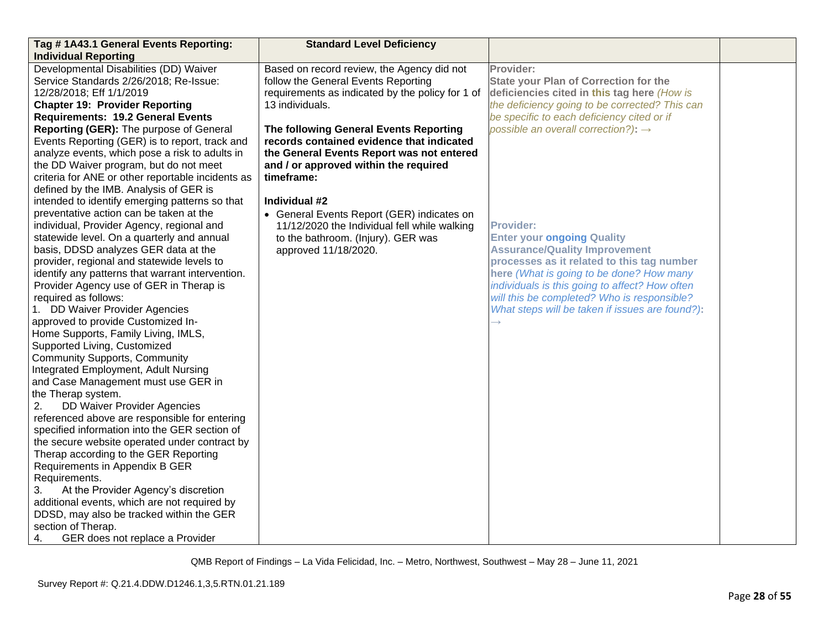| Tag #1A43.1 General Events Reporting:                                                                                                                                                                                                                                                                                                                                                                                                                                                                                                                                                                                                                                                                                                                                                                                                                                                                                                                                                                                                                                                                                                                                                                                                      | <b>Standard Level Deficiency</b>                                                                                                                                                                                                                                                                                                                    |                                                                                                                                                                                                                                                                                                                                             |  |
|--------------------------------------------------------------------------------------------------------------------------------------------------------------------------------------------------------------------------------------------------------------------------------------------------------------------------------------------------------------------------------------------------------------------------------------------------------------------------------------------------------------------------------------------------------------------------------------------------------------------------------------------------------------------------------------------------------------------------------------------------------------------------------------------------------------------------------------------------------------------------------------------------------------------------------------------------------------------------------------------------------------------------------------------------------------------------------------------------------------------------------------------------------------------------------------------------------------------------------------------|-----------------------------------------------------------------------------------------------------------------------------------------------------------------------------------------------------------------------------------------------------------------------------------------------------------------------------------------------------|---------------------------------------------------------------------------------------------------------------------------------------------------------------------------------------------------------------------------------------------------------------------------------------------------------------------------------------------|--|
| <b>Individual Reporting</b>                                                                                                                                                                                                                                                                                                                                                                                                                                                                                                                                                                                                                                                                                                                                                                                                                                                                                                                                                                                                                                                                                                                                                                                                                |                                                                                                                                                                                                                                                                                                                                                     |                                                                                                                                                                                                                                                                                                                                             |  |
| Developmental Disabilities (DD) Waiver<br>Service Standards 2/26/2018; Re-Issue:<br>12/28/2018; Eff 1/1/2019<br><b>Chapter 19: Provider Reporting</b><br><b>Requirements: 19.2 General Events</b><br>Reporting (GER): The purpose of General<br>Events Reporting (GER) is to report, track and<br>analyze events, which pose a risk to adults in<br>the DD Waiver program, but do not meet<br>criteria for ANE or other reportable incidents as                                                                                                                                                                                                                                                                                                                                                                                                                                                                                                                                                                                                                                                                                                                                                                                            | Based on record review, the Agency did not<br>follow the General Events Reporting<br>requirements as indicated by the policy for 1 of<br>13 individuals.<br>The following General Events Reporting<br>records contained evidence that indicated<br>the General Events Report was not entered<br>and / or approved within the required<br>timeframe: | Provider:<br><b>State your Plan of Correction for the</b><br>deficiencies cited in this tag here (How is<br>the deficiency going to be corrected? This can<br>be specific to each deficiency cited or if<br>possible an overall correction?): $\rightarrow$                                                                                 |  |
| defined by the IMB. Analysis of GER is<br>intended to identify emerging patterns so that<br>preventative action can be taken at the<br>individual, Provider Agency, regional and<br>statewide level. On a quarterly and annual<br>basis, DDSD analyzes GER data at the<br>provider, regional and statewide levels to<br>identify any patterns that warrant intervention.<br>Provider Agency use of GER in Therap is<br>required as follows:<br>1. DD Waiver Provider Agencies<br>approved to provide Customized In-<br>Home Supports, Family Living, IMLS,<br>Supported Living, Customized<br><b>Community Supports, Community</b><br>Integrated Employment, Adult Nursing<br>and Case Management must use GER in<br>the Therap system.<br><b>DD Waiver Provider Agencies</b><br>2.<br>referenced above are responsible for entering<br>specified information into the GER section of<br>the secure website operated under contract by<br>Therap according to the GER Reporting<br>Requirements in Appendix B GER<br>Requirements.<br>3.<br>At the Provider Agency's discretion<br>additional events, which are not required by<br>DDSD, may also be tracked within the GER<br>section of Therap.<br>GER does not replace a Provider<br>4. | Individual #2<br>• General Events Report (GER) indicates on<br>11/12/2020 the Individual fell while walking<br>to the bathroom. (Injury). GER was<br>approved 11/18/2020.                                                                                                                                                                           | <b>Provider:</b><br><b>Enter your ongoing Quality</b><br><b>Assurance/Quality Improvement</b><br>processes as it related to this tag number<br>here (What is going to be done? How many<br>individuals is this going to affect? How often<br>will this be completed? Who is responsible?<br>What steps will be taken if issues are found?): |  |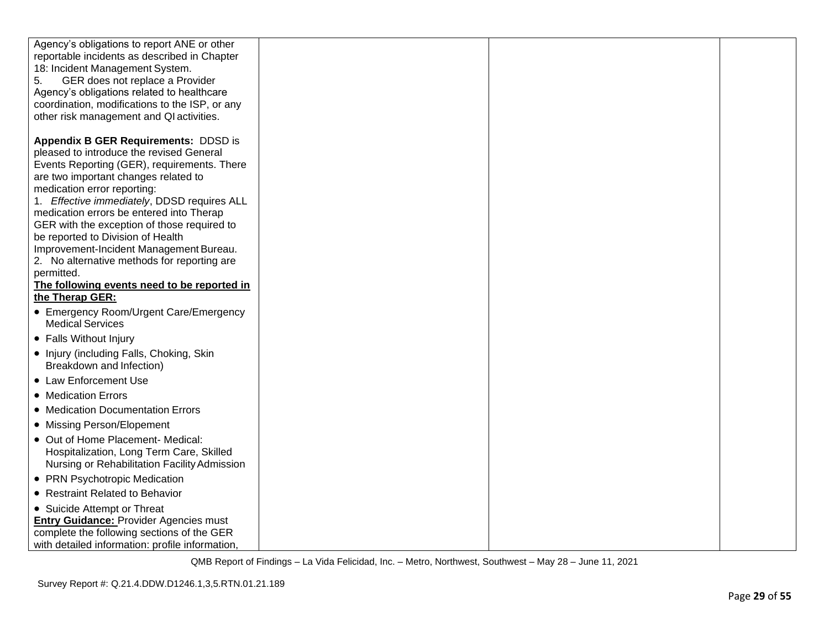| Agency's obligations to report ANE or other<br>reportable incidents as described in Chapter<br>18: Incident Management System.<br>GER does not replace a Provider<br>5.<br>Agency's obligations related to healthcare<br>coordination, modifications to the ISP, or any<br>other risk management and QI activities.                                                                   |  |  |
|---------------------------------------------------------------------------------------------------------------------------------------------------------------------------------------------------------------------------------------------------------------------------------------------------------------------------------------------------------------------------------------|--|--|
| Appendix B GER Requirements: DDSD is<br>pleased to introduce the revised General<br>Events Reporting (GER), requirements. There<br>are two important changes related to<br>medication error reporting:<br>1. Effective immediately, DDSD requires ALL<br>medication errors be entered into Therap<br>GER with the exception of those required to<br>be reported to Division of Health |  |  |
| Improvement-Incident Management Bureau.<br>2. No alternative methods for reporting are<br>permitted.                                                                                                                                                                                                                                                                                  |  |  |
| The following events need to be reported in<br>the Therap GER:                                                                                                                                                                                                                                                                                                                        |  |  |
| • Emergency Room/Urgent Care/Emergency<br><b>Medical Services</b>                                                                                                                                                                                                                                                                                                                     |  |  |
| • Falls Without Injury                                                                                                                                                                                                                                                                                                                                                                |  |  |
| • Injury (including Falls, Choking, Skin<br>Breakdown and Infection)                                                                                                                                                                                                                                                                                                                  |  |  |
| • Law Enforcement Use                                                                                                                                                                                                                                                                                                                                                                 |  |  |
| • Medication Errors                                                                                                                                                                                                                                                                                                                                                                   |  |  |
| • Medication Documentation Errors                                                                                                                                                                                                                                                                                                                                                     |  |  |
| • Missing Person/Elopement                                                                                                                                                                                                                                                                                                                                                            |  |  |
| • Out of Home Placement- Medical:<br>Hospitalization, Long Term Care, Skilled<br>Nursing or Rehabilitation Facility Admission                                                                                                                                                                                                                                                         |  |  |
| • PRN Psychotropic Medication                                                                                                                                                                                                                                                                                                                                                         |  |  |
| • Restraint Related to Behavior                                                                                                                                                                                                                                                                                                                                                       |  |  |
| • Suicide Attempt or Threat                                                                                                                                                                                                                                                                                                                                                           |  |  |
| Entry Guidance: Provider Agencies must<br>complete the following sections of the GER                                                                                                                                                                                                                                                                                                  |  |  |
| with detailed information: profile information,                                                                                                                                                                                                                                                                                                                                       |  |  |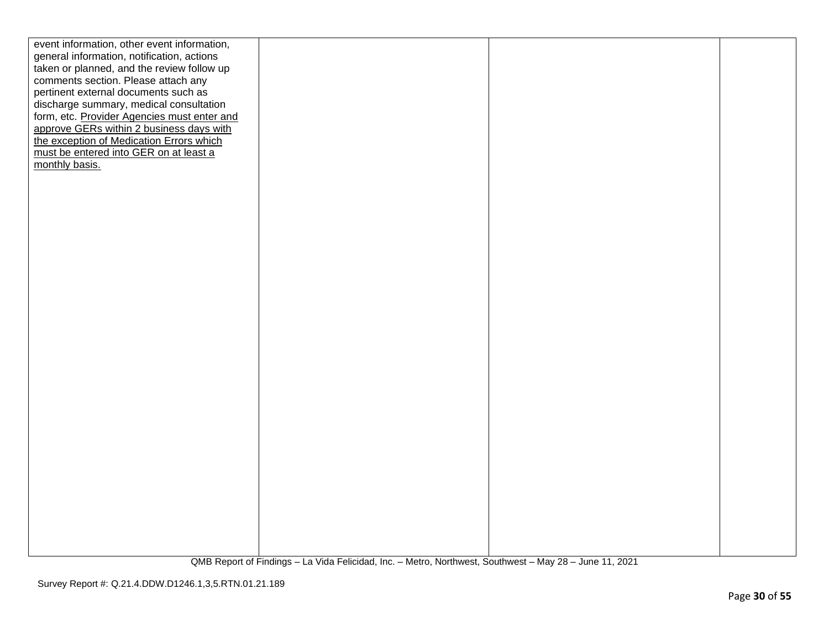| event information, other event information, |  |  |
|---------------------------------------------|--|--|
| general information, notification, actions  |  |  |
| taken or planned, and the review follow up  |  |  |
| comments section. Please attach any         |  |  |
| pertinent external documents such as        |  |  |
| discharge summary, medical consultation     |  |  |
| form, etc. Provider Agencies must enter and |  |  |
| approve GERs within 2 business days with    |  |  |
| the exception of Medication Errors which    |  |  |
| must be entered into GER on at least a      |  |  |
| monthly basis.                              |  |  |
|                                             |  |  |
|                                             |  |  |
|                                             |  |  |
|                                             |  |  |
|                                             |  |  |
|                                             |  |  |
|                                             |  |  |
|                                             |  |  |
|                                             |  |  |
|                                             |  |  |
|                                             |  |  |
|                                             |  |  |
|                                             |  |  |
|                                             |  |  |
|                                             |  |  |
|                                             |  |  |
|                                             |  |  |
|                                             |  |  |
|                                             |  |  |
|                                             |  |  |
|                                             |  |  |
|                                             |  |  |
|                                             |  |  |
|                                             |  |  |
|                                             |  |  |
|                                             |  |  |
|                                             |  |  |
|                                             |  |  |
|                                             |  |  |
|                                             |  |  |
|                                             |  |  |
|                                             |  |  |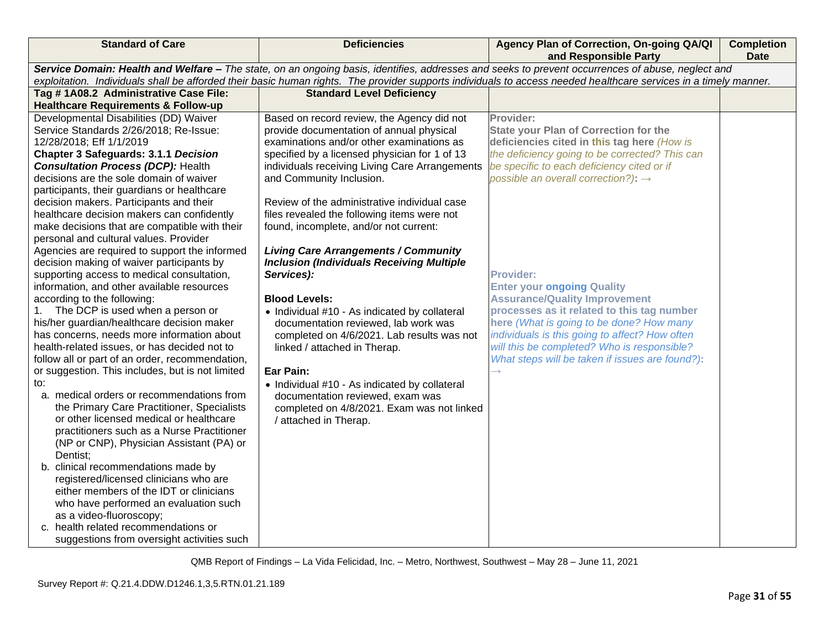| <b>Standard of Care</b>                                                                  | <b>Deficiencies</b>                                                                                                                                                                                                                                                                                                   | Agency Plan of Correction, On-going QA/QI<br>and Responsible Party                            | <b>Completion</b><br><b>Date</b> |  |
|------------------------------------------------------------------------------------------|-----------------------------------------------------------------------------------------------------------------------------------------------------------------------------------------------------------------------------------------------------------------------------------------------------------------------|-----------------------------------------------------------------------------------------------|----------------------------------|--|
|                                                                                          | Service Domain: Health and Welfare - The state, on an ongoing basis, identifies, addresses and seeks to prevent occurrences of abuse, neglect and<br>exploitation. Individuals shall be afforded their basic human rights. The provider supports individuals to access needed healthcare services in a timely manner. |                                                                                               |                                  |  |
| Tag #1A08.2 Administrative Case File:                                                    | <b>Standard Level Deficiency</b>                                                                                                                                                                                                                                                                                      |                                                                                               |                                  |  |
| <b>Healthcare Requirements &amp; Follow-up</b>                                           |                                                                                                                                                                                                                                                                                                                       |                                                                                               |                                  |  |
| Developmental Disabilities (DD) Waiver                                                   | Based on record review, the Agency did not                                                                                                                                                                                                                                                                            | Provider:                                                                                     |                                  |  |
| Service Standards 2/26/2018; Re-Issue:                                                   | provide documentation of annual physical                                                                                                                                                                                                                                                                              | <b>State your Plan of Correction for the</b>                                                  |                                  |  |
| 12/28/2018; Eff 1/1/2019                                                                 | examinations and/or other examinations as                                                                                                                                                                                                                                                                             | deficiencies cited in this tag here (How is                                                   |                                  |  |
| <b>Chapter 3 Safeguards: 3.1.1 Decision</b>                                              | specified by a licensed physician for 1 of 13                                                                                                                                                                                                                                                                         | the deficiency going to be corrected? This can                                                |                                  |  |
| <b>Consultation Process (DCP): Health</b>                                                | individuals receiving Living Care Arrangements                                                                                                                                                                                                                                                                        | be specific to each deficiency cited or if                                                    |                                  |  |
| decisions are the sole domain of waiver                                                  | and Community Inclusion.                                                                                                                                                                                                                                                                                              | possible an overall correction?): $\rightarrow$                                               |                                  |  |
| participants, their guardians or healthcare                                              |                                                                                                                                                                                                                                                                                                                       |                                                                                               |                                  |  |
| decision makers. Participants and their                                                  | Review of the administrative individual case                                                                                                                                                                                                                                                                          |                                                                                               |                                  |  |
| healthcare decision makers can confidently                                               | files revealed the following items were not                                                                                                                                                                                                                                                                           |                                                                                               |                                  |  |
| make decisions that are compatible with their                                            | found, incomplete, and/or not current:                                                                                                                                                                                                                                                                                |                                                                                               |                                  |  |
| personal and cultural values. Provider                                                   |                                                                                                                                                                                                                                                                                                                       |                                                                                               |                                  |  |
| Agencies are required to support the informed                                            | <b>Living Care Arrangements / Community</b>                                                                                                                                                                                                                                                                           |                                                                                               |                                  |  |
| decision making of waiver participants by                                                | <b>Inclusion (Individuals Receiving Multiple</b>                                                                                                                                                                                                                                                                      |                                                                                               |                                  |  |
| supporting access to medical consultation,                                               | Services):                                                                                                                                                                                                                                                                                                            | <b>Provider:</b>                                                                              |                                  |  |
| information, and other available resources                                               |                                                                                                                                                                                                                                                                                                                       | <b>Enter your ongoing Quality</b>                                                             |                                  |  |
| according to the following:                                                              | <b>Blood Levels:</b>                                                                                                                                                                                                                                                                                                  | <b>Assurance/Quality Improvement</b>                                                          |                                  |  |
| The DCP is used when a person or<br>1.                                                   | • Individual #10 - As indicated by collateral                                                                                                                                                                                                                                                                         | processes as it related to this tag number                                                    |                                  |  |
| his/her guardian/healthcare decision maker<br>has concerns, needs more information about | documentation reviewed, lab work was                                                                                                                                                                                                                                                                                  | here (What is going to be done? How many                                                      |                                  |  |
| health-related issues, or has decided not to                                             | completed on 4/6/2021. Lab results was not<br>linked / attached in Therap.                                                                                                                                                                                                                                            | individuals is this going to affect? How often<br>will this be completed? Who is responsible? |                                  |  |
| follow all or part of an order, recommendation,                                          |                                                                                                                                                                                                                                                                                                                       | What steps will be taken if issues are found?):                                               |                                  |  |
| or suggestion. This includes, but is not limited                                         | Ear Pain:                                                                                                                                                                                                                                                                                                             |                                                                                               |                                  |  |
| to:                                                                                      | • Individual #10 - As indicated by collateral                                                                                                                                                                                                                                                                         |                                                                                               |                                  |  |
| a. medical orders or recommendations from                                                | documentation reviewed, exam was                                                                                                                                                                                                                                                                                      |                                                                                               |                                  |  |
| the Primary Care Practitioner, Specialists                                               | completed on 4/8/2021. Exam was not linked                                                                                                                                                                                                                                                                            |                                                                                               |                                  |  |
| or other licensed medical or healthcare                                                  | / attached in Therap.                                                                                                                                                                                                                                                                                                 |                                                                                               |                                  |  |
| practitioners such as a Nurse Practitioner                                               |                                                                                                                                                                                                                                                                                                                       |                                                                                               |                                  |  |
| (NP or CNP), Physician Assistant (PA) or                                                 |                                                                                                                                                                                                                                                                                                                       |                                                                                               |                                  |  |
| Dentist;                                                                                 |                                                                                                                                                                                                                                                                                                                       |                                                                                               |                                  |  |
| b. clinical recommendations made by                                                      |                                                                                                                                                                                                                                                                                                                       |                                                                                               |                                  |  |
| registered/licensed clinicians who are                                                   |                                                                                                                                                                                                                                                                                                                       |                                                                                               |                                  |  |
| either members of the IDT or clinicians                                                  |                                                                                                                                                                                                                                                                                                                       |                                                                                               |                                  |  |
| who have performed an evaluation such                                                    |                                                                                                                                                                                                                                                                                                                       |                                                                                               |                                  |  |
| as a video-fluoroscopy;                                                                  |                                                                                                                                                                                                                                                                                                                       |                                                                                               |                                  |  |
| c. health related recommendations or                                                     |                                                                                                                                                                                                                                                                                                                       |                                                                                               |                                  |  |
| suggestions from oversight activities such                                               |                                                                                                                                                                                                                                                                                                                       |                                                                                               |                                  |  |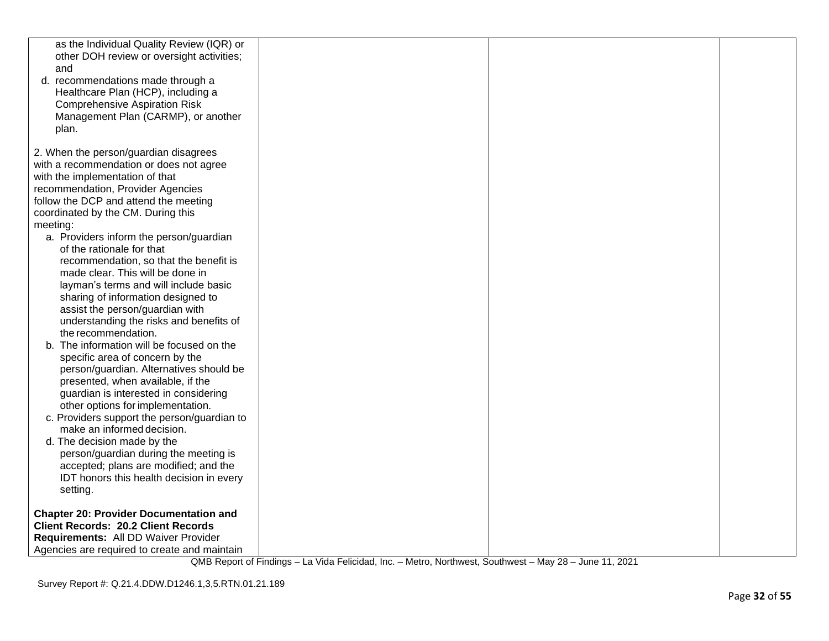| as the Individual Quality Review (IQR) or<br>other DOH review or oversight activities;<br>and<br>d. recommendations made through a<br>Healthcare Plan (HCP), including a<br><b>Comprehensive Aspiration Risk</b><br>Management Plan (CARMP), or another<br>plan. |  |  |
|------------------------------------------------------------------------------------------------------------------------------------------------------------------------------------------------------------------------------------------------------------------|--|--|
| 2. When the person/guardian disagrees                                                                                                                                                                                                                            |  |  |
| with a recommendation or does not agree                                                                                                                                                                                                                          |  |  |
| with the implementation of that                                                                                                                                                                                                                                  |  |  |
| recommendation, Provider Agencies                                                                                                                                                                                                                                |  |  |
| follow the DCP and attend the meeting                                                                                                                                                                                                                            |  |  |
| coordinated by the CM. During this                                                                                                                                                                                                                               |  |  |
| meeting:                                                                                                                                                                                                                                                         |  |  |
| a. Providers inform the person/guardian                                                                                                                                                                                                                          |  |  |
| of the rationale for that                                                                                                                                                                                                                                        |  |  |
| recommendation, so that the benefit is<br>made clear. This will be done in                                                                                                                                                                                       |  |  |
| layman's terms and will include basic                                                                                                                                                                                                                            |  |  |
| sharing of information designed to                                                                                                                                                                                                                               |  |  |
| assist the person/guardian with                                                                                                                                                                                                                                  |  |  |
| understanding the risks and benefits of                                                                                                                                                                                                                          |  |  |
| the recommendation.                                                                                                                                                                                                                                              |  |  |
| b. The information will be focused on the                                                                                                                                                                                                                        |  |  |
| specific area of concern by the                                                                                                                                                                                                                                  |  |  |
| person/guardian. Alternatives should be                                                                                                                                                                                                                          |  |  |
| presented, when available, if the                                                                                                                                                                                                                                |  |  |
| guardian is interested in considering<br>other options for implementation.                                                                                                                                                                                       |  |  |
| c. Providers support the person/guardian to                                                                                                                                                                                                                      |  |  |
| make an informed decision.                                                                                                                                                                                                                                       |  |  |
| d. The decision made by the                                                                                                                                                                                                                                      |  |  |
| person/guardian during the meeting is                                                                                                                                                                                                                            |  |  |
| accepted; plans are modified; and the                                                                                                                                                                                                                            |  |  |
| IDT honors this health decision in every                                                                                                                                                                                                                         |  |  |
| setting.                                                                                                                                                                                                                                                         |  |  |
| <b>Chapter 20: Provider Documentation and</b>                                                                                                                                                                                                                    |  |  |
| <b>Client Records: 20.2 Client Records</b>                                                                                                                                                                                                                       |  |  |
| Requirements: All DD Waiver Provider                                                                                                                                                                                                                             |  |  |
| Agencies are required to create and maintain                                                                                                                                                                                                                     |  |  |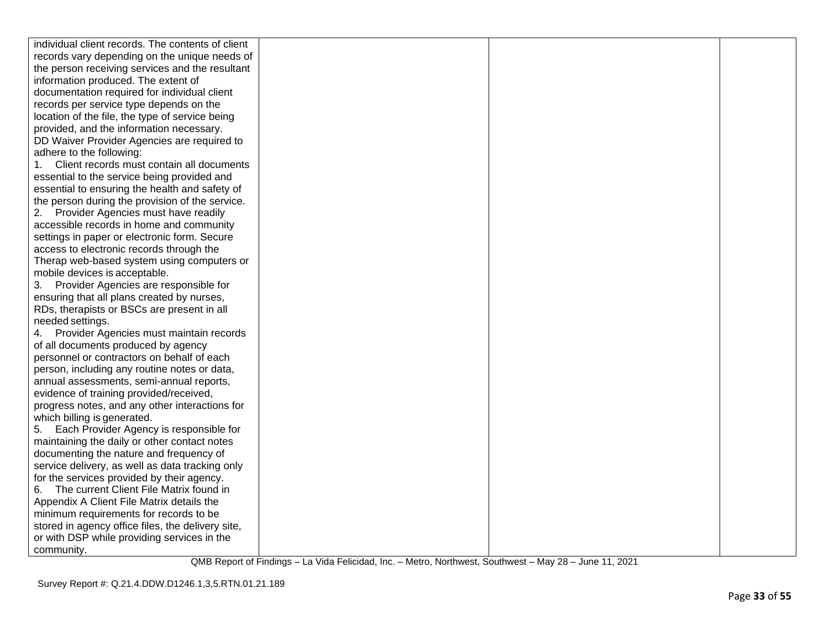| individual client records. The contents of client |  |  |
|---------------------------------------------------|--|--|
| records vary depending on the unique needs of     |  |  |
| the person receiving services and the resultant   |  |  |
| information produced. The extent of               |  |  |
| documentation required for individual client      |  |  |
| records per service type depends on the           |  |  |
| location of the file, the type of service being   |  |  |
| provided, and the information necessary.          |  |  |
| DD Waiver Provider Agencies are required to       |  |  |
| adhere to the following:                          |  |  |
| Client records must contain all documents<br>1.   |  |  |
| essential to the service being provided and       |  |  |
| essential to ensuring the health and safety of    |  |  |
| the person during the provision of the service.   |  |  |
| 2. Provider Agencies must have readily            |  |  |
| accessible records in home and community          |  |  |
| settings in paper or electronic form. Secure      |  |  |
| access to electronic records through the          |  |  |
| Therap web-based system using computers or        |  |  |
| mobile devices is acceptable.                     |  |  |
| 3. Provider Agencies are responsible for          |  |  |
| ensuring that all plans created by nurses,        |  |  |
| RDs, therapists or BSCs are present in all        |  |  |
| needed settings.                                  |  |  |
| 4. Provider Agencies must maintain records        |  |  |
| of all documents produced by agency               |  |  |
| personnel or contractors on behalf of each        |  |  |
| person, including any routine notes or data,      |  |  |
| annual assessments, semi-annual reports,          |  |  |
| evidence of training provided/received,           |  |  |
| progress notes, and any other interactions for    |  |  |
| which billing is generated.                       |  |  |
| Each Provider Agency is responsible for<br>5.     |  |  |
| maintaining the daily or other contact notes      |  |  |
| documenting the nature and frequency of           |  |  |
| service delivery, as well as data tracking only   |  |  |
| for the services provided by their agency.        |  |  |
| The current Client File Matrix found in<br>6.     |  |  |
| Appendix A Client File Matrix details the         |  |  |
| minimum requirements for records to be            |  |  |
| stored in agency office files, the delivery site, |  |  |
| or with DSP while providing services in the       |  |  |
| community.                                        |  |  |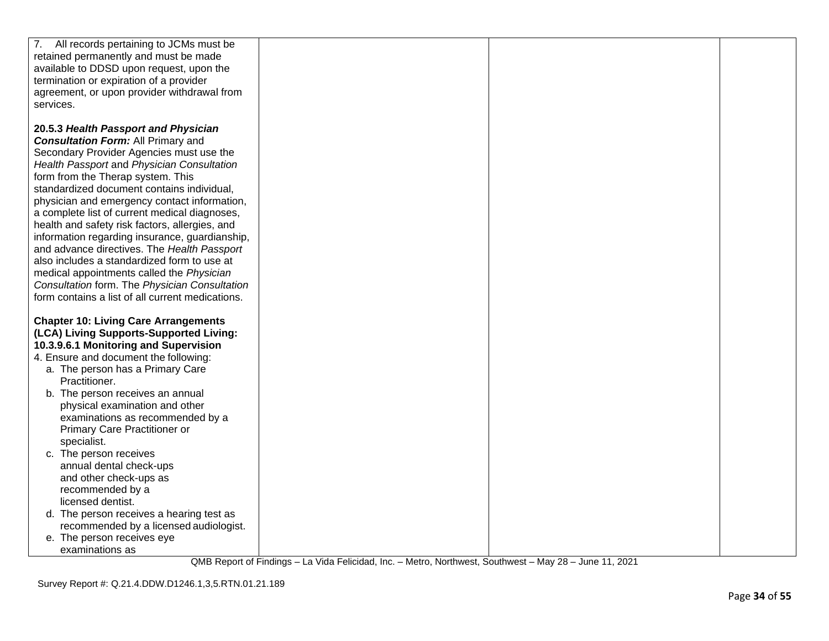| 7. All records pertaining to JCMs must be        |  |  |
|--------------------------------------------------|--|--|
| retained permanently and must be made            |  |  |
| available to DDSD upon request, upon the         |  |  |
| termination or expiration of a provider          |  |  |
| agreement, or upon provider withdrawal from      |  |  |
|                                                  |  |  |
| services.                                        |  |  |
|                                                  |  |  |
| 20.5.3 Health Passport and Physician             |  |  |
| <b>Consultation Form: All Primary and</b>        |  |  |
| Secondary Provider Agencies must use the         |  |  |
| Health Passport and Physician Consultation       |  |  |
| form from the Therap system. This                |  |  |
| standardized document contains individual,       |  |  |
| physician and emergency contact information,     |  |  |
| a complete list of current medical diagnoses,    |  |  |
|                                                  |  |  |
| health and safety risk factors, allergies, and   |  |  |
| information regarding insurance, guardianship,   |  |  |
| and advance directives. The Health Passport      |  |  |
| also includes a standardized form to use at      |  |  |
| medical appointments called the Physician        |  |  |
| Consultation form. The Physician Consultation    |  |  |
| form contains a list of all current medications. |  |  |
|                                                  |  |  |
| <b>Chapter 10: Living Care Arrangements</b>      |  |  |
| (LCA) Living Supports-Supported Living:          |  |  |
| 10.3.9.6.1 Monitoring and Supervision            |  |  |
| 4. Ensure and document the following:            |  |  |
|                                                  |  |  |
| a. The person has a Primary Care                 |  |  |
| Practitioner.                                    |  |  |
| b. The person receives an annual                 |  |  |
| physical examination and other                   |  |  |
| examinations as recommended by a                 |  |  |
| Primary Care Practitioner or                     |  |  |
| specialist.                                      |  |  |
| c. The person receives                           |  |  |
| annual dental check-ups                          |  |  |
| and other check-ups as                           |  |  |
| recommended by a                                 |  |  |
| licensed dentist.                                |  |  |
| d. The person receives a hearing test as         |  |  |
|                                                  |  |  |
| recommended by a licensed audiologist.           |  |  |
| e. The person receives eye                       |  |  |
| examinations as                                  |  |  |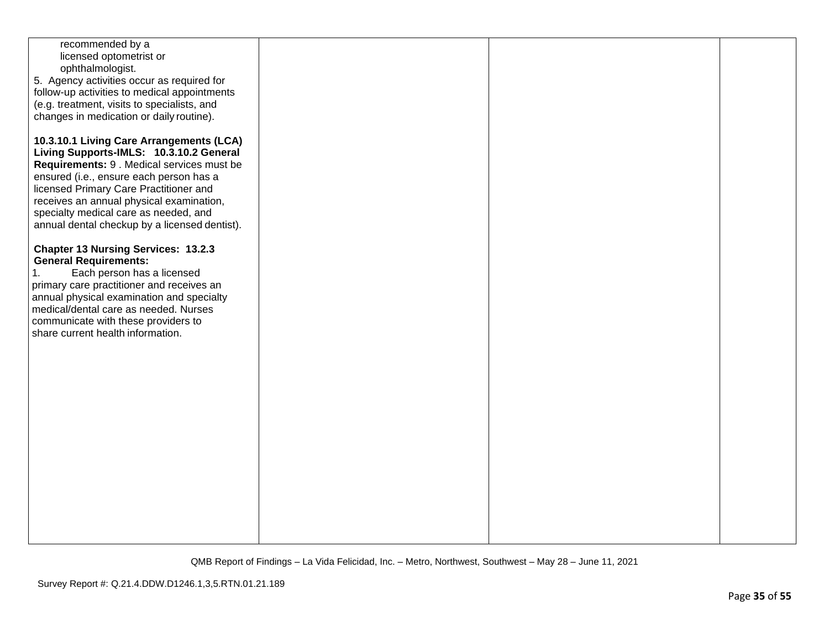| recommended by a<br>licensed optometrist or<br>ophthalmologist.<br>5. Agency activities occur as required for<br>follow-up activities to medical appointments<br>(e.g. treatment, visits to specialists, and<br>changes in medication or daily routine).<br>10.3.10.1 Living Care Arrangements (LCA)<br>Living Supports-IMLS: 10.3.10.2 General<br>Requirements: 9 . Medical services must be<br>ensured (i.e., ensure each person has a<br>licensed Primary Care Practitioner and<br>receives an annual physical examination,<br>specialty medical care as needed, and<br>annual dental checkup by a licensed dentist).<br><b>Chapter 13 Nursing Services: 13.2.3</b> |  |  |
|------------------------------------------------------------------------------------------------------------------------------------------------------------------------------------------------------------------------------------------------------------------------------------------------------------------------------------------------------------------------------------------------------------------------------------------------------------------------------------------------------------------------------------------------------------------------------------------------------------------------------------------------------------------------|--|--|
| <b>General Requirements:</b><br>Each person has a licensed<br>1.<br>primary care practitioner and receives an<br>annual physical examination and specialty<br>medical/dental care as needed. Nurses<br>communicate with these providers to<br>share current health information.                                                                                                                                                                                                                                                                                                                                                                                        |  |  |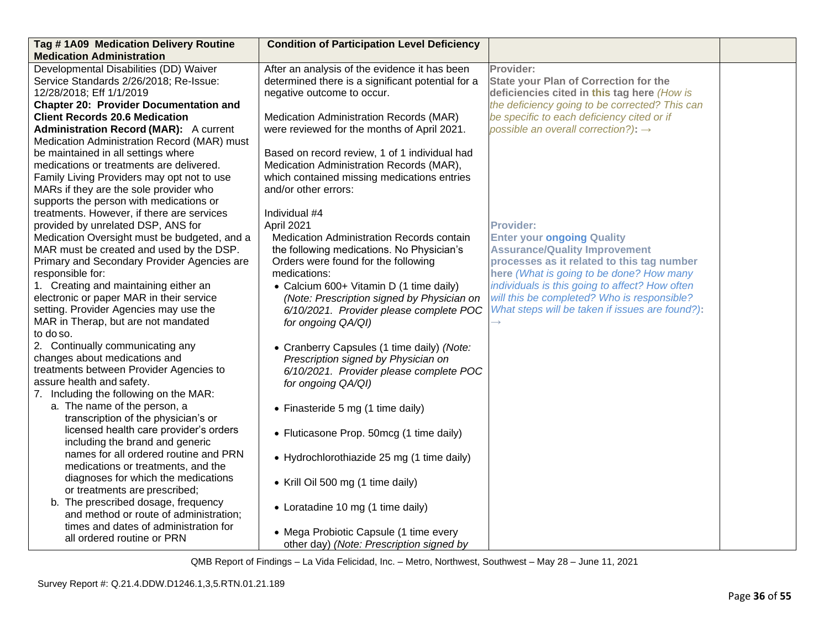| Tag #1A09 Medication Delivery Routine                                                                                                                                                                                                                                                    | <b>Condition of Participation Level Deficiency</b>                                                                                                                                                                      |                                                                                                                                                                                                                                           |  |
|------------------------------------------------------------------------------------------------------------------------------------------------------------------------------------------------------------------------------------------------------------------------------------------|-------------------------------------------------------------------------------------------------------------------------------------------------------------------------------------------------------------------------|-------------------------------------------------------------------------------------------------------------------------------------------------------------------------------------------------------------------------------------------|--|
| <b>Medication Administration</b>                                                                                                                                                                                                                                                         |                                                                                                                                                                                                                         |                                                                                                                                                                                                                                           |  |
| Developmental Disabilities (DD) Waiver<br>Service Standards 2/26/2018; Re-Issue:<br>12/28/2018; Eff 1/1/2019                                                                                                                                                                             | After an analysis of the evidence it has been<br>determined there is a significant potential for a<br>negative outcome to occur.                                                                                        | Provider:<br><b>State your Plan of Correction for the</b><br>deficiencies cited in this tag here (How is                                                                                                                                  |  |
| <b>Chapter 20: Provider Documentation and</b>                                                                                                                                                                                                                                            |                                                                                                                                                                                                                         | the deficiency going to be corrected? This can                                                                                                                                                                                            |  |
| <b>Client Records 20.6 Medication</b><br><b>Administration Record (MAR):</b> A current<br>Medication Administration Record (MAR) must                                                                                                                                                    | Medication Administration Records (MAR)<br>were reviewed for the months of April 2021.                                                                                                                                  | be specific to each deficiency cited or if<br>possible an overall correction?): $\rightarrow$                                                                                                                                             |  |
| be maintained in all settings where<br>medications or treatments are delivered.<br>Family Living Providers may opt not to use<br>MARs if they are the sole provider who<br>supports the person with medications or                                                                       | Based on record review, 1 of 1 individual had<br>Medication Administration Records (MAR),<br>which contained missing medications entries<br>and/or other errors:                                                        |                                                                                                                                                                                                                                           |  |
| treatments. However, if there are services<br>provided by unrelated DSP, ANS for<br>Medication Oversight must be budgeted, and a<br>MAR must be created and used by the DSP.<br>Primary and Secondary Provider Agencies are<br>responsible for:<br>1. Creating and maintaining either an | Individual #4<br>April 2021<br>Medication Administration Records contain<br>the following medications. No Physician's<br>Orders were found for the following<br>medications:<br>• Calcium 600+ Vitamin D (1 time daily) | <b>Provider:</b><br><b>Enter your ongoing Quality</b><br><b>Assurance/Quality Improvement</b><br>processes as it related to this tag number<br>here (What is going to be done? How many<br>individuals is this going to affect? How often |  |
| electronic or paper MAR in their service<br>setting. Provider Agencies may use the<br>MAR in Therap, but are not mandated<br>to do so.                                                                                                                                                   | (Note: Prescription signed by Physician on<br>6/10/2021. Provider please complete POC<br>for ongoing QA/QI)                                                                                                             | will this be completed? Who is responsible?<br>What steps will be taken if issues are found?):                                                                                                                                            |  |
| 2. Continually communicating any<br>changes about medications and<br>treatments between Provider Agencies to<br>assure health and safety.<br>7. Including the following on the MAR:                                                                                                      | • Cranberry Capsules (1 time daily) (Note:<br>Prescription signed by Physician on<br>6/10/2021. Provider please complete POC<br>for ongoing QA/QI)                                                                      |                                                                                                                                                                                                                                           |  |
| a. The name of the person, a<br>transcription of the physician's or                                                                                                                                                                                                                      | • Finasteride 5 mg (1 time daily)                                                                                                                                                                                       |                                                                                                                                                                                                                                           |  |
| licensed health care provider's orders<br>including the brand and generic                                                                                                                                                                                                                | • Fluticasone Prop. 50mcg (1 time daily)                                                                                                                                                                                |                                                                                                                                                                                                                                           |  |
| names for all ordered routine and PRN<br>medications or treatments, and the                                                                                                                                                                                                              | • Hydrochlorothiazide 25 mg (1 time daily)                                                                                                                                                                              |                                                                                                                                                                                                                                           |  |
| diagnoses for which the medications<br>or treatments are prescribed;                                                                                                                                                                                                                     | • Krill Oil 500 mg (1 time daily)                                                                                                                                                                                       |                                                                                                                                                                                                                                           |  |
| b. The prescribed dosage, frequency<br>and method or route of administration;                                                                                                                                                                                                            | • Loratadine 10 mg (1 time daily)                                                                                                                                                                                       |                                                                                                                                                                                                                                           |  |
| times and dates of administration for<br>all ordered routine or PRN                                                                                                                                                                                                                      | • Mega Probiotic Capsule (1 time every<br>other day) (Note: Prescription signed by                                                                                                                                      |                                                                                                                                                                                                                                           |  |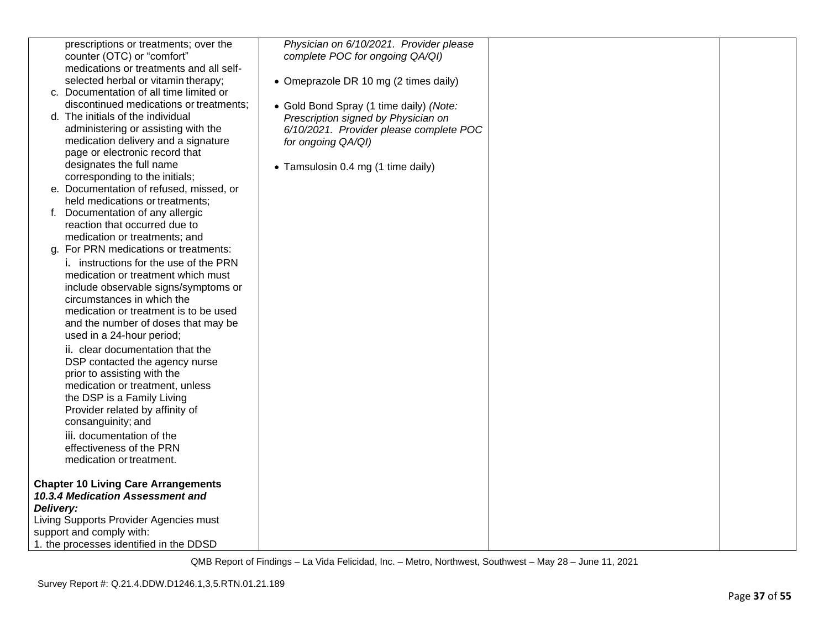| prescriptions or treatments; over the                              | Physician on 6/10/2021. Provider please |  |
|--------------------------------------------------------------------|-----------------------------------------|--|
| counter (OTC) or "comfort"                                         | complete POC for ongoing QA/QI)         |  |
| medications or treatments and all self-                            |                                         |  |
| selected herbal or vitamin therapy;                                | • Omeprazole DR 10 mg (2 times daily)   |  |
| c. Documentation of all time limited or                            |                                         |  |
| discontinued medications or treatments;                            | • Gold Bond Spray (1 time daily) (Note: |  |
| d. The initials of the individual                                  | Prescription signed by Physician on     |  |
| administering or assisting with the                                | 6/10/2021. Provider please complete POC |  |
| medication delivery and a signature                                | for ongoing QA/QI)                      |  |
| page or electronic record that                                     |                                         |  |
| designates the full name                                           |                                         |  |
| corresponding to the initials;                                     | • Tamsulosin 0.4 mg (1 time daily)      |  |
| e. Documentation of refused, missed, or                            |                                         |  |
| held medications or treatments;                                    |                                         |  |
| f. Documentation of any allergic                                   |                                         |  |
| reaction that occurred due to                                      |                                         |  |
| medication or treatments; and                                      |                                         |  |
| For PRN medications or treatments:<br>a.                           |                                         |  |
| i. instructions for the use of the PRN                             |                                         |  |
|                                                                    |                                         |  |
| medication or treatment which must                                 |                                         |  |
| include observable signs/symptoms or<br>circumstances in which the |                                         |  |
| medication or treatment is to be used                              |                                         |  |
|                                                                    |                                         |  |
| and the number of doses that may be                                |                                         |  |
| used in a 24-hour period;                                          |                                         |  |
| ii. clear documentation that the                                   |                                         |  |
| DSP contacted the agency nurse                                     |                                         |  |
| prior to assisting with the                                        |                                         |  |
| medication or treatment, unless                                    |                                         |  |
| the DSP is a Family Living                                         |                                         |  |
| Provider related by affinity of                                    |                                         |  |
| consanguinity; and                                                 |                                         |  |
| iii. documentation of the                                          |                                         |  |
| effectiveness of the PRN                                           |                                         |  |
| medication or treatment.                                           |                                         |  |
|                                                                    |                                         |  |
| <b>Chapter 10 Living Care Arrangements</b>                         |                                         |  |
| 10.3.4 Medication Assessment and                                   |                                         |  |
| Delivery:                                                          |                                         |  |
| Living Supports Provider Agencies must                             |                                         |  |
| support and comply with:                                           |                                         |  |
| 1. the processes identified in the DDSD                            |                                         |  |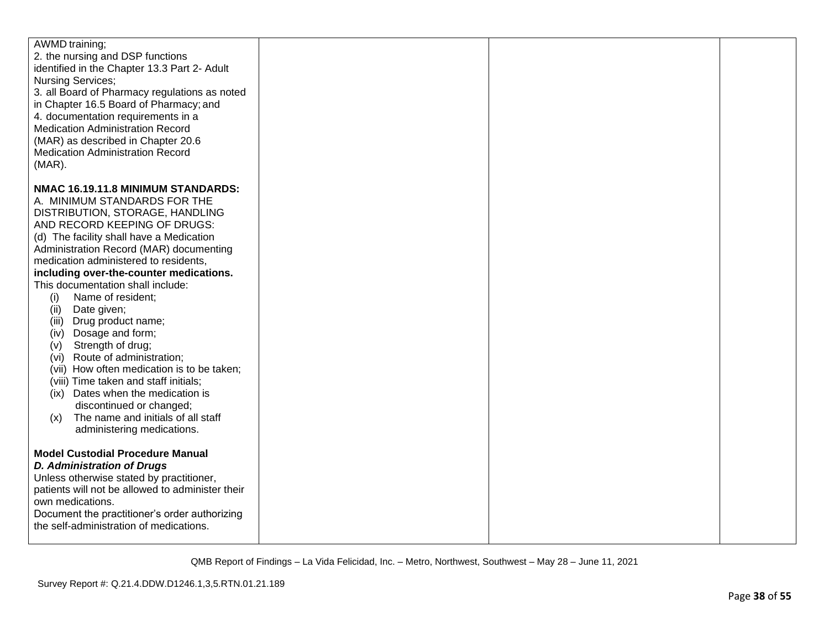| AWMD training;                                   |  |  |
|--------------------------------------------------|--|--|
|                                                  |  |  |
| 2. the nursing and DSP functions                 |  |  |
| identified in the Chapter 13.3 Part 2- Adult     |  |  |
| <b>Nursing Services;</b>                         |  |  |
| 3. all Board of Pharmacy regulations as noted    |  |  |
| in Chapter 16.5 Board of Pharmacy; and           |  |  |
| 4. documentation requirements in a               |  |  |
| <b>Medication Administration Record</b>          |  |  |
| (MAR) as described in Chapter 20.6               |  |  |
| <b>Medication Administration Record</b>          |  |  |
|                                                  |  |  |
| $(MAR)$ .                                        |  |  |
|                                                  |  |  |
| NMAC 16.19.11.8 MINIMUM STANDARDS:               |  |  |
| A. MINIMUM STANDARDS FOR THE                     |  |  |
| DISTRIBUTION, STORAGE, HANDLING                  |  |  |
| AND RECORD KEEPING OF DRUGS:                     |  |  |
| (d) The facility shall have a Medication         |  |  |
| Administration Record (MAR) documenting          |  |  |
| medication administered to residents,            |  |  |
| including over-the-counter medications.          |  |  |
| This documentation shall include:                |  |  |
| Name of resident;<br>(i)                         |  |  |
| Date given;<br>(ii)                              |  |  |
| Drug product name;<br>(iii)                      |  |  |
| (iv) Dosage and form;                            |  |  |
| Strength of drug;<br>(v)                         |  |  |
| (vi) Route of administration;                    |  |  |
| (vii) How often medication is to be taken;       |  |  |
| (viii) Time taken and staff initials;            |  |  |
| (ix) Dates when the medication is                |  |  |
| discontinued or changed;                         |  |  |
| The name and initials of all staff<br>(x)        |  |  |
| administering medications.                       |  |  |
|                                                  |  |  |
| <b>Model Custodial Procedure Manual</b>          |  |  |
| <b>D. Administration of Drugs</b>                |  |  |
| Unless otherwise stated by practitioner,         |  |  |
| patients will not be allowed to administer their |  |  |
|                                                  |  |  |
| own medications.                                 |  |  |
| Document the practitioner's order authorizing    |  |  |
| the self-administration of medications.          |  |  |
|                                                  |  |  |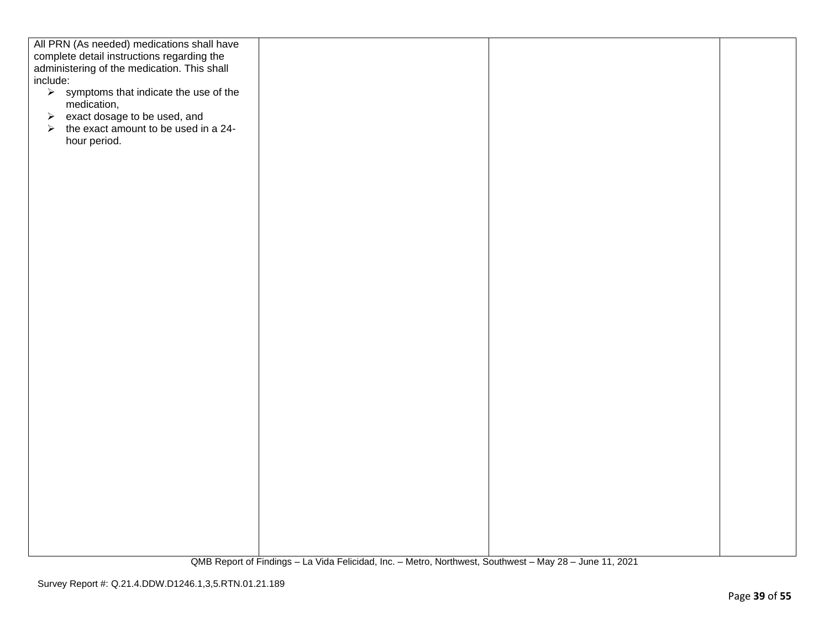| All PRN (As needed) medications shall have                                                |  |  |
|-------------------------------------------------------------------------------------------|--|--|
|                                                                                           |  |  |
| complete detail instructions regarding the<br>administering of the medication. This shall |  |  |
|                                                                                           |  |  |
| include:                                                                                  |  |  |
| $\triangleright$ symptoms that indicate the use of the                                    |  |  |
| medication,                                                                               |  |  |
| exact dosage to be used, and<br>$\blacktriangleright$                                     |  |  |
| the exact amount to be used in a 24-<br>$\blacktriangleright$                             |  |  |
| hour period.                                                                              |  |  |
|                                                                                           |  |  |
|                                                                                           |  |  |
|                                                                                           |  |  |
|                                                                                           |  |  |
|                                                                                           |  |  |
|                                                                                           |  |  |
|                                                                                           |  |  |
|                                                                                           |  |  |
|                                                                                           |  |  |
|                                                                                           |  |  |
|                                                                                           |  |  |
|                                                                                           |  |  |
|                                                                                           |  |  |
|                                                                                           |  |  |
|                                                                                           |  |  |
|                                                                                           |  |  |
|                                                                                           |  |  |
|                                                                                           |  |  |
|                                                                                           |  |  |
|                                                                                           |  |  |
|                                                                                           |  |  |
|                                                                                           |  |  |
|                                                                                           |  |  |
|                                                                                           |  |  |
|                                                                                           |  |  |
|                                                                                           |  |  |
|                                                                                           |  |  |
|                                                                                           |  |  |
|                                                                                           |  |  |
|                                                                                           |  |  |
|                                                                                           |  |  |
|                                                                                           |  |  |
|                                                                                           |  |  |
|                                                                                           |  |  |
|                                                                                           |  |  |
|                                                                                           |  |  |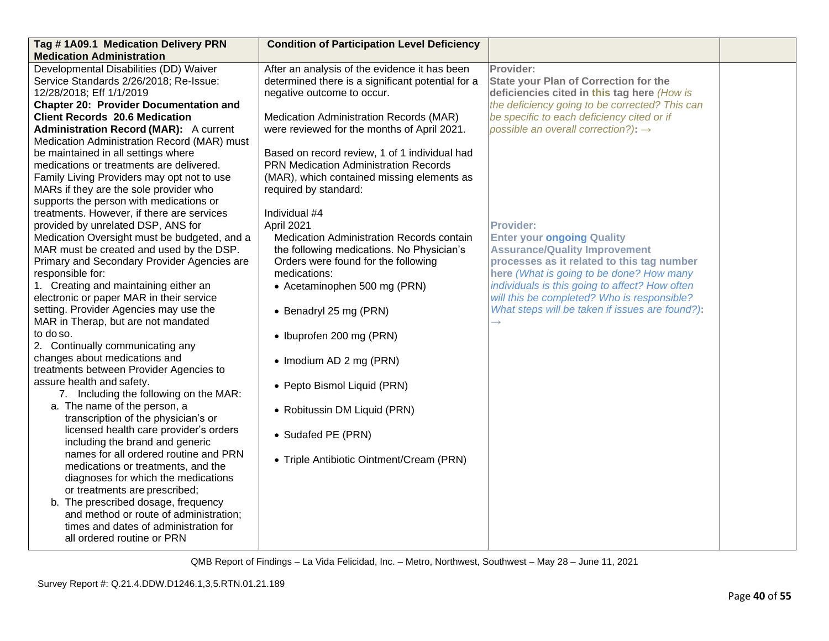| Tag #1A09.1 Medication Delivery PRN           | <b>Condition of Participation Level Deficiency</b> |                                                 |  |
|-----------------------------------------------|----------------------------------------------------|-------------------------------------------------|--|
| <b>Medication Administration</b>              |                                                    |                                                 |  |
| Developmental Disabilities (DD) Waiver        | After an analysis of the evidence it has been      | Provider:                                       |  |
| Service Standards 2/26/2018; Re-Issue:        | determined there is a significant potential for a  | <b>State your Plan of Correction for the</b>    |  |
| 12/28/2018; Eff 1/1/2019                      | negative outcome to occur.                         | deficiencies cited in this tag here (How is     |  |
| <b>Chapter 20: Provider Documentation and</b> |                                                    | the deficiency going to be corrected? This can  |  |
| <b>Client Records 20.6 Medication</b>         | Medication Administration Records (MAR)            | be specific to each deficiency cited or if      |  |
| <b>Administration Record (MAR):</b> A current | were reviewed for the months of April 2021.        | possible an overall correction?): $\rightarrow$ |  |
| Medication Administration Record (MAR) must   |                                                    |                                                 |  |
| be maintained in all settings where           | Based on record review, 1 of 1 individual had      |                                                 |  |
| medications or treatments are delivered.      | <b>PRN Medication Administration Records</b>       |                                                 |  |
| Family Living Providers may opt not to use    | (MAR), which contained missing elements as         |                                                 |  |
| MARs if they are the sole provider who        | required by standard:                              |                                                 |  |
| supports the person with medications or       |                                                    |                                                 |  |
| treatments. However, if there are services    | Individual #4                                      |                                                 |  |
| provided by unrelated DSP, ANS for            | April 2021                                         | <b>Provider:</b>                                |  |
| Medication Oversight must be budgeted, and a  | Medication Administration Records contain          | <b>Enter your ongoing Quality</b>               |  |
| MAR must be created and used by the DSP.      | the following medications. No Physician's          | <b>Assurance/Quality Improvement</b>            |  |
| Primary and Secondary Provider Agencies are   | Orders were found for the following                | processes as it related to this tag number      |  |
| responsible for:                              | medications:                                       | here (What is going to be done? How many        |  |
| 1. Creating and maintaining either an         | • Acetaminophen 500 mg (PRN)                       | individuals is this going to affect? How often  |  |
| electronic or paper MAR in their service      |                                                    | will this be completed? Who is responsible?     |  |
| setting. Provider Agencies may use the        | • Benadryl 25 mg (PRN)                             | What steps will be taken if issues are found?): |  |
| MAR in Therap, but are not mandated           |                                                    | $\rightarrow$                                   |  |
| to do so.                                     | • Ibuprofen 200 mg (PRN)                           |                                                 |  |
| 2. Continually communicating any              |                                                    |                                                 |  |
| changes about medications and                 | • Imodium AD 2 mg (PRN)                            |                                                 |  |
| treatments between Provider Agencies to       |                                                    |                                                 |  |
| assure health and safety.                     | • Pepto Bismol Liquid (PRN)                        |                                                 |  |
| 7. Including the following on the MAR:        |                                                    |                                                 |  |
| a. The name of the person, a                  | • Robitussin DM Liquid (PRN)                       |                                                 |  |
| transcription of the physician's or           |                                                    |                                                 |  |
| licensed health care provider's orders        |                                                    |                                                 |  |
| including the brand and generic               | • Sudafed PE (PRN)                                 |                                                 |  |
| names for all ordered routine and PRN         |                                                    |                                                 |  |
| medications or treatments, and the            | • Triple Antibiotic Ointment/Cream (PRN)           |                                                 |  |
| diagnoses for which the medications           |                                                    |                                                 |  |
| or treatments are prescribed;                 |                                                    |                                                 |  |
| b. The prescribed dosage, frequency           |                                                    |                                                 |  |
| and method or route of administration;        |                                                    |                                                 |  |
| times and dates of administration for         |                                                    |                                                 |  |
| all ordered routine or PRN                    |                                                    |                                                 |  |
|                                               |                                                    |                                                 |  |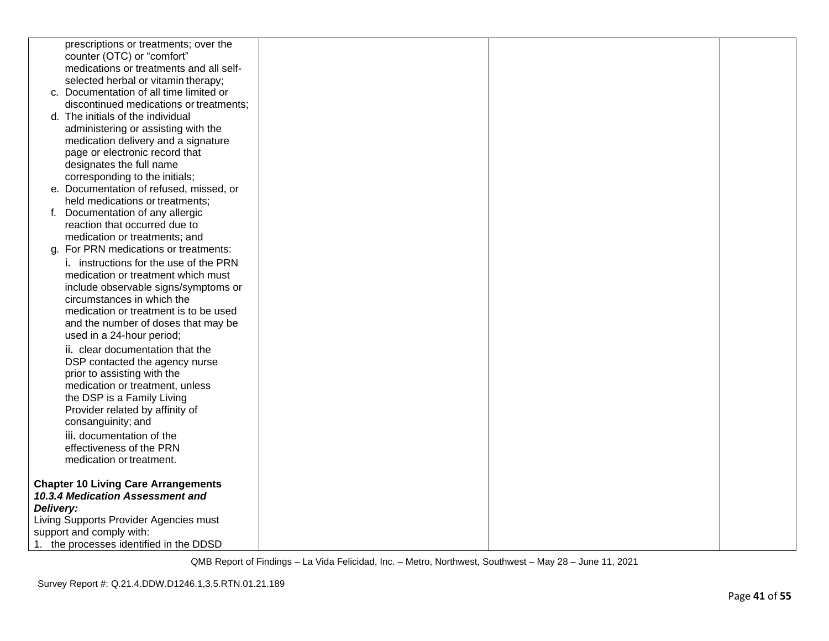|           | prescriptions or treatments; over the      |  |  |
|-----------|--------------------------------------------|--|--|
|           | counter (OTC) or "comfort"                 |  |  |
|           | medications or treatments and all self-    |  |  |
|           | selected herbal or vitamin therapy;        |  |  |
|           | c. Documentation of all time limited or    |  |  |
|           | discontinued medications or treatments;    |  |  |
|           | d. The initials of the individual          |  |  |
|           | administering or assisting with the        |  |  |
|           | medication delivery and a signature        |  |  |
|           | page or electronic record that             |  |  |
|           | designates the full name                   |  |  |
|           | corresponding to the initials;             |  |  |
|           | e. Documentation of refused, missed, or    |  |  |
|           | held medications or treatments;            |  |  |
|           | f. Documentation of any allergic           |  |  |
|           | reaction that occurred due to              |  |  |
|           | medication or treatments; and              |  |  |
|           | g. For PRN medications or treatments:      |  |  |
|           | i. instructions for the use of the PRN     |  |  |
|           | medication or treatment which must         |  |  |
|           | include observable signs/symptoms or       |  |  |
|           | circumstances in which the                 |  |  |
|           | medication or treatment is to be used      |  |  |
|           | and the number of doses that may be        |  |  |
|           | used in a 24-hour period;                  |  |  |
|           | ii. clear documentation that the           |  |  |
|           | DSP contacted the agency nurse             |  |  |
|           | prior to assisting with the                |  |  |
|           | medication or treatment, unless            |  |  |
|           | the DSP is a Family Living                 |  |  |
|           | Provider related by affinity of            |  |  |
|           | consanguinity; and                         |  |  |
|           | iii. documentation of the                  |  |  |
|           | effectiveness of the PRN                   |  |  |
|           | medication or treatment.                   |  |  |
|           | <b>Chapter 10 Living Care Arrangements</b> |  |  |
|           | 10.3.4 Medication Assessment and           |  |  |
| Delivery: |                                            |  |  |
|           | Living Supports Provider Agencies must     |  |  |
|           | support and comply with:                   |  |  |
|           | 1. the processes identified in the DDSD    |  |  |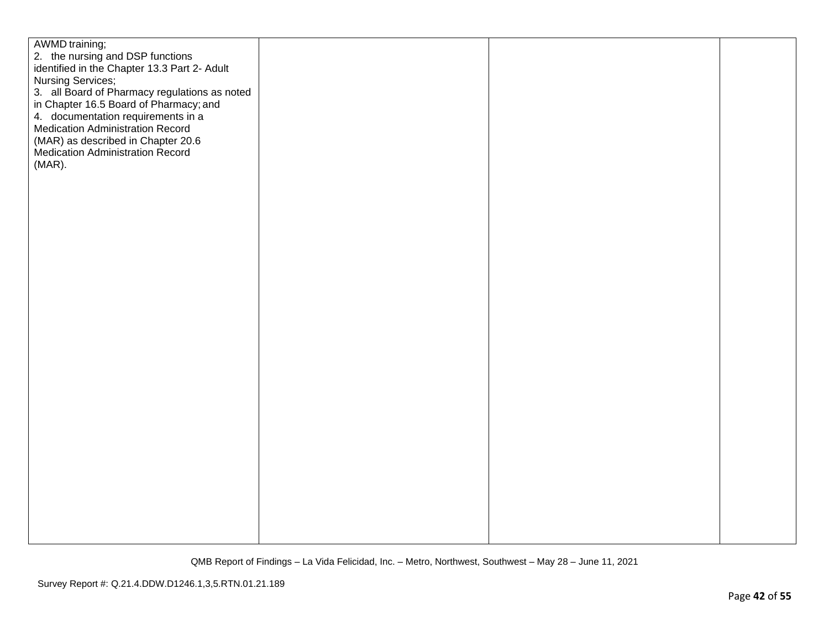| AWMD training;                                |  |  |
|-----------------------------------------------|--|--|
| 2. the nursing and DSP functions              |  |  |
| identified in the Chapter 13.3 Part 2- Adult  |  |  |
| Nursing Services;                             |  |  |
| 3. all Board of Pharmacy regulations as noted |  |  |
| in Chapter 16.5 Board of Pharmacy; and        |  |  |
| 4. documentation requirements in a            |  |  |
| Medication Administration Record              |  |  |
| (MAR) as described in Chapter 20.6            |  |  |
| Medication Administration Record              |  |  |
| $(MAR)$ .                                     |  |  |
|                                               |  |  |
|                                               |  |  |
|                                               |  |  |
|                                               |  |  |
|                                               |  |  |
|                                               |  |  |
|                                               |  |  |
|                                               |  |  |
|                                               |  |  |
|                                               |  |  |
|                                               |  |  |
|                                               |  |  |
|                                               |  |  |
|                                               |  |  |
|                                               |  |  |
|                                               |  |  |
|                                               |  |  |
|                                               |  |  |
|                                               |  |  |
|                                               |  |  |
|                                               |  |  |
|                                               |  |  |
|                                               |  |  |
|                                               |  |  |
|                                               |  |  |
|                                               |  |  |
|                                               |  |  |
|                                               |  |  |
|                                               |  |  |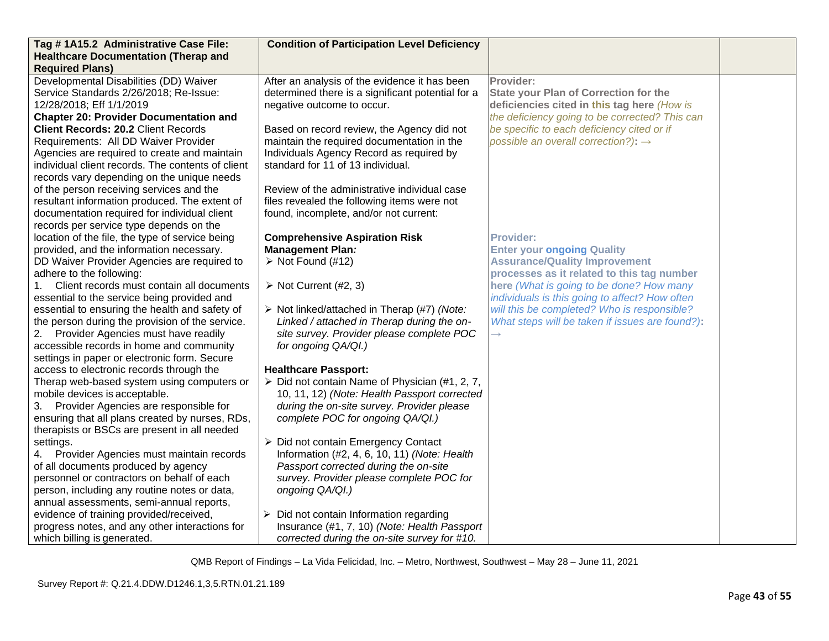| Tag #1A15.2 Administrative Case File:                                                           | <b>Condition of Participation Level Deficiency</b>                             |                                                 |  |
|-------------------------------------------------------------------------------------------------|--------------------------------------------------------------------------------|-------------------------------------------------|--|
| <b>Healthcare Documentation (Therap and</b>                                                     |                                                                                |                                                 |  |
| <b>Required Plans)</b>                                                                          |                                                                                |                                                 |  |
| Developmental Disabilities (DD) Waiver                                                          | After an analysis of the evidence it has been                                  | Provider:                                       |  |
| Service Standards 2/26/2018; Re-Issue:                                                          | determined there is a significant potential for a                              | <b>State your Plan of Correction for the</b>    |  |
| 12/28/2018; Eff 1/1/2019                                                                        | negative outcome to occur.                                                     | deficiencies cited in this tag here (How is     |  |
| <b>Chapter 20: Provider Documentation and</b>                                                   |                                                                                | the deficiency going to be corrected? This can  |  |
| <b>Client Records: 20.2 Client Records</b>                                                      | Based on record review, the Agency did not                                     | be specific to each deficiency cited or if      |  |
| Requirements: All DD Waiver Provider                                                            | maintain the required documentation in the                                     | possible an overall correction?): $\rightarrow$ |  |
| Agencies are required to create and maintain                                                    | Individuals Agency Record as required by                                       |                                                 |  |
| individual client records. The contents of client                                               | standard for 11 of 13 individual.                                              |                                                 |  |
| records vary depending on the unique needs                                                      |                                                                                |                                                 |  |
| of the person receiving services and the                                                        | Review of the administrative individual case                                   |                                                 |  |
| resultant information produced. The extent of                                                   | files revealed the following items were not                                    |                                                 |  |
| documentation required for individual client                                                    | found, incomplete, and/or not current:                                         |                                                 |  |
| records per service type depends on the                                                         |                                                                                |                                                 |  |
| location of the file, the type of service being                                                 | <b>Comprehensive Aspiration Risk</b>                                           | <b>Provider:</b>                                |  |
| provided, and the information necessary.                                                        | <b>Management Plan:</b>                                                        | <b>Enter your ongoing Quality</b>               |  |
| DD Waiver Provider Agencies are required to                                                     | $\triangleright$ Not Found (#12)                                               | <b>Assurance/Quality Improvement</b>            |  |
| adhere to the following:                                                                        |                                                                                | processes as it related to this tag number      |  |
| Client records must contain all documents<br>1.                                                 | $\triangleright$ Not Current (#2, 3)                                           | here (What is going to be done? How many        |  |
| essential to the service being provided and                                                     |                                                                                | individuals is this going to affect? How often  |  |
| essential to ensuring the health and safety of                                                  | > Not linked/attached in Therap (#7) (Note:                                    | will this be completed? Who is responsible?     |  |
| the person during the provision of the service.                                                 | Linked / attached in Therap during the on-                                     | What steps will be taken if issues are found?): |  |
| 2. Provider Agencies must have readily                                                          | site survey. Provider please complete POC                                      |                                                 |  |
| accessible records in home and community                                                        | for ongoing QA/QI.)                                                            |                                                 |  |
| settings in paper or electronic form. Secure                                                    |                                                                                |                                                 |  |
| access to electronic records through the                                                        | <b>Healthcare Passport:</b>                                                    |                                                 |  |
| Therap web-based system using computers or                                                      | $\triangleright$ Did not contain Name of Physician (#1, 2, 7,                  |                                                 |  |
| mobile devices is acceptable.                                                                   | 10, 11, 12) (Note: Health Passport corrected                                   |                                                 |  |
| 3. Provider Agencies are responsible for                                                        | during the on-site survey. Provider please<br>complete POC for ongoing QA/QI.) |                                                 |  |
| ensuring that all plans created by nurses, RDs,<br>therapists or BSCs are present in all needed |                                                                                |                                                 |  |
| settings.                                                                                       | ▶ Did not contain Emergency Contact                                            |                                                 |  |
| 4. Provider Agencies must maintain records                                                      | Information (#2, 4, 6, 10, 11) (Note: Health                                   |                                                 |  |
| of all documents produced by agency                                                             | Passport corrected during the on-site                                          |                                                 |  |
| personnel or contractors on behalf of each                                                      | survey. Provider please complete POC for                                       |                                                 |  |
| person, including any routine notes or data,                                                    | ongoing QA/QI.)                                                                |                                                 |  |
| annual assessments, semi-annual reports,                                                        |                                                                                |                                                 |  |
| evidence of training provided/received,                                                         | $\triangleright$ Did not contain Information regarding                         |                                                 |  |
| progress notes, and any other interactions for                                                  | Insurance (#1, 7, 10) (Note: Health Passport                                   |                                                 |  |
| which billing is generated.                                                                     | corrected during the on-site survey for #10.                                   |                                                 |  |
|                                                                                                 |                                                                                |                                                 |  |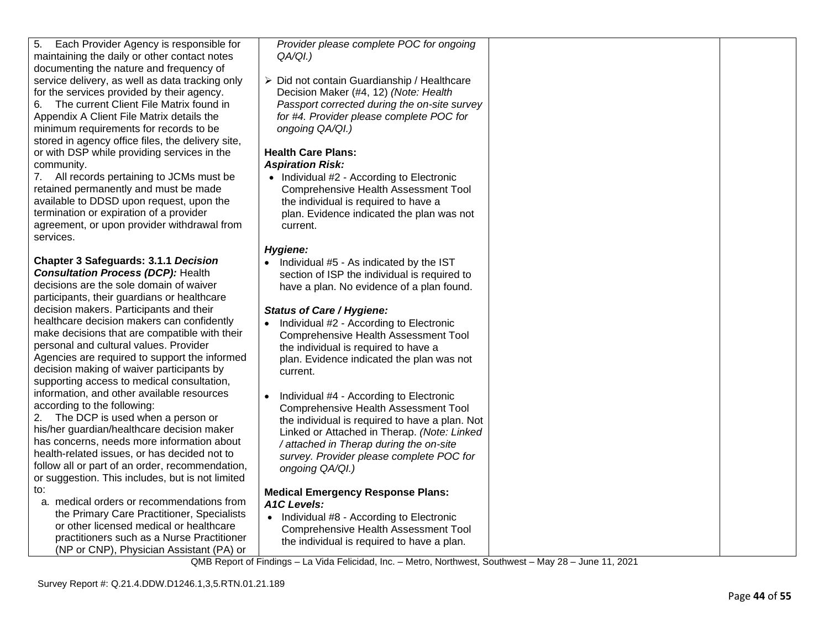| Linked or Attached in Therap. (Note: Linked<br>attached in Therap during the on-site<br>survey. Provider please complete POC for<br>ongoing QA/QI.)                                                    |  |
|--------------------------------------------------------------------------------------------------------------------------------------------------------------------------------------------------------|--|
| <b>Medical Emergency Response Plans:</b><br><b>A1C Levels:</b><br>Individual #8 - According to Electronic<br><b>Comprehensive Health Assessment Tool</b><br>the individual is required to have a plan. |  |
| QMB Report of Findings – La Vida Felicidad, Inc. – Metro, Northwest, Southwest – May 28 – June 11, 2021<br>Survey Report #: Q.21.4.DDW.D1246.1,3,5.RTN.01.21.189                                       |  |
|                                                                                                                                                                                                        |  |

for the services provided by their agency. 6. The current Client File Matrix found in Appendix A Client File Matrix details the minimum requirements for records to be stored in agency office files, the delivery site, or with DSP while providing services in the community. 7. All records pertaining to JCMs must be retained permanently and must be made

5. Each Provider Agency is responsible for maintaining the daily or other contact notes documenting the nature and frequency of service delivery, as well as data tracking only

available to DDSD upon request, upon the termination or expiration of a provider agreement, or upon provider withdrawal from services.

**Chapter 3 Safeguards: 3.1.1** *Decision Consultation Process (DCP):* Health decisions are the sole domain of waiver participants, their guardians or healthcare decision makers. Participants and their healthcare decision makers can confidently make decisions that are compatible with their personal and cultural values. Provider Agencies are required to support the informed decision making of waiver participants by supporting access to medical consultation, information, and other available resources according to the following:

2. The DCP is used when a person or

➢ Did not contain Guardianship / Healthcare Decision Maker (#4, 12) *(Note: Health Passport corrected during the on-site survey for #4. Provider please complete POC for ongoing QA/QI.)*

*Provider please complete POC for ongoing* 

## **Health Care Plans:** *Aspiration Risk:*

*QA/QI.)*

• Individual #2 - According to Electronic Comprehensive Health Assessment Tool the individual is required to have a plan. Evidence indicated the plan was not current.

## *Hygiene:*

• Individual #5 - As indicated by the IST section of ISP the individual is required to have a plan. No evidence of a plan found.

## *Status of Care / Hygiene:*

- Individual #2 According to Electronic Comprehensive Health Assessment Tool the individual is required to have a plan. Evidence indicated the plan was not current.
- Individual #4 According to Electronic Comprehensive Health Assessment Tool the individual is required to have a plan. Not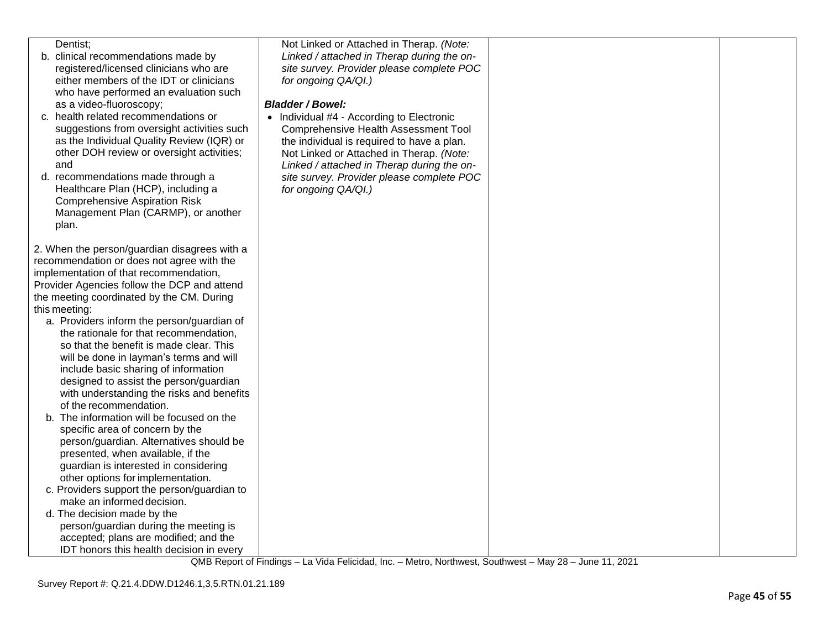| Dentist:                                     | Not Linked or Attached in Therap. (Note:    |  |
|----------------------------------------------|---------------------------------------------|--|
| b. clinical recommendations made by          | Linked / attached in Therap during the on-  |  |
| registered/licensed clinicians who are       | site survey. Provider please complete POC   |  |
| either members of the IDT or clinicians      | for ongoing QA/QI.)                         |  |
| who have performed an evaluation such        |                                             |  |
| as a video-fluoroscopy;                      | <b>Bladder / Bowel:</b>                     |  |
| c. health related recommendations or         | • Individual #4 - According to Electronic   |  |
| suggestions from oversight activities such   | <b>Comprehensive Health Assessment Tool</b> |  |
| as the Individual Quality Review (IQR) or    | the individual is required to have a plan.  |  |
| other DOH review or oversight activities;    | Not Linked or Attached in Therap. (Note:    |  |
| and                                          |                                             |  |
|                                              | Linked / attached in Therap during the on-  |  |
| d. recommendations made through a            | site survey. Provider please complete POC   |  |
| Healthcare Plan (HCP), including a           | for ongoing QA/QI.)                         |  |
| <b>Comprehensive Aspiration Risk</b>         |                                             |  |
| Management Plan (CARMP), or another          |                                             |  |
| plan.                                        |                                             |  |
|                                              |                                             |  |
| 2. When the person/guardian disagrees with a |                                             |  |
| recommendation or does not agree with the    |                                             |  |
| implementation of that recommendation,       |                                             |  |
| Provider Agencies follow the DCP and attend  |                                             |  |
| the meeting coordinated by the CM. During    |                                             |  |
| this meeting:                                |                                             |  |
| a. Providers inform the person/guardian of   |                                             |  |
| the rationale for that recommendation,       |                                             |  |
| so that the benefit is made clear. This      |                                             |  |
| will be done in layman's terms and will      |                                             |  |
| include basic sharing of information         |                                             |  |
| designed to assist the person/guardian       |                                             |  |
| with understanding the risks and benefits    |                                             |  |
| of the recommendation.                       |                                             |  |
| b. The information will be focused on the    |                                             |  |
| specific area of concern by the              |                                             |  |
| person/guardian. Alternatives should be      |                                             |  |
| presented, when available, if the            |                                             |  |
| guardian is interested in considering        |                                             |  |
|                                              |                                             |  |
| other options for implementation.            |                                             |  |
| c. Providers support the person/guardian to  |                                             |  |
| make an informed decision.                   |                                             |  |
| d. The decision made by the                  |                                             |  |
| person/guardian during the meeting is        |                                             |  |
| accepted; plans are modified; and the        |                                             |  |
| IDT honors this health decision in every     |                                             |  |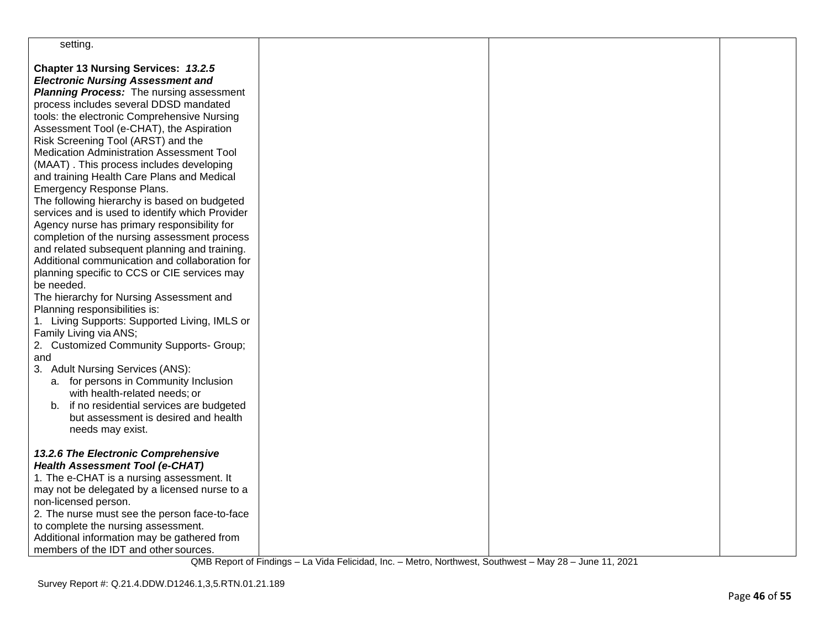| setting.                                                                                                                                                                                                                                                                                                                                                                                                                                                                                                                                                                                                                                                                                                                                                                                                                                             |  |  |
|------------------------------------------------------------------------------------------------------------------------------------------------------------------------------------------------------------------------------------------------------------------------------------------------------------------------------------------------------------------------------------------------------------------------------------------------------------------------------------------------------------------------------------------------------------------------------------------------------------------------------------------------------------------------------------------------------------------------------------------------------------------------------------------------------------------------------------------------------|--|--|
| Chapter 13 Nursing Services: 13.2.5<br><b>Electronic Nursing Assessment and</b><br><b>Planning Process:</b> The nursing assessment<br>process includes several DDSD mandated<br>tools: the electronic Comprehensive Nursing<br>Assessment Tool (e-CHAT), the Aspiration<br>Risk Screening Tool (ARST) and the<br>Medication Administration Assessment Tool<br>(MAAT). This process includes developing<br>and training Health Care Plans and Medical<br>Emergency Response Plans.<br>The following hierarchy is based on budgeted<br>services and is used to identify which Provider<br>Agency nurse has primary responsibility for<br>completion of the nursing assessment process<br>and related subsequent planning and training.<br>Additional communication and collaboration for<br>planning specific to CCS or CIE services may<br>be needed. |  |  |
| The hierarchy for Nursing Assessment and<br>Planning responsibilities is:<br>1. Living Supports: Supported Living, IMLS or<br>Family Living via ANS;<br>2. Customized Community Supports- Group;<br>and<br>3. Adult Nursing Services (ANS):<br>a. for persons in Community Inclusion                                                                                                                                                                                                                                                                                                                                                                                                                                                                                                                                                                 |  |  |
| with health-related needs; or<br>b. if no residential services are budgeted<br>but assessment is desired and health<br>needs may exist.<br>13.2.6 The Electronic Comprehensive<br><b>Health Assessment Tool (e-CHAT)</b><br>1. The e-CHAT is a nursing assessment. It                                                                                                                                                                                                                                                                                                                                                                                                                                                                                                                                                                                |  |  |
| may not be delegated by a licensed nurse to a<br>non-licensed person.<br>2. The nurse must see the person face-to-face<br>to complete the nursing assessment.<br>Additional information may be gathered from<br>members of the IDT and other sources.                                                                                                                                                                                                                                                                                                                                                                                                                                                                                                                                                                                                |  |  |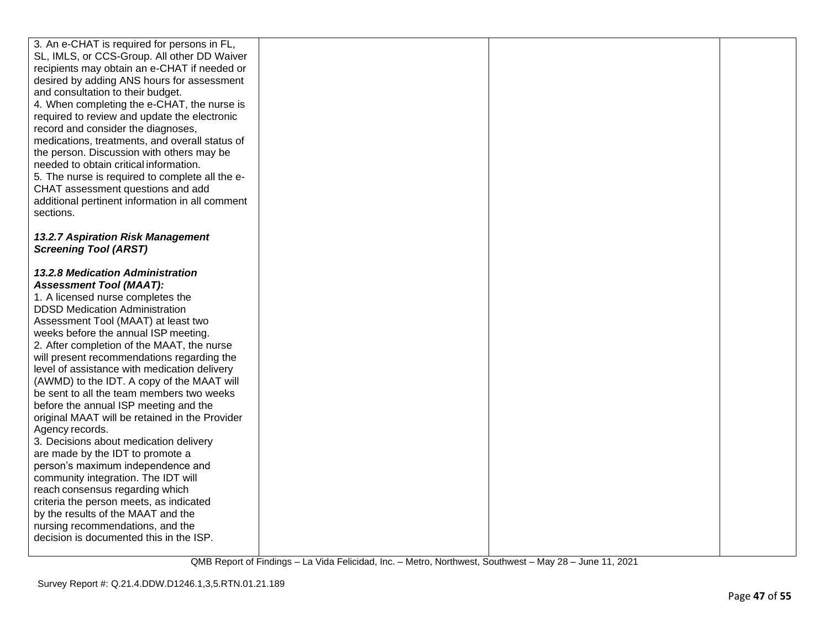| 3. An e-CHAT is required for persons in FL,<br>SL, IMLS, or CCS-Group. All other DD Waiver<br>recipients may obtain an e-CHAT if needed or<br>desired by adding ANS hours for assessment<br>and consultation to their budget.<br>4. When completing the e-CHAT, the nurse is<br>required to review and update the electronic<br>record and consider the diagnoses,<br>medications, treatments, and overall status of<br>the person. Discussion with others may be<br>needed to obtain critical information.<br>5. The nurse is required to complete all the e-<br>CHAT assessment questions and add<br>additional pertinent information in all comment<br>sections.                                                                                                                                                                                                                                                                               |  |  |
|---------------------------------------------------------------------------------------------------------------------------------------------------------------------------------------------------------------------------------------------------------------------------------------------------------------------------------------------------------------------------------------------------------------------------------------------------------------------------------------------------------------------------------------------------------------------------------------------------------------------------------------------------------------------------------------------------------------------------------------------------------------------------------------------------------------------------------------------------------------------------------------------------------------------------------------------------|--|--|
| 13.2.7 Aspiration Risk Management<br><b>Screening Tool (ARST)</b>                                                                                                                                                                                                                                                                                                                                                                                                                                                                                                                                                                                                                                                                                                                                                                                                                                                                                 |  |  |
| 13.2.8 Medication Administration<br><b>Assessment Tool (MAAT):</b><br>1. A licensed nurse completes the<br><b>DDSD Medication Administration</b><br>Assessment Tool (MAAT) at least two<br>weeks before the annual ISP meeting.<br>2. After completion of the MAAT, the nurse<br>will present recommendations regarding the<br>level of assistance with medication delivery<br>(AWMD) to the IDT. A copy of the MAAT will<br>be sent to all the team members two weeks<br>before the annual ISP meeting and the<br>original MAAT will be retained in the Provider<br>Agency records.<br>3. Decisions about medication delivery<br>are made by the IDT to promote a<br>person's maximum independence and<br>community integration. The IDT will<br>reach consensus regarding which<br>criteria the person meets, as indicated<br>by the results of the MAAT and the<br>nursing recommendations, and the<br>decision is documented this in the ISP. |  |  |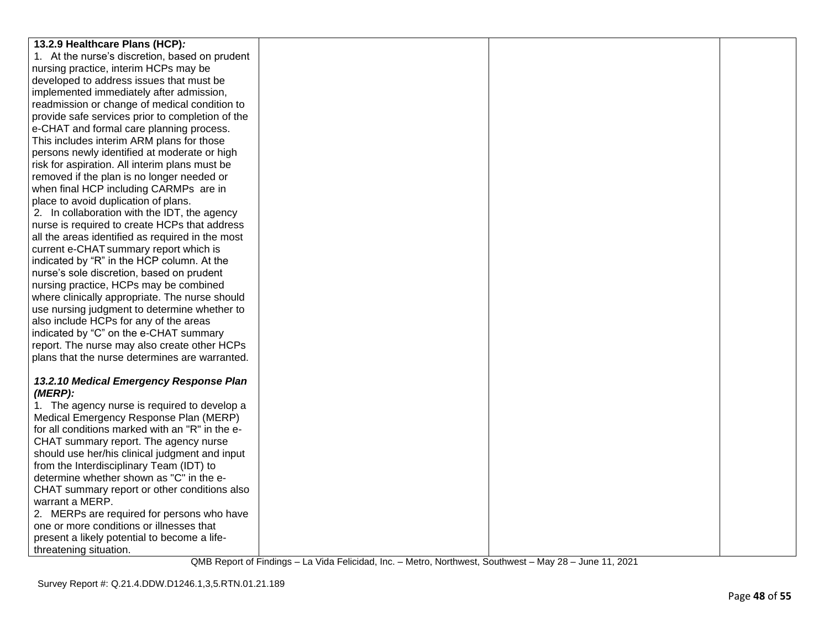| 13.2.9 Healthcare Plans (HCP):                        |  |  |
|-------------------------------------------------------|--|--|
| 1. At the nurse's discretion, based on prudent        |  |  |
| nursing practice, interim HCPs may be                 |  |  |
| developed to address issues that must be              |  |  |
| implemented immediately after admission,              |  |  |
| readmission or change of medical condition to         |  |  |
| provide safe services prior to completion of the      |  |  |
| e-CHAT and formal care planning process.              |  |  |
| This includes interim ARM plans for those             |  |  |
| persons newly identified at moderate or high          |  |  |
| risk for aspiration. All interim plans must be        |  |  |
| removed if the plan is no longer needed or            |  |  |
| when final HCP including CARMPs are in                |  |  |
| place to avoid duplication of plans.                  |  |  |
| 2. In collaboration with the IDT, the agency          |  |  |
| nurse is required to create HCPs that address         |  |  |
| all the areas identified as required in the most      |  |  |
| current e-CHAT summary report which is                |  |  |
| indicated by "R" in the HCP column. At the            |  |  |
| nurse's sole discretion, based on prudent             |  |  |
| nursing practice, HCPs may be combined                |  |  |
| where clinically appropriate. The nurse should        |  |  |
| use nursing judgment to determine whether to          |  |  |
| also include HCPs for any of the areas                |  |  |
| indicated by "C" on the e-CHAT summary                |  |  |
| report. The nurse may also create other HCPs          |  |  |
| plans that the nurse determines are warranted.        |  |  |
|                                                       |  |  |
| 13.2.10 Medical Emergency Response Plan<br>$(MERP)$ : |  |  |
| 1. The agency nurse is required to develop a          |  |  |
| Medical Emergency Response Plan (MERP)                |  |  |
| for all conditions marked with an "R" in the e-       |  |  |
| CHAT summary report. The agency nurse                 |  |  |
| should use her/his clinical judgment and input        |  |  |
| from the Interdisciplinary Team (IDT) to              |  |  |
| determine whether shown as "C" in the e-              |  |  |
| CHAT summary report or other conditions also          |  |  |
| warrant a MERP.                                       |  |  |
| 2. MERPs are required for persons who have            |  |  |
| one or more conditions or illnesses that              |  |  |
| present a likely potential to become a life-          |  |  |
| threatening situation.                                |  |  |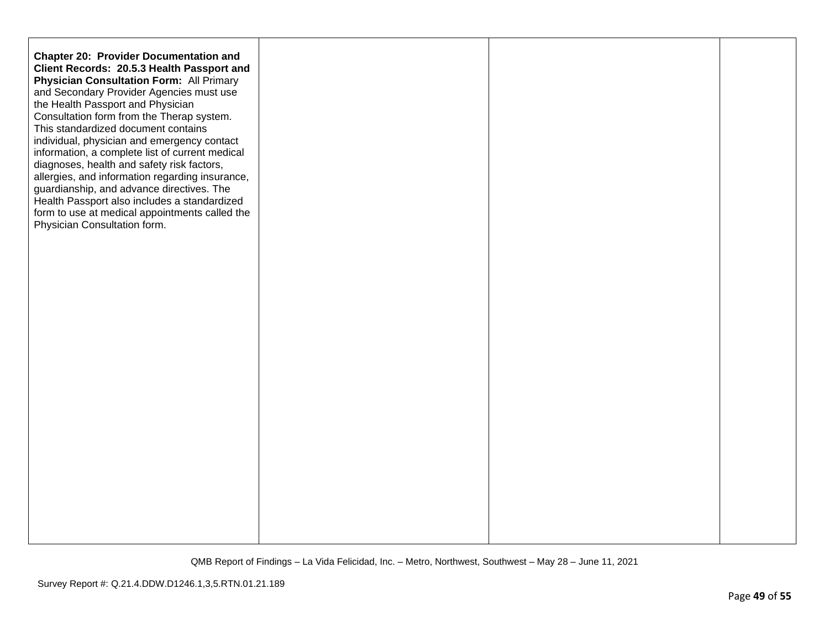| <b>Chapter 20: Provider Documentation and</b><br>Client Records: 20.5.3 Health Passport and<br><b>Physician Consultation Form: All Primary</b><br>and Secondary Provider Agencies must use<br>the Health Passport and Physician<br>Consultation form from the Therap system.<br>This standardized document contains<br>individual, physician and emergency contact<br>information, a complete list of current medical<br>diagnoses, health and safety risk factors,<br>allergies, and information regarding insurance,<br>guardianship, and advance directives. The<br>Health Passport also includes a standardized<br>form to use at medical appointments called the<br>Physician Consultation form. |  |  |
|-------------------------------------------------------------------------------------------------------------------------------------------------------------------------------------------------------------------------------------------------------------------------------------------------------------------------------------------------------------------------------------------------------------------------------------------------------------------------------------------------------------------------------------------------------------------------------------------------------------------------------------------------------------------------------------------------------|--|--|
|                                                                                                                                                                                                                                                                                                                                                                                                                                                                                                                                                                                                                                                                                                       |  |  |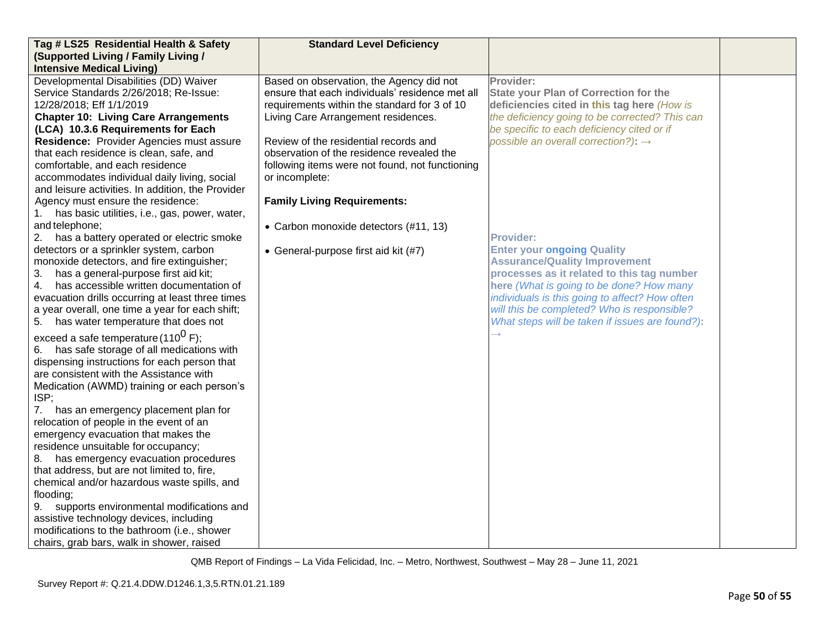| Tag # LS25 Residential Health & Safety                                                            | <b>Standard Level Deficiency</b>                |                                                 |  |
|---------------------------------------------------------------------------------------------------|-------------------------------------------------|-------------------------------------------------|--|
| (Supported Living / Family Living /                                                               |                                                 |                                                 |  |
| <b>Intensive Medical Living)</b>                                                                  |                                                 |                                                 |  |
| Developmental Disabilities (DD) Waiver                                                            | Based on observation, the Agency did not        | Provider:                                       |  |
| Service Standards 2/26/2018; Re-Issue:                                                            | ensure that each individuals' residence met all | <b>State your Plan of Correction for the</b>    |  |
| 12/28/2018; Eff 1/1/2019                                                                          | requirements within the standard for 3 of 10    | deficiencies cited in this tag here (How is     |  |
| <b>Chapter 10: Living Care Arrangements</b>                                                       | Living Care Arrangement residences.             | the deficiency going to be corrected? This can  |  |
| (LCA) 10.3.6 Requirements for Each                                                                |                                                 | be specific to each deficiency cited or if      |  |
| Residence: Provider Agencies must assure                                                          | Review of the residential records and           | possible an overall correction?): $\rightarrow$ |  |
| that each residence is clean, safe, and                                                           | observation of the residence revealed the       |                                                 |  |
| comfortable, and each residence                                                                   | following items were not found, not functioning |                                                 |  |
| accommodates individual daily living, social<br>and leisure activities. In addition, the Provider | or incomplete:                                  |                                                 |  |
| Agency must ensure the residence:                                                                 | <b>Family Living Requirements:</b>              |                                                 |  |
| has basic utilities, i.e., gas, power, water,<br>1.                                               |                                                 |                                                 |  |
| and telephone;                                                                                    | • Carbon monoxide detectors (#11, 13)           |                                                 |  |
| 2. has a battery operated or electric smoke                                                       |                                                 | <b>Provider:</b>                                |  |
| detectors or a sprinkler system, carbon                                                           | • General-purpose first aid kit (#7)            | <b>Enter your ongoing Quality</b>               |  |
| monoxide detectors, and fire extinguisher;                                                        |                                                 | <b>Assurance/Quality Improvement</b>            |  |
| has a general-purpose first aid kit;<br>3.                                                        |                                                 | processes as it related to this tag number      |  |
| has accessible written documentation of<br>4.                                                     |                                                 | here (What is going to be done? How many        |  |
| evacuation drills occurring at least three times                                                  |                                                 | individuals is this going to affect? How often  |  |
| a year overall, one time a year for each shift;                                                   |                                                 | will this be completed? Who is responsible?     |  |
| 5. has water temperature that does not                                                            |                                                 | What steps will be taken if issues are found?): |  |
| exceed a safe temperature (110 <sup>0</sup> F);                                                   |                                                 |                                                 |  |
| 6. has safe storage of all medications with                                                       |                                                 |                                                 |  |
| dispensing instructions for each person that                                                      |                                                 |                                                 |  |
| are consistent with the Assistance with                                                           |                                                 |                                                 |  |
| Medication (AWMD) training or each person's                                                       |                                                 |                                                 |  |
| ISP;                                                                                              |                                                 |                                                 |  |
| has an emergency placement plan for<br>7.                                                         |                                                 |                                                 |  |
| relocation of people in the event of an                                                           |                                                 |                                                 |  |
| emergency evacuation that makes the                                                               |                                                 |                                                 |  |
| residence unsuitable for occupancy;                                                               |                                                 |                                                 |  |
| 8. has emergency evacuation procedures                                                            |                                                 |                                                 |  |
| that address, but are not limited to, fire,                                                       |                                                 |                                                 |  |
| chemical and/or hazardous waste spills, and                                                       |                                                 |                                                 |  |
| flooding;                                                                                         |                                                 |                                                 |  |
| supports environmental modifications and<br>9.                                                    |                                                 |                                                 |  |
| assistive technology devices, including                                                           |                                                 |                                                 |  |
| modifications to the bathroom (i.e., shower                                                       |                                                 |                                                 |  |
| chairs, grab bars, walk in shower, raised                                                         |                                                 |                                                 |  |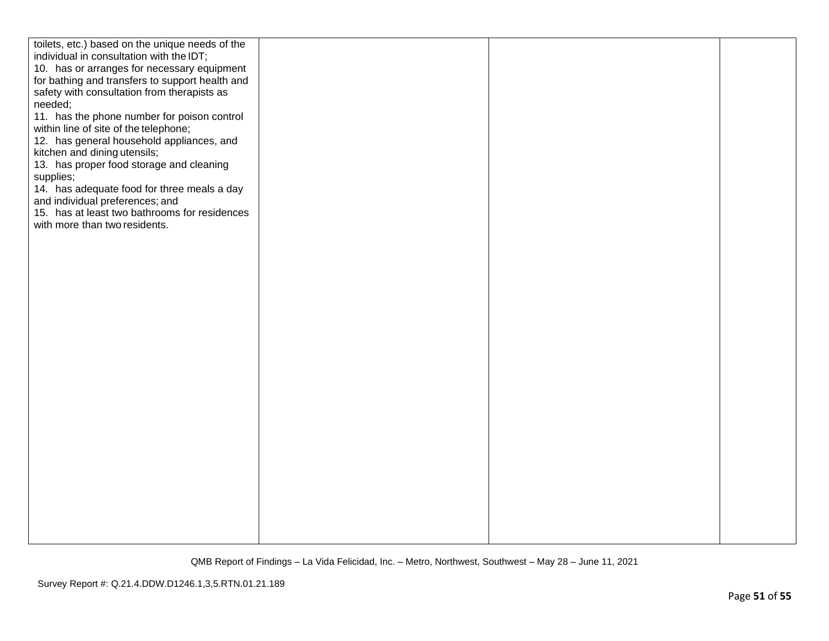| toilets, etc.) based on the unique needs of the |  |  |
|-------------------------------------------------|--|--|
|                                                 |  |  |
| individual in consultation with the IDT;        |  |  |
| 10. has or arranges for necessary equipment     |  |  |
| for bathing and transfers to support health and |  |  |
| safety with consultation from therapists as     |  |  |
| needed;                                         |  |  |
| 11. has the phone number for poison control     |  |  |
|                                                 |  |  |
| within line of site of the telephone;           |  |  |
| 12. has general household appliances, and       |  |  |
| kitchen and dining utensils;                    |  |  |
| 13. has proper food storage and cleaning        |  |  |
| supplies;                                       |  |  |
| 14. has adequate food for three meals a day     |  |  |
| and individual preferences; and                 |  |  |
|                                                 |  |  |
| 15. has at least two bathrooms for residences   |  |  |
| with more than two residents.                   |  |  |
|                                                 |  |  |
|                                                 |  |  |
|                                                 |  |  |
|                                                 |  |  |
|                                                 |  |  |
|                                                 |  |  |
|                                                 |  |  |
|                                                 |  |  |
|                                                 |  |  |
|                                                 |  |  |
|                                                 |  |  |
|                                                 |  |  |
|                                                 |  |  |
|                                                 |  |  |
|                                                 |  |  |
|                                                 |  |  |
|                                                 |  |  |
|                                                 |  |  |
|                                                 |  |  |
|                                                 |  |  |
|                                                 |  |  |
|                                                 |  |  |
|                                                 |  |  |
|                                                 |  |  |
|                                                 |  |  |
|                                                 |  |  |
|                                                 |  |  |
|                                                 |  |  |
|                                                 |  |  |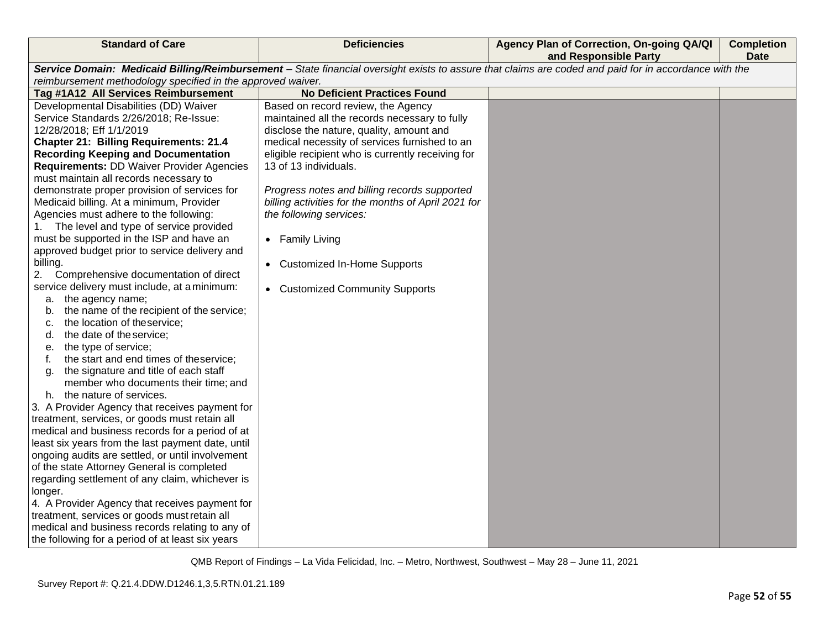| <b>Standard of Care</b>                                                                                                                                                                                                                                                                                                                                                                                                                                                                                                                                                                                                                                                                                                                                                                                                                                                                                                                                                                                                                                                                                                                                                                                                                                                                                                                                                                                                                                                                                                                                                                                                                               | <b>Deficiencies</b>                                                                                                                                                                                                                                                                                                                                                                                                                                                                     | Agency Plan of Correction, On-going QA/QI<br>and Responsible Party | <b>Completion</b><br><b>Date</b> |
|-------------------------------------------------------------------------------------------------------------------------------------------------------------------------------------------------------------------------------------------------------------------------------------------------------------------------------------------------------------------------------------------------------------------------------------------------------------------------------------------------------------------------------------------------------------------------------------------------------------------------------------------------------------------------------------------------------------------------------------------------------------------------------------------------------------------------------------------------------------------------------------------------------------------------------------------------------------------------------------------------------------------------------------------------------------------------------------------------------------------------------------------------------------------------------------------------------------------------------------------------------------------------------------------------------------------------------------------------------------------------------------------------------------------------------------------------------------------------------------------------------------------------------------------------------------------------------------------------------------------------------------------------------|-----------------------------------------------------------------------------------------------------------------------------------------------------------------------------------------------------------------------------------------------------------------------------------------------------------------------------------------------------------------------------------------------------------------------------------------------------------------------------------------|--------------------------------------------------------------------|----------------------------------|
| Service Domain: Medicaid Billing/Reimbursement - State financial oversight exists to assure that claims are coded and paid for in accordance with the<br>reimbursement methodology specified in the approved waiver.                                                                                                                                                                                                                                                                                                                                                                                                                                                                                                                                                                                                                                                                                                                                                                                                                                                                                                                                                                                                                                                                                                                                                                                                                                                                                                                                                                                                                                  |                                                                                                                                                                                                                                                                                                                                                                                                                                                                                         |                                                                    |                                  |
| Tag #1A12 All Services Reimbursement                                                                                                                                                                                                                                                                                                                                                                                                                                                                                                                                                                                                                                                                                                                                                                                                                                                                                                                                                                                                                                                                                                                                                                                                                                                                                                                                                                                                                                                                                                                                                                                                                  | <b>No Deficient Practices Found</b>                                                                                                                                                                                                                                                                                                                                                                                                                                                     |                                                                    |                                  |
| Developmental Disabilities (DD) Waiver<br>Service Standards 2/26/2018; Re-Issue:<br>12/28/2018; Eff 1/1/2019<br><b>Chapter 21: Billing Requirements: 21.4</b><br><b>Recording Keeping and Documentation</b><br><b>Requirements: DD Waiver Provider Agencies</b><br>must maintain all records necessary to<br>demonstrate proper provision of services for<br>Medicaid billing. At a minimum, Provider<br>Agencies must adhere to the following:<br>The level and type of service provided<br>1.<br>must be supported in the ISP and have an<br>approved budget prior to service delivery and<br>billing.<br>Comprehensive documentation of direct<br>2.<br>service delivery must include, at a minimum:<br>the agency name;<br>a.<br>the name of the recipient of the service;<br>b.<br>the location of theservice;<br>C.<br>the date of the service;<br>d.<br>the type of service;<br>е.<br>the start and end times of theservice;<br>t.<br>the signature and title of each staff<br>g.<br>member who documents their time; and<br>the nature of services.<br>h.<br>3. A Provider Agency that receives payment for<br>treatment, services, or goods must retain all<br>medical and business records for a period of at<br>least six years from the last payment date, until<br>ongoing audits are settled, or until involvement<br>of the state Attorney General is completed<br>regarding settlement of any claim, whichever is<br>longer.<br>4. A Provider Agency that receives payment for<br>treatment, services or goods must retain all<br>medical and business records relating to any of<br>the following for a period of at least six years | Based on record review, the Agency<br>maintained all the records necessary to fully<br>disclose the nature, quality, amount and<br>medical necessity of services furnished to an<br>eligible recipient who is currently receiving for<br>13 of 13 individuals.<br>Progress notes and billing records supported<br>billing activities for the months of April 2021 for<br>the following services:<br>• Family Living<br>• Customized In-Home Supports<br>• Customized Community Supports |                                                                    |                                  |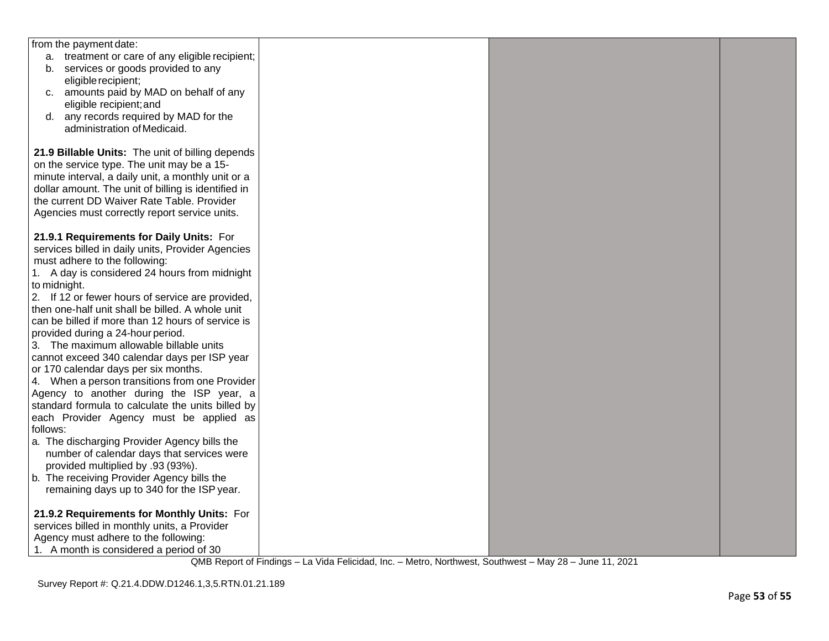| from the payment date:                              |  |  |
|-----------------------------------------------------|--|--|
| a. treatment or care of any eligible recipient;     |  |  |
| b. services or goods provided to any                |  |  |
| eligible recipient;                                 |  |  |
| c. amounts paid by MAD on behalf of any             |  |  |
| eligible recipient; and                             |  |  |
| any records required by MAD for the<br>d.           |  |  |
| administration of Medicaid.                         |  |  |
|                                                     |  |  |
| 21.9 Billable Units: The unit of billing depends    |  |  |
| on the service type. The unit may be a 15-          |  |  |
| minute interval, a daily unit, a monthly unit or a  |  |  |
| dollar amount. The unit of billing is identified in |  |  |
| the current DD Waiver Rate Table. Provider          |  |  |
|                                                     |  |  |
| Agencies must correctly report service units.       |  |  |
|                                                     |  |  |
| 21.9.1 Requirements for Daily Units: For            |  |  |
| services billed in daily units, Provider Agencies   |  |  |
| must adhere to the following:                       |  |  |
| 1. A day is considered 24 hours from midnight       |  |  |
| to midnight.                                        |  |  |
| 2. If 12 or fewer hours of service are provided,    |  |  |
| then one-half unit shall be billed. A whole unit    |  |  |
| can be billed if more than 12 hours of service is   |  |  |
| provided during a 24-hour period.                   |  |  |
| 3. The maximum allowable billable units             |  |  |
| cannot exceed 340 calendar days per ISP year        |  |  |
| or 170 calendar days per six months.                |  |  |
| 4. When a person transitions from one Provider      |  |  |
| Agency to another during the ISP year, a            |  |  |
| standard formula to calculate the units billed by   |  |  |
| each Provider Agency must be applied as             |  |  |
| follows:                                            |  |  |
| a. The discharging Provider Agency bills the        |  |  |
| number of calendar days that services were          |  |  |
| provided multiplied by .93 (93%).                   |  |  |
| b. The receiving Provider Agency bills the          |  |  |
| remaining days up to 340 for the ISP year.          |  |  |
|                                                     |  |  |
| 21.9.2 Requirements for Monthly Units: For          |  |  |
| services billed in monthly units, a Provider        |  |  |
|                                                     |  |  |
| Agency must adhere to the following:                |  |  |
| 1. A month is considered a period of 30             |  |  |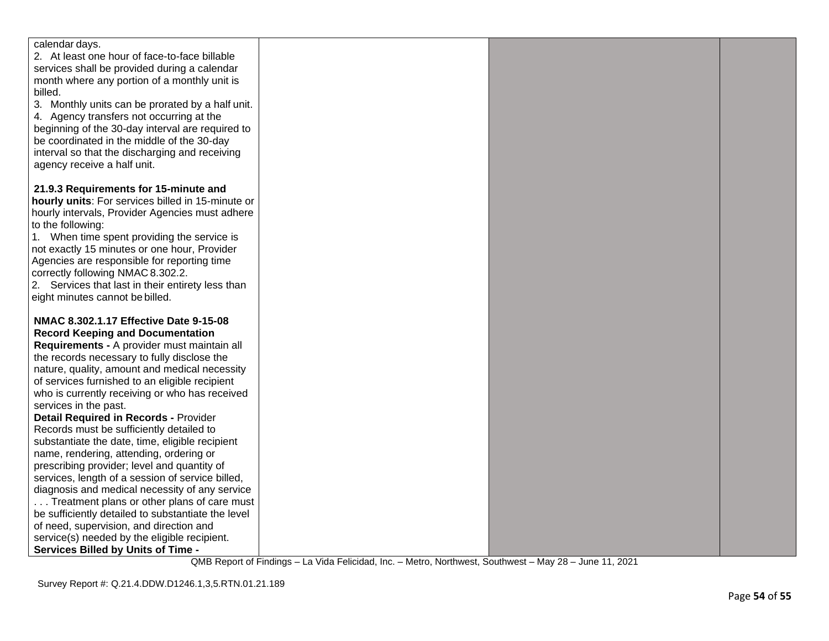| calendar days.                                     |  |  |
|----------------------------------------------------|--|--|
| 2. At least one hour of face-to-face billable      |  |  |
| services shall be provided during a calendar       |  |  |
| month where any portion of a monthly unit is       |  |  |
| billed.                                            |  |  |
| 3. Monthly units can be prorated by a half unit.   |  |  |
| 4. Agency transfers not occurring at the           |  |  |
| beginning of the 30-day interval are required to   |  |  |
| be coordinated in the middle of the 30-day         |  |  |
| interval so that the discharging and receiving     |  |  |
| agency receive a half unit.                        |  |  |
|                                                    |  |  |
| 21.9.3 Requirements for 15-minute and              |  |  |
| hourly units: For services billed in 15-minute or  |  |  |
| hourly intervals, Provider Agencies must adhere    |  |  |
| to the following:                                  |  |  |
| 1. When time spent providing the service is        |  |  |
| not exactly 15 minutes or one hour, Provider       |  |  |
| Agencies are responsible for reporting time        |  |  |
| correctly following NMAC 8.302.2.                  |  |  |
| 2. Services that last in their entirety less than  |  |  |
| eight minutes cannot be billed.                    |  |  |
|                                                    |  |  |
| NMAC 8.302.1.17 Effective Date 9-15-08             |  |  |
| <b>Record Keeping and Documentation</b>            |  |  |
| Requirements - A provider must maintain all        |  |  |
| the records necessary to fully disclose the        |  |  |
| nature, quality, amount and medical necessity      |  |  |
| of services furnished to an eligible recipient     |  |  |
| who is currently receiving or who has received     |  |  |
| services in the past.                              |  |  |
| <b>Detail Required in Records - Provider</b>       |  |  |
| Records must be sufficiently detailed to           |  |  |
| substantiate the date, time, eligible recipient    |  |  |
| name, rendering, attending, ordering or            |  |  |
| prescribing provider; level and quantity of        |  |  |
| services, length of a session of service billed,   |  |  |
| diagnosis and medical necessity of any service     |  |  |
| Treatment plans or other plans of care must        |  |  |
| be sufficiently detailed to substantiate the level |  |  |
| of need, supervision, and direction and            |  |  |
| service(s) needed by the eligible recipient.       |  |  |
| <b>Services Billed by Units of Time -</b>          |  |  |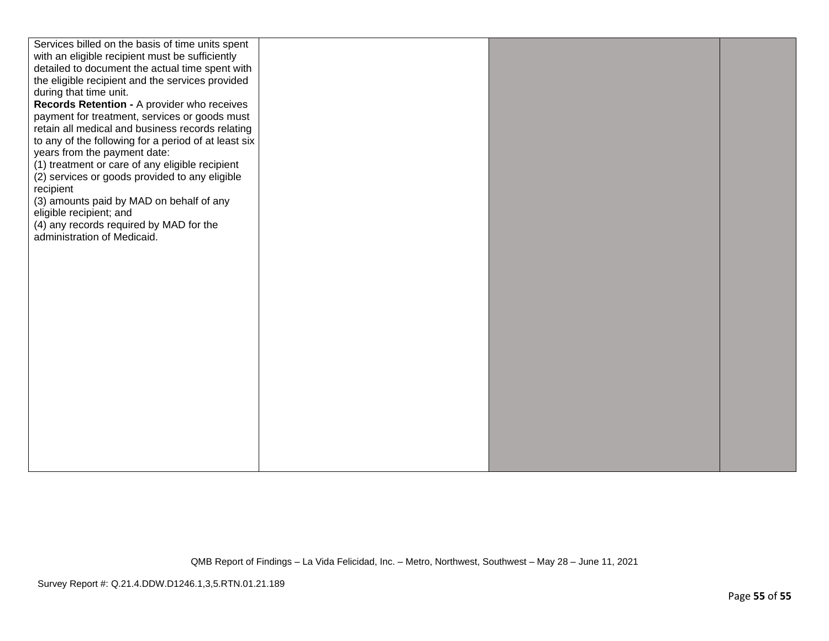| Services billed on the basis of time units spent     |  |  |
|------------------------------------------------------|--|--|
| with an eligible recipient must be sufficiently      |  |  |
| detailed to document the actual time spent with      |  |  |
| the eligible recipient and the services provided     |  |  |
| during that time unit.                               |  |  |
| Records Retention - A provider who receives          |  |  |
| payment for treatment, services or goods must        |  |  |
| retain all medical and business records relating     |  |  |
| to any of the following for a period of at least six |  |  |
| years from the payment date:                         |  |  |
| (1) treatment or care of any eligible recipient      |  |  |
|                                                      |  |  |
| (2) services or goods provided to any eligible       |  |  |
| recipient                                            |  |  |
| (3) amounts paid by MAD on behalf of any             |  |  |
| eligible recipient; and                              |  |  |
| (4) any records required by MAD for the              |  |  |
| administration of Medicaid.                          |  |  |
|                                                      |  |  |
|                                                      |  |  |
|                                                      |  |  |
|                                                      |  |  |
|                                                      |  |  |
|                                                      |  |  |
|                                                      |  |  |
|                                                      |  |  |
|                                                      |  |  |
|                                                      |  |  |
|                                                      |  |  |
|                                                      |  |  |
|                                                      |  |  |
|                                                      |  |  |
|                                                      |  |  |
|                                                      |  |  |
|                                                      |  |  |
|                                                      |  |  |
|                                                      |  |  |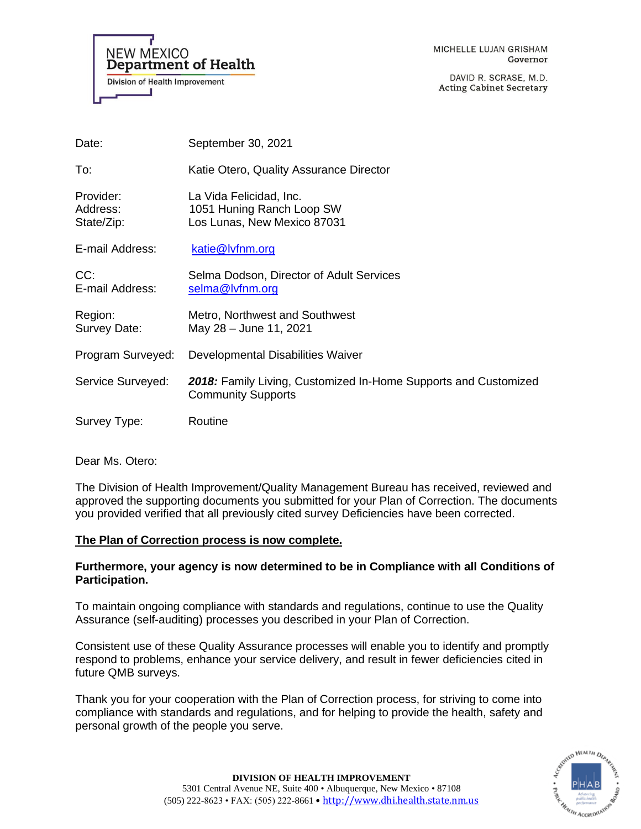

DAVID R. SCRASE, M.D. **Acting Cabinet Secretary** 

| Date:                               | September 30, 2021                                                                           |
|-------------------------------------|----------------------------------------------------------------------------------------------|
| To:                                 | Katie Otero, Quality Assurance Director                                                      |
| Provider:<br>Address:<br>State/Zip: | La Vida Felicidad, Inc.<br>1051 Huning Ranch Loop SW<br>Los Lunas, New Mexico 87031          |
| E-mail Address:                     | katie@lvfnm.org                                                                              |
| CC:<br>E-mail Address:              | Selma Dodson, Director of Adult Services<br>selma@lvfnm.org                                  |
| Region:<br>Survey Date:             | Metro, Northwest and Southwest<br>May 28 - June 11, 2021                                     |
| Program Surveyed:                   | Developmental Disabilities Waiver                                                            |
| Service Surveyed:                   | 2018: Family Living, Customized In-Home Supports and Customized<br><b>Community Supports</b> |
| Survey Type:                        | Routine                                                                                      |

Dear Ms. Otero:

The Division of Health Improvement/Quality Management Bureau has received, reviewed and approved the supporting documents you submitted for your Plan of Correction. The documents you provided verified that all previously cited survey Deficiencies have been corrected.

## **The Plan of Correction process is now complete.**

## **Furthermore, your agency is now determined to be in Compliance with all Conditions of Participation.**

To maintain ongoing compliance with standards and regulations, continue to use the Quality Assurance (self-auditing) processes you described in your Plan of Correction.

Consistent use of these Quality Assurance processes will enable you to identify and promptly respond to problems, enhance your service delivery, and result in fewer deficiencies cited in future QMB surveys.

Thank you for your cooperation with the Plan of Correction process, for striving to come into compliance with standards and regulations, and for helping to provide the health, safety and personal growth of the people you serve.